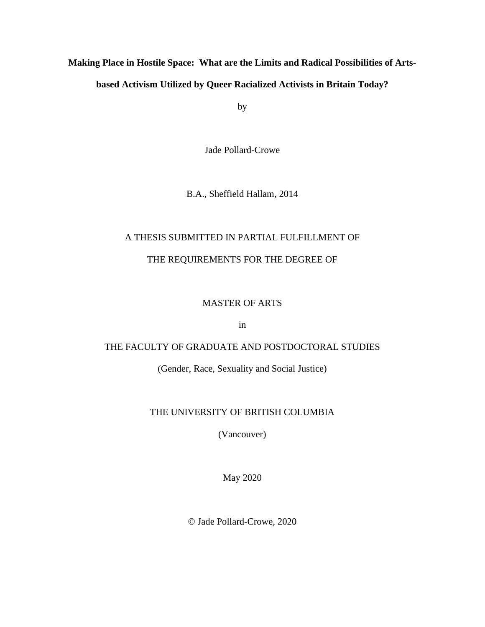# **Making Place in Hostile Space: What are the Limits and Radical Possibilities of Artsbased Activism Utilized by Queer Racialized Activists in Britain Today?**

by

Jade Pollard-Crowe

B.A., Sheffield Hallam, 2014

# A THESIS SUBMITTED IN PARTIAL FULFILLMENT OF THE REQUIREMENTS FOR THE DEGREE OF

## MASTER OF ARTS

in

# THE FACULTY OF GRADUATE AND POSTDOCTORAL STUDIES

(Gender, Race, Sexuality and Social Justice)

## THE UNIVERSITY OF BRITISH COLUMBIA

(Vancouver)

May 2020

© Jade Pollard-Crowe, 2020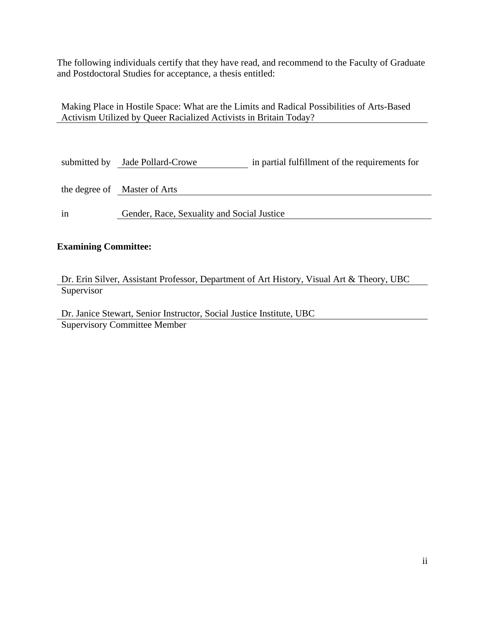The following individuals certify that they have read, and recommend to the Faculty of Graduate and Postdoctoral Studies for acceptance, a thesis entitled:

Making Place in Hostile Space: What are the Limits and Radical Possibilities of Arts-Based Activism Utilized by Queer Racialized Activists in Britain Today?

|    | submitted by Jade Pollard-Crowe            | in partial fulfillment of the requirements for |
|----|--------------------------------------------|------------------------------------------------|
|    |                                            |                                                |
|    | the degree of Master of Arts               |                                                |
|    |                                            |                                                |
| in | Gender, Race, Sexuality and Social Justice |                                                |

## **Examining Committee:**

Dr. Erin Silver, Assistant Professor, Department of Art History, Visual Art & Theory, UBC **Supervisor** 

Dr. Janice Stewart, Senior Instructor, Social Justice Institute, UBC Supervisory Committee Member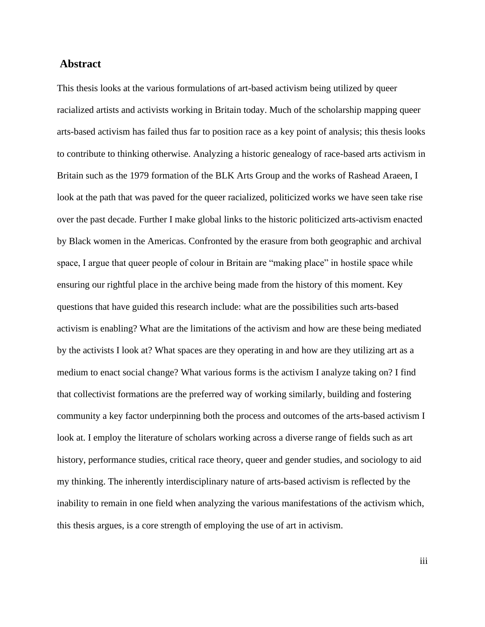## **Abstract**

This thesis looks at the various formulations of art-based activism being utilized by queer racialized artists and activists working in Britain today. Much of the scholarship mapping queer arts-based activism has failed thus far to position race as a key point of analysis; this thesis looks to contribute to thinking otherwise. Analyzing a historic genealogy of race-based arts activism in Britain such as the 1979 formation of the BLK Arts Group and the works of Rashead Araeen, I look at the path that was paved for the queer racialized, politicized works we have seen take rise over the past decade. Further I make global links to the historic politicized arts-activism enacted by Black women in the Americas. Confronted by the erasure from both geographic and archival space, I argue that queer people of colour in Britain are "making place" in hostile space while ensuring our rightful place in the archive being made from the history of this moment. Key questions that have guided this research include: what are the possibilities such arts-based activism is enabling? What are the limitations of the activism and how are these being mediated by the activists I look at? What spaces are they operating in and how are they utilizing art as a medium to enact social change? What various forms is the activism I analyze taking on? I find that collectivist formations are the preferred way of working similarly, building and fostering community a key factor underpinning both the process and outcomes of the arts-based activism I look at. I employ the literature of scholars working across a diverse range of fields such as art history, performance studies, critical race theory, queer and gender studies, and sociology to aid my thinking. The inherently interdisciplinary nature of arts-based activism is reflected by the inability to remain in one field when analyzing the various manifestations of the activism which, this thesis argues, is a core strength of employing the use of art in activism.

iii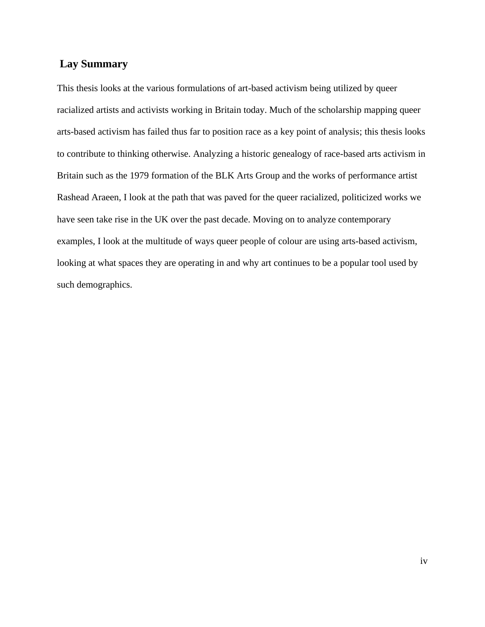# **Lay Summary**

This thesis looks at the various formulations of art-based activism being utilized by queer racialized artists and activists working in Britain today. Much of the scholarship mapping queer arts-based activism has failed thus far to position race as a key point of analysis; this thesis looks to contribute to thinking otherwise. Analyzing a historic genealogy of race-based arts activism in Britain such as the 1979 formation of the BLK Arts Group and the works of performance artist Rashead Araeen, I look at the path that was paved for the queer racialized, politicized works we have seen take rise in the UK over the past decade. Moving on to analyze contemporary examples, I look at the multitude of ways queer people of colour are using arts-based activism, looking at what spaces they are operating in and why art continues to be a popular tool used by such demographics.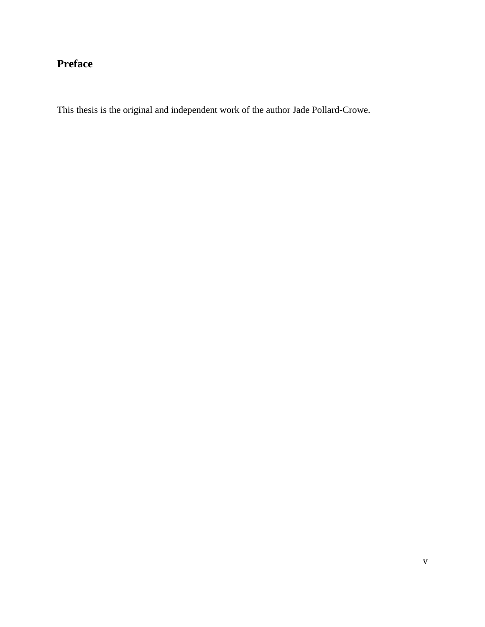# **Preface**

This thesis is the original and independent work of the author Jade Pollard-Crowe.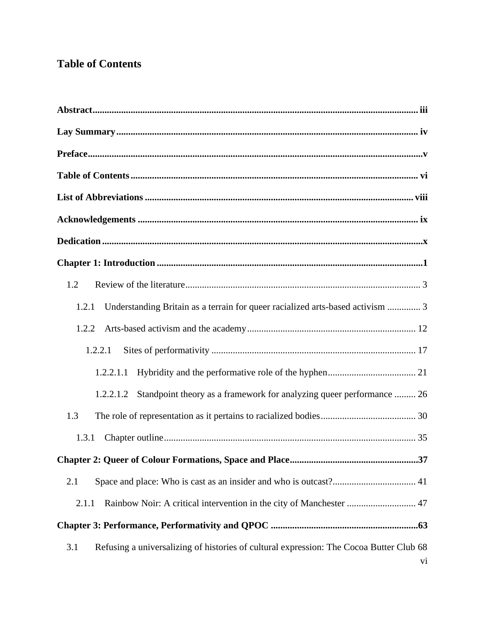# **Table of Contents**

| 1.2                                                                                                  |  |  |
|------------------------------------------------------------------------------------------------------|--|--|
| Understanding Britain as a terrain for queer racialized arts-based activism  3<br>1.2.1              |  |  |
| 1.2.2                                                                                                |  |  |
| 1.2.2.1                                                                                              |  |  |
| 1.2.2.1.1                                                                                            |  |  |
| Standpoint theory as a framework for analyzing queer performance  26<br>1.2.2.1.2                    |  |  |
| 1.3                                                                                                  |  |  |
| 1.3.1                                                                                                |  |  |
|                                                                                                      |  |  |
| 2.1                                                                                                  |  |  |
| Rainbow Noir: A critical intervention in the city of Manchester  47<br>2.1.1                         |  |  |
|                                                                                                      |  |  |
| Refusing a universalizing of histories of cultural expression: The Cocoa Butter Club 68<br>3.1<br>vi |  |  |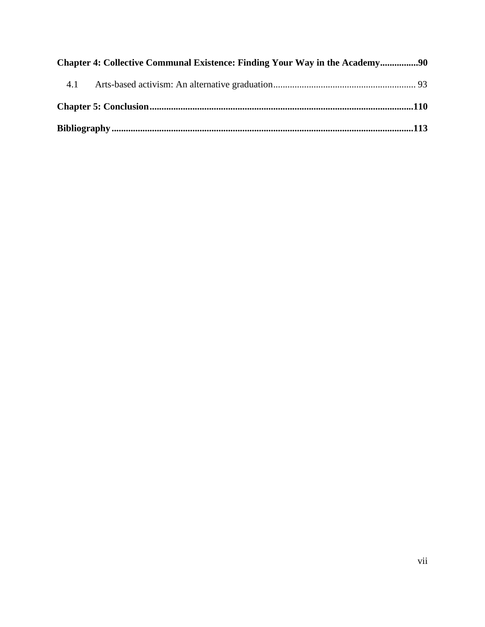| 4.1 |  |  |  |
|-----|--|--|--|
|     |  |  |  |
|     |  |  |  |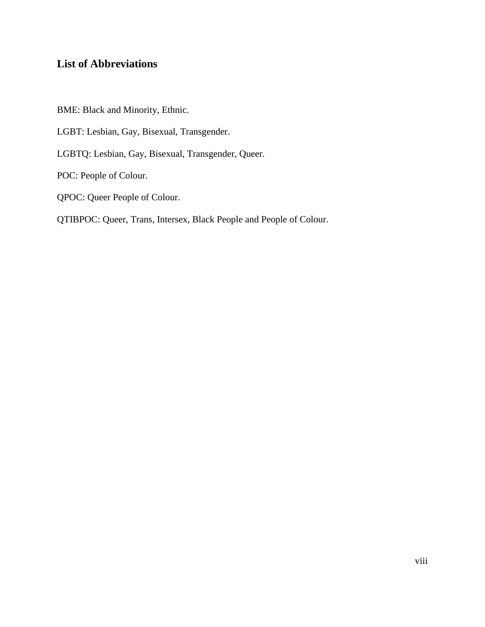# **List of Abbreviations**

BME: Black and Minority, Ethnic.

LGBT: Lesbian, Gay, Bisexual, Transgender.

LGBTQ: Lesbian, Gay, Bisexual, Transgender, Queer.

POC: People of Colour.

QPOC: Queer People of Colour.

QTIBPOC: Queer, Trans, Intersex, Black People and People of Colour.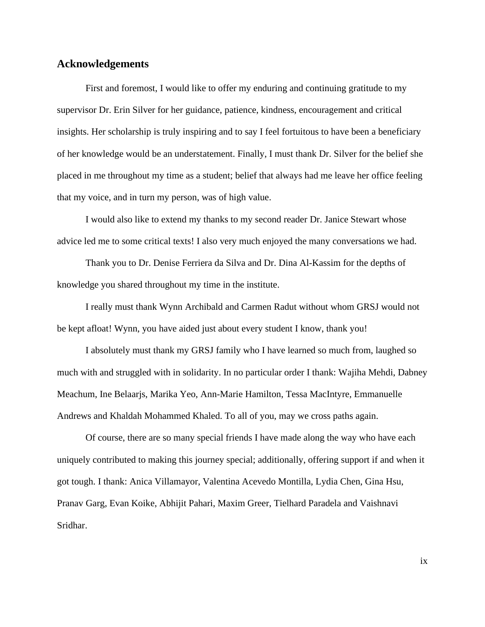## **Acknowledgements**

First and foremost, I would like to offer my enduring and continuing gratitude to my supervisor Dr. Erin Silver for her guidance, patience, kindness, encouragement and critical insights. Her scholarship is truly inspiring and to say I feel fortuitous to have been a beneficiary of her knowledge would be an understatement. Finally, I must thank Dr. Silver for the belief she placed in me throughout my time as a student; belief that always had me leave her office feeling that my voice, and in turn my person, was of high value.

I would also like to extend my thanks to my second reader Dr. Janice Stewart whose advice led me to some critical texts! I also very much enjoyed the many conversations we had.

Thank you to Dr. Denise Ferriera da Silva and Dr. Dina Al-Kassim for the depths of knowledge you shared throughout my time in the institute.

I really must thank Wynn Archibald and Carmen Radut without whom GRSJ would not be kept afloat! Wynn, you have aided just about every student I know, thank you!

I absolutely must thank my GRSJ family who I have learned so much from, laughed so much with and struggled with in solidarity. In no particular order I thank: Wajiha Mehdi, Dabney Meachum, Ine Belaarjs, Marika Yeo, Ann-Marie Hamilton, Tessa MacIntyre, Emmanuelle Andrews and Khaldah Mohammed Khaled. To all of you, may we cross paths again.

Of course, there are so many special friends I have made along the way who have each uniquely contributed to making this journey special; additionally, offering support if and when it got tough. I thank: Anica Villamayor, Valentina Acevedo Montilla, Lydia Chen, Gina Hsu, Pranav Garg, Evan Koike, Abhijit Pahari, Maxim Greer, Tielhard Paradela and Vaishnavi Sridhar.

ix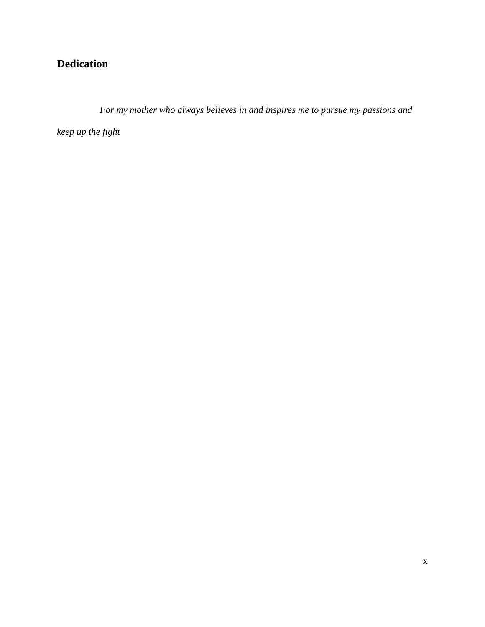# **Dedication**

*For my mother who always believes in and inspires me to pursue my passions and* 

*keep up the fight*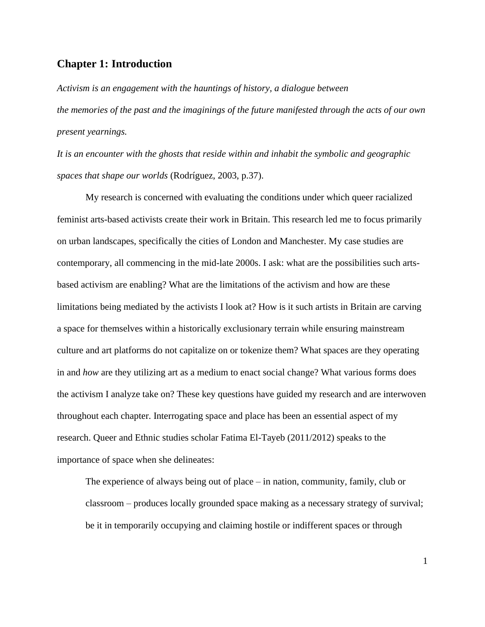## **Chapter 1: Introduction**

*Activism is an engagement with the hauntings of history, a dialogue between the memories of the past and the imaginings of the future manifested through the acts of our own present yearnings.* 

*It is an encounter with the ghosts that reside within and inhabit the symbolic and geographic spaces that shape our worlds* (Rodríguez, 2003, p.37).

My research is concerned with evaluating the conditions under which queer racialized feminist arts-based activists create their work in Britain. This research led me to focus primarily on urban landscapes, specifically the cities of London and Manchester. My case studies are contemporary, all commencing in the mid-late 2000s. I ask: what are the possibilities such artsbased activism are enabling? What are the limitations of the activism and how are these limitations being mediated by the activists I look at? How is it such artists in Britain are carving a space for themselves within a historically exclusionary terrain while ensuring mainstream culture and art platforms do not capitalize on or tokenize them? What spaces are they operating in and *how* are they utilizing art as a medium to enact social change? What various forms does the activism I analyze take on? These key questions have guided my research and are interwoven throughout each chapter. Interrogating space and place has been an essential aspect of my research. Queer and Ethnic studies scholar Fatima El-Tayeb (2011/2012) speaks to the importance of space when she delineates:

The experience of always being out of place – in nation, community, family, club or classroom – produces locally grounded space making as a necessary strategy of survival; be it in temporarily occupying and claiming hostile or indifferent spaces or through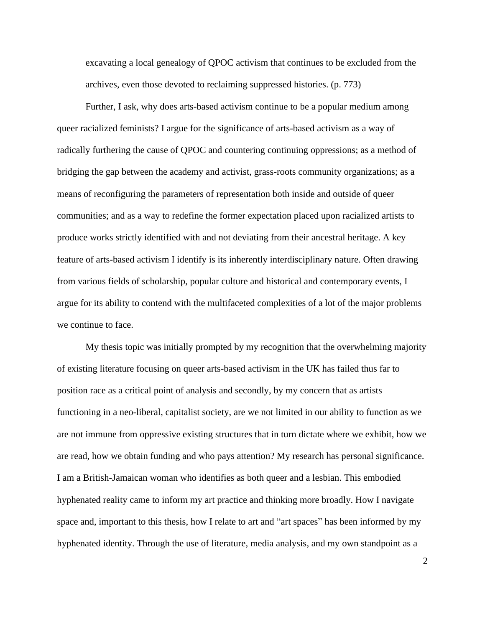excavating a local genealogy of QPOC activism that continues to be excluded from the archives, even those devoted to reclaiming suppressed histories. (p. 773)

Further, I ask, why does arts-based activism continue to be a popular medium among queer racialized feminists? I argue for the significance of arts-based activism as a way of radically furthering the cause of QPOC and countering continuing oppressions; as a method of bridging the gap between the academy and activist, grass-roots community organizations; as a means of reconfiguring the parameters of representation both inside and outside of queer communities; and as a way to redefine the former expectation placed upon racialized artists to produce works strictly identified with and not deviating from their ancestral heritage. A key feature of arts-based activism I identify is its inherently interdisciplinary nature. Often drawing from various fields of scholarship, popular culture and historical and contemporary events, I argue for its ability to contend with the multifaceted complexities of a lot of the major problems we continue to face.

My thesis topic was initially prompted by my recognition that the overwhelming majority of existing literature focusing on queer arts-based activism in the UK has failed thus far to position race as a critical point of analysis and secondly, by my concern that as artists functioning in a neo-liberal, capitalist society, are we not limited in our ability to function as we are not immune from oppressive existing structures that in turn dictate where we exhibit, how we are read, how we obtain funding and who pays attention? My research has personal significance. I am a British-Jamaican woman who identifies as both queer and a lesbian. This embodied hyphenated reality came to inform my art practice and thinking more broadly. How I navigate space and, important to this thesis, how I relate to art and "art spaces" has been informed by my hyphenated identity. Through the use of literature, media analysis, and my own standpoint as a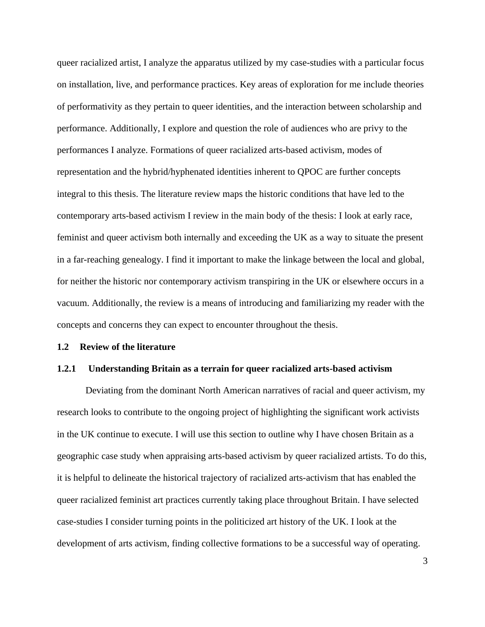queer racialized artist, I analyze the apparatus utilized by my case-studies with a particular focus on installation, live, and performance practices. Key areas of exploration for me include theories of performativity as they pertain to queer identities, and the interaction between scholarship and performance. Additionally, I explore and question the role of audiences who are privy to the performances I analyze. Formations of queer racialized arts-based activism, modes of representation and the hybrid/hyphenated identities inherent to QPOC are further concepts integral to this thesis. The literature review maps the historic conditions that have led to the contemporary arts-based activism I review in the main body of the thesis: I look at early race, feminist and queer activism both internally and exceeding the UK as a way to situate the present in a far-reaching genealogy. I find it important to make the linkage between the local and global, for neither the historic nor contemporary activism transpiring in the UK or elsewhere occurs in a vacuum. Additionally, the review is a means of introducing and familiarizing my reader with the concepts and concerns they can expect to encounter throughout the thesis.

### **1.2 Review of the literature**

#### **1.2.1 Understanding Britain as a terrain for queer racialized arts-based activism**

Deviating from the dominant North American narratives of racial and queer activism, my research looks to contribute to the ongoing project of highlighting the significant work activists in the UK continue to execute. I will use this section to outline why I have chosen Britain as a geographic case study when appraising arts-based activism by queer racialized artists. To do this, it is helpful to delineate the historical trajectory of racialized arts-activism that has enabled the queer racialized feminist art practices currently taking place throughout Britain. I have selected case-studies I consider turning points in the politicized art history of the UK. I look at the development of arts activism, finding collective formations to be a successful way of operating.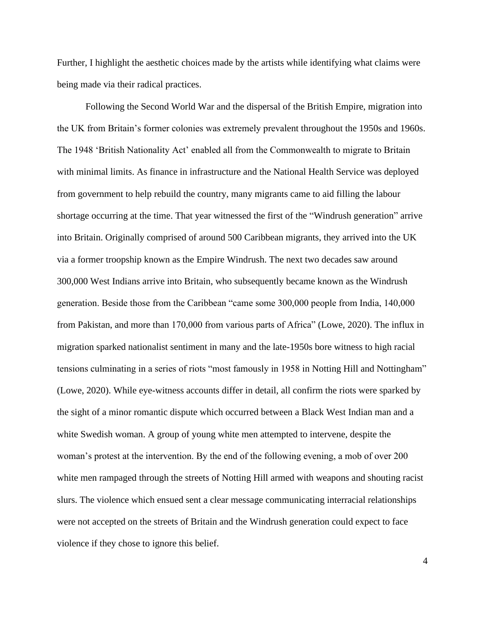Further, I highlight the aesthetic choices made by the artists while identifying what claims were being made via their radical practices.

Following the Second World War and the dispersal of the British Empire, migration into the UK from Britain's former colonies was extremely prevalent throughout the 1950s and 1960s. The 1948 'British Nationality Act' enabled all from the Commonwealth to migrate to Britain with minimal limits. As finance in infrastructure and the National Health Service was deployed from government to help rebuild the country, many migrants came to aid filling the labour shortage occurring at the time. That year witnessed the first of the "Windrush generation" arrive into Britain. Originally comprised of around 500 Caribbean migrants, they arrived into the UK via a former troopship known as the Empire Windrush. The next two decades saw around 300,000 West Indians arrive into Britain, who subsequently became known as the Windrush generation. Beside those from the Caribbean "came some 300,000 people from India, 140,000 from Pakistan, and more than 170,000 from various parts of Africa" (Lowe, 2020). The influx in migration sparked nationalist sentiment in many and the late-1950s bore witness to high racial tensions culminating in a series of riots "most famously in 1958 in Notting Hill and Nottingham" (Lowe, 2020). While eye-witness accounts differ in detail, all confirm the riots were sparked by the sight of a minor romantic dispute which occurred between a Black West Indian man and a white Swedish woman. A group of young white men attempted to intervene, despite the woman's protest at the intervention. By the end of the following evening, a mob of over 200 white men rampaged through the streets of Notting Hill armed with weapons and shouting racist slurs. The violence which ensued sent a clear message communicating interracial relationships were not accepted on the streets of Britain and the Windrush generation could expect to face violence if they chose to ignore this belief.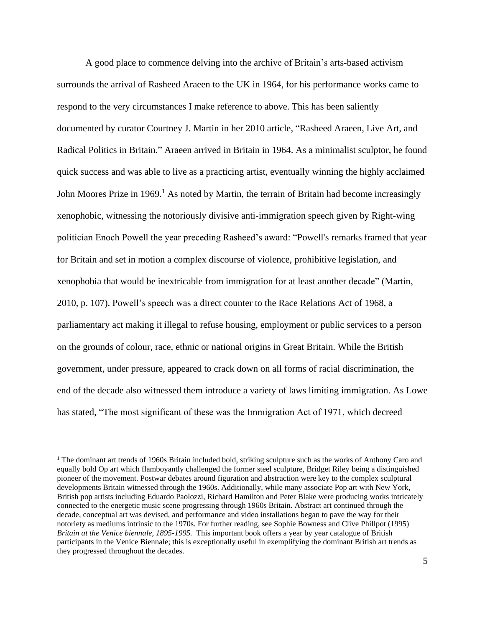A good place to commence delving into the archive of Britain's arts-based activism surrounds the arrival of Rasheed Araeen to the UK in 1964, for his performance works came to respond to the very circumstances I make reference to above. This has been saliently documented by curator Courtney J. Martin in her 2010 article, "Rasheed Araeen, Live Art, and Radical Politics in Britain*.*" Araeen arrived in Britain in 1964. As a minimalist sculptor, he found quick success and was able to live as a practicing artist, eventually winning the highly acclaimed John Moores Prize in 1969.<sup>1</sup> As noted by Martin, the terrain of Britain had become increasingly xenophobic, witnessing the notoriously divisive anti-immigration speech given by Right-wing politician Enoch Powell the year preceding Rasheed's award: "Powell's remarks framed that year for Britain and set in motion a complex discourse of violence, prohibitive legislation, and xenophobia that would be inextricable from immigration for at least another decade" (Martin, 2010, p. 107). Powell's speech was a direct counter to the Race Relations Act of 1968, a parliamentary act making it illegal to refuse housing, employment or public services to a person on the grounds of colour, race, ethnic or national origins in Great Britain. While the British government, under pressure, appeared to crack down on all forms of racial discrimination, the end of the decade also witnessed them introduce a variety of laws limiting immigration. As Lowe has stated, "The most significant of these was the Immigration Act of 1971, which decreed

<sup>&</sup>lt;sup>1</sup> The dominant art trends of 1960s Britain included bold, striking sculpture such as the works of Anthony Caro and equally bold Op art which flamboyantly challenged the former steel sculpture, Bridget Riley being a distinguished pioneer of the movement. Postwar debates around figuration and abstraction were key to the complex sculptural developments Britain witnessed through the 1960s. Additionally, while many associate Pop art with New York, British pop artists including Eduardo Paolozzi, Richard Hamilton and Peter Blake were producing works intricately connected to the energetic music scene progressing through 1960s Britain. Abstract art continued through the decade, conceptual art was devised, and performance and video installations began to pave the way for their notoriety as mediums intrinsic to the 1970s. For further reading, see Sophie Bowness and Clive Phillpot (1995) *Britain at the Venice biennale, 1895-1995.* This important book offers a year by year catalogue of British participants in the Venice Biennale; this is exceptionally useful in exemplifying the dominant British art trends as they progressed throughout the decades.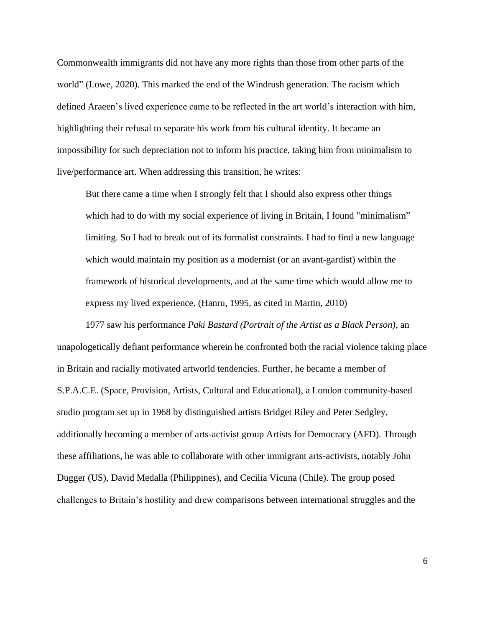Commonwealth immigrants did not have any more rights than those from other parts of the world" (Lowe, 2020). This marked the end of the Windrush generation. The racism which defined Araeen's lived experience came to be reflected in the art world's interaction with him, highlighting their refusal to separate his work from his cultural identity. It became an impossibility for such depreciation not to inform his practice, taking him from minimalism to live/performance art. When addressing this transition, he writes:

But there came a time when I strongly felt that I should also express other things which had to do with my social experience of living in Britain, I found "minimalism" limiting. So I had to break out of its formalist constraints. I had to find a new language which would maintain my position as a modernist (or an avant-gardist) within the framework of historical developments, and at the same time which would allow me to express my lived experience. (Hanru, 1995, as cited in Martin, 2010)

1977 saw his performance *Paki Bastard (Portrait of the Artist as a Black Person)*, an unapologetically defiant performance wherein he confronted both the racial violence taking place in Britain and racially motivated artworld tendencies. Further, he became a member of S.P.A.C.E. (Space, Provision, Artists, Cultural and Educational), a London community-based studio program set up in 1968 by distinguished artists Bridget Riley and Peter Sedgley, additionally becoming a member of arts-activist group Artists for Democracy (AFD). Through these affiliations, he was able to collaborate with other immigrant arts-activists, notably John Dugger (US), David Medalla (Philippines), and Cecilia Vicuna (Chile). The group posed challenges to Britain's hostility and drew comparisons between international struggles and the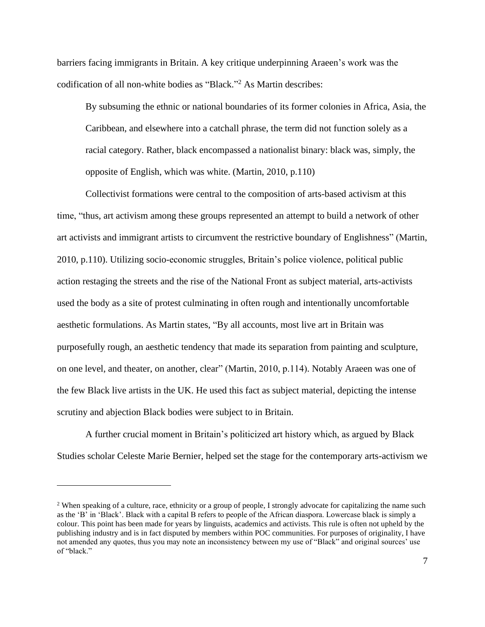barriers facing immigrants in Britain. A key critique underpinning Araeen's work was the codification of all non-white bodies as "Black." <sup>2</sup> As Martin describes:

By subsuming the ethnic or national boundaries of its former colonies in Africa, Asia, the Caribbean, and elsewhere into a catchall phrase, the term did not function solely as a racial category. Rather, black encompassed a nationalist binary: black was, simply, the opposite of English, which was white. (Martin, 2010, p.110)

Collectivist formations were central to the composition of arts-based activism at this time, "thus, art activism among these groups represented an attempt to build a network of other art activists and immigrant artists to circumvent the restrictive boundary of Englishness" (Martin, 2010, p.110). Utilizing socio-economic struggles, Britain's police violence, political public action restaging the streets and the rise of the National Front as subject material, arts-activists used the body as a site of protest culminating in often rough and intentionally uncomfortable aesthetic formulations. As Martin states, "By all accounts, most live art in Britain was purposefully rough, an aesthetic tendency that made its separation from painting and sculpture, on one level, and theater, on another, clear" (Martin, 2010, p.114). Notably Araeen was one of the few Black live artists in the UK. He used this fact as subject material, depicting the intense scrutiny and abjection Black bodies were subject to in Britain.

A further crucial moment in Britain's politicized art history which, as argued by Black Studies scholar Celeste Marie Bernier, helped set the stage for the contemporary arts-activism we

<sup>&</sup>lt;sup>2</sup> When speaking of a culture, race, ethnicity or a group of people, I strongly advocate for capitalizing the name such as the 'B' in 'Black'. Black with a capital B refers to people of the African diaspora. Lowercase black is simply a colour. This point has been made for years by linguists, academics and activists. This rule is often not upheld by the publishing industry and is in fact disputed by members within POC communities. For purposes of originality, I have not amended any quotes, thus you may note an inconsistency between my use of "Black" and original sources' use of "black."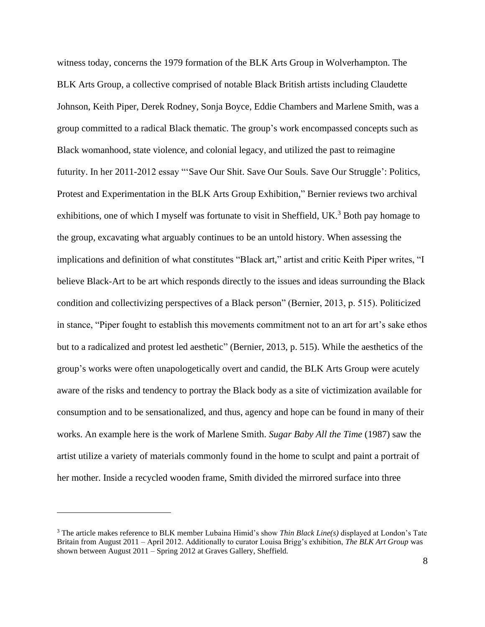witness today, concerns the 1979 formation of the BLK Arts Group in Wolverhampton. The BLK Arts Group, a collective comprised of notable Black British artists including Claudette Johnson, Keith Piper, Derek Rodney, Sonja Boyce, Eddie Chambers and Marlene Smith, was a group committed to a radical Black thematic. The group's work encompassed concepts such as Black womanhood, state violence, and colonial legacy, and utilized the past to reimagine futurity. In her 2011-2012 essay "'Save Our Shit. Save Our Souls. Save Our Struggle': Politics, Protest and Experimentation in the BLK Arts Group Exhibition," Bernier reviews two archival exhibitions, one of which I myself was fortunate to visit in Sheffield,  $UK<sup>3</sup>$  Both pay homage to the group, excavating what arguably continues to be an untold history. When assessing the implications and definition of what constitutes "Black art," artist and critic Keith Piper writes, "I believe Black-Art to be art which responds directly to the issues and ideas surrounding the Black condition and collectivizing perspectives of a Black person" (Bernier, 2013, p. 515). Politicized in stance, "Piper fought to establish this movements commitment not to an art for art's sake ethos but to a radicalized and protest led aesthetic" (Bernier, 2013, p. 515). While the aesthetics of the group's works were often unapologetically overt and candid, the BLK Arts Group were acutely aware of the risks and tendency to portray the Black body as a site of victimization available for consumption and to be sensationalized, and thus, agency and hope can be found in many of their works. An example here is the work of Marlene Smith. *Sugar Baby All the Time* (1987) saw the artist utilize a variety of materials commonly found in the home to sculpt and paint a portrait of her mother. Inside a recycled wooden frame, Smith divided the mirrored surface into three

<sup>3</sup> The article makes reference to BLK member Lubaina Himid's show *Thin Black Line(s)* displayed at London's Tate Britain from August 2011 – April 2012. Additionally to curator Louisa Brigg's exhibition, *The BLK Art Group* was shown between August 2011 – Spring 2012 at Graves Gallery, Sheffield.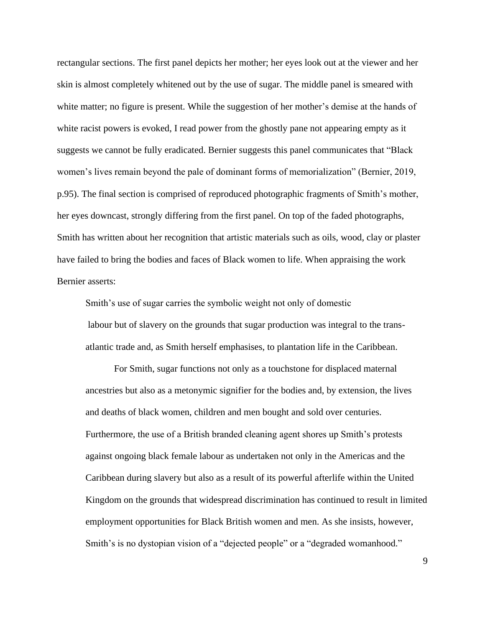rectangular sections. The first panel depicts her mother; her eyes look out at the viewer and her skin is almost completely whitened out by the use of sugar. The middle panel is smeared with white matter; no figure is present. While the suggestion of her mother's demise at the hands of white racist powers is evoked, I read power from the ghostly pane not appearing empty as it suggests we cannot be fully eradicated. Bernier suggests this panel communicates that "Black women's lives remain beyond the pale of dominant forms of memorialization" (Bernier, 2019, p.95). The final section is comprised of reproduced photographic fragments of Smith's mother, her eyes downcast, strongly differing from the first panel. On top of the faded photographs, Smith has written about her recognition that artistic materials such as oils, wood, clay or plaster have failed to bring the bodies and faces of Black women to life. When appraising the work Bernier asserts:

Smith's use of sugar carries the symbolic weight not only of domestic labour but of slavery on the grounds that sugar production was integral to the transatlantic trade and, as Smith herself emphasises, to plantation life in the Caribbean.

For Smith, sugar functions not only as a touchstone for displaced maternal ancestries but also as a metonymic signifier for the bodies and, by extension, the lives and deaths of black women, children and men bought and sold over centuries. Furthermore, the use of a British branded cleaning agent shores up Smith's protests against ongoing black female labour as undertaken not only in the Americas and the Caribbean during slavery but also as a result of its powerful afterlife within the United Kingdom on the grounds that widespread discrimination has continued to result in limited employment opportunities for Black British women and men. As she insists, however, Smith's is no dystopian vision of a "dejected people" or a "degraded womanhood."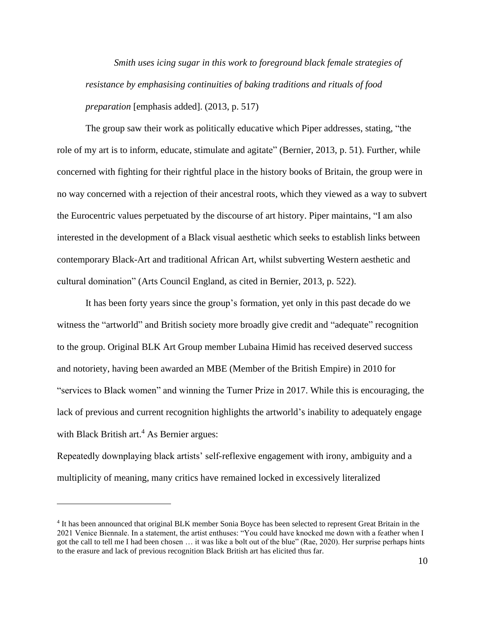*Smith uses icing sugar in this work to foreground black female strategies of resistance by emphasising continuities of baking traditions and rituals of food preparation* [emphasis added]. (2013, p. 517)

The group saw their work as politically educative which Piper addresses, stating, "the role of my art is to inform, educate, stimulate and agitate" (Bernier, 2013, p. 51). Further, while concerned with fighting for their rightful place in the history books of Britain, the group were in no way concerned with a rejection of their ancestral roots, which they viewed as a way to subvert the Eurocentric values perpetuated by the discourse of art history. Piper maintains, "I am also interested in the development of a Black visual aesthetic which seeks to establish links between contemporary Black-Art and traditional African Art, whilst subverting Western aesthetic and cultural domination" (Arts Council England, as cited in Bernier, 2013, p. 522).

It has been forty years since the group's formation, yet only in this past decade do we witness the "artworld" and British society more broadly give credit and "adequate" recognition to the group. Original BLK Art Group member Lubaina Himid has received deserved success and notoriety, having been awarded an MBE (Member of the British Empire) in 2010 for "services to Black women" and winning the Turner Prize in 2017. While this is encouraging, the lack of previous and current recognition highlights the artworld's inability to adequately engage with Black British art. <sup>4</sup> As Bernier argues:

Repeatedly downplaying black artists' self-reflexive engagement with irony, ambiguity and a multiplicity of meaning, many critics have remained locked in excessively literalized

<sup>&</sup>lt;sup>4</sup> It has been announced that original BLK member Sonia Boyce has been selected to represent Great Britain in the 2021 Venice Biennale. In a statement, the artist enthuses: "You could have knocked me down with a feather when I got the call to tell me I had been chosen … it was like a bolt out of the blue" (Rae, 2020). Her surprise perhaps hints to the erasure and lack of previous recognition Black British art has elicited thus far.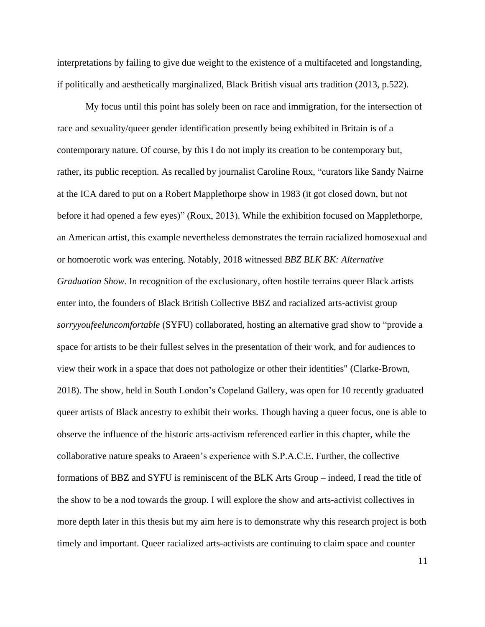interpretations by failing to give due weight to the existence of a multifaceted and longstanding, if politically and aesthetically marginalized, Black British visual arts tradition (2013, p.522).

My focus until this point has solely been on race and immigration, for the intersection of race and sexuality/queer gender identification presently being exhibited in Britain is of a contemporary nature. Of course, by this I do not imply its creation to be contemporary but, rather, its public reception. As recalled by journalist Caroline Roux, "curators like Sandy Nairne at the ICA dared to put on a Robert Mapplethorpe show in 1983 (it got closed down, but not before it had opened a few eyes)" (Roux, 2013). While the exhibition focused on Mapplethorpe, an American artist, this example nevertheless demonstrates the terrain racialized homosexual and or homoerotic work was entering. Notably, 2018 witnessed *BBZ BLK BK: Alternative Graduation Show.* In recognition of the exclusionary, often hostile terrains queer Black artists enter into, the founders of Black British Collective BBZ and racialized arts-activist group *sorryyoufeeluncomfortable* (SYFU) collaborated, hosting an alternative grad show to "provide a space for artists to be their fullest selves in the presentation of their work, and for audiences to view their work in a space that does not pathologize or other their identities" (Clarke-Brown, 2018). The show, held in South London's Copeland Gallery, was open for 10 recently graduated queer artists of Black ancestry to exhibit their works. Though having a queer focus, one is able to observe the influence of the historic arts-activism referenced earlier in this chapter, while the collaborative nature speaks to Araeen's experience with S.P.A.C.E. Further, the collective formations of BBZ and SYFU is reminiscent of the BLK Arts Group – indeed, I read the title of the show to be a nod towards the group. I will explore the show and arts-activist collectives in more depth later in this thesis but my aim here is to demonstrate why this research project is both timely and important. Queer racialized arts-activists are continuing to claim space and counter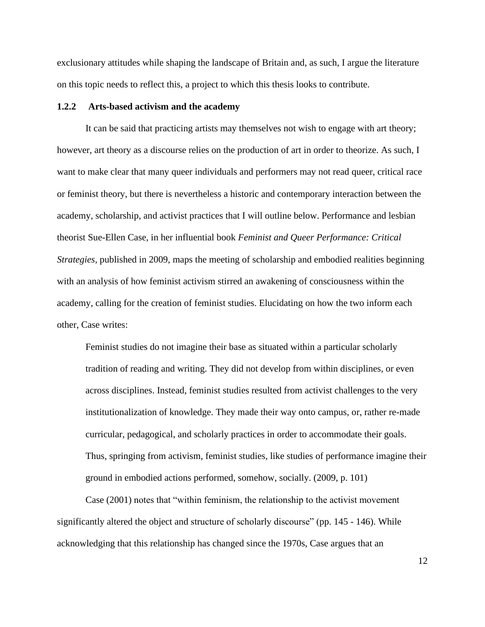exclusionary attitudes while shaping the landscape of Britain and, as such, I argue the literature on this topic needs to reflect this, a project to which this thesis looks to contribute.

### **1.2.2 Arts-based activism and the academy**

It can be said that practicing artists may themselves not wish to engage with art theory; however, art theory as a discourse relies on the production of art in order to theorize. As such, I want to make clear that many queer individuals and performers may not read queer, critical race or feminist theory, but there is nevertheless a historic and contemporary interaction between the academy, scholarship, and activist practices that I will outline below. Performance and lesbian theorist Sue-Ellen Case, in her influential book *Feminist and Queer Performance: Critical Strategies*, published in 2009, maps the meeting of scholarship and embodied realities beginning with an analysis of how feminist activism stirred an awakening of consciousness within the academy, calling for the creation of feminist studies. Elucidating on how the two inform each other, Case writes:

Feminist studies do not imagine their base as situated within a particular scholarly tradition of reading and writing. They did not develop from within disciplines, or even across disciplines. Instead, feminist studies resulted from activist challenges to the very institutionalization of knowledge. They made their way onto campus, or, rather re-made curricular, pedagogical, and scholarly practices in order to accommodate their goals. Thus, springing from activism, feminist studies, like studies of performance imagine their ground in embodied actions performed, somehow, socially. (2009, p. 101)

Case (2001) notes that "within feminism, the relationship to the activist movement significantly altered the object and structure of scholarly discourse" (pp. 145 - 146). While acknowledging that this relationship has changed since the 1970s, Case argues that an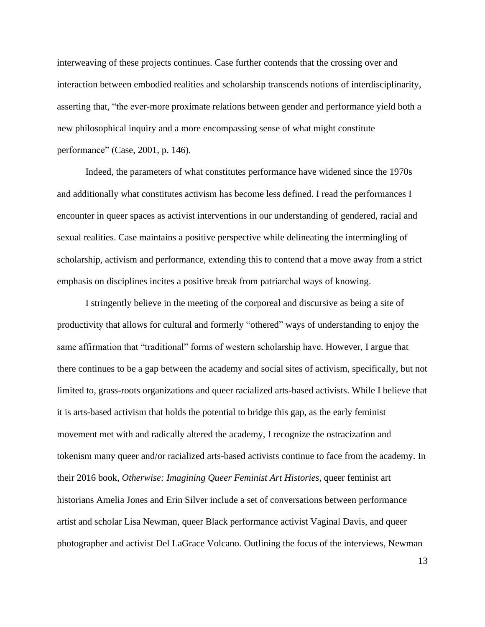interweaving of these projects continues. Case further contends that the crossing over and interaction between embodied realities and scholarship transcends notions of interdisciplinarity, asserting that, "the ever-more proximate relations between gender and performance yield both a new philosophical inquiry and a more encompassing sense of what might constitute performance" (Case, 2001, p. 146).

Indeed, the parameters of what constitutes performance have widened since the 1970s and additionally what constitutes activism has become less defined. I read the performances I encounter in queer spaces as activist interventions in our understanding of gendered, racial and sexual realities. Case maintains a positive perspective while delineating the intermingling of scholarship, activism and performance, extending this to contend that a move away from a strict emphasis on disciplines incites a positive break from patriarchal ways of knowing.

I stringently believe in the meeting of the corporeal and discursive as being a site of productivity that allows for cultural and formerly "othered" ways of understanding to enjoy the same affirmation that "traditional" forms of western scholarship have. However, I argue that there continues to be a gap between the academy and social sites of activism, specifically, but not limited to, grass-roots organizations and queer racialized arts-based activists. While I believe that it is arts-based activism that holds the potential to bridge this gap, as the early feminist movement met with and radically altered the academy, I recognize the ostracization and tokenism many queer and/or racialized arts-based activists continue to face from the academy. In their 2016 book, *Otherwise: Imagining Queer Feminist Art Histories,* queer feminist art historians Amelia Jones and Erin Silver include a set of conversations between performance artist and scholar Lisa Newman, queer Black performance activist Vaginal Davis, and queer photographer and activist Del LaGrace Volcano. Outlining the focus of the interviews, Newman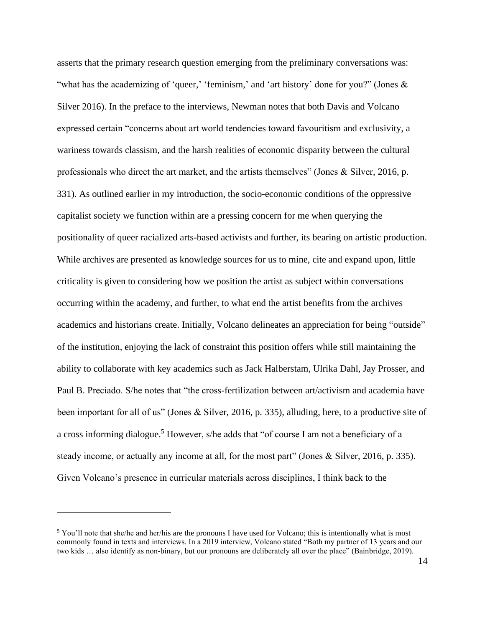asserts that the primary research question emerging from the preliminary conversations was: "what has the academizing of 'queer,' 'feminism,' and 'art history' done for you?" (Jones & Silver 2016). In the preface to the interviews, Newman notes that both Davis and Volcano expressed certain "concerns about art world tendencies toward favouritism and exclusivity, a wariness towards classism, and the harsh realities of economic disparity between the cultural professionals who direct the art market, and the artists themselves" (Jones & Silver, 2016, p. 331). As outlined earlier in my introduction, the socio-economic conditions of the oppressive capitalist society we function within are a pressing concern for me when querying the positionality of queer racialized arts-based activists and further, its bearing on artistic production. While archives are presented as knowledge sources for us to mine, cite and expand upon, little criticality is given to considering how we position the artist as subject within conversations occurring within the academy, and further, to what end the artist benefits from the archives academics and historians create. Initially, Volcano delineates an appreciation for being "outside" of the institution, enjoying the lack of constraint this position offers while still maintaining the ability to collaborate with key academics such as Jack Halberstam, Ulrika Dahl, Jay Prosser, and Paul B. Preciado. S/he notes that "the cross-fertilization between art/activism and academia have been important for all of us" (Jones & Silver, 2016, p. 335), alluding, here, to a productive site of a cross informing dialogue.<sup>5</sup> However, s/he adds that "of course I am not a beneficiary of a steady income, or actually any income at all, for the most part" (Jones & Silver, 2016, p. 335). Given Volcano's presence in curricular materials across disciplines, I think back to the

<sup>5</sup> You'll note that she/he and her/his are the pronouns I have used for Volcano; this is intentionally what is most commonly found in texts and interviews. In a 2019 interview, Volcano stated "Both my partner of 13 years and our two kids … also identify as non-binary, but our pronouns are deliberately all over the place" (Bainbridge, 2019).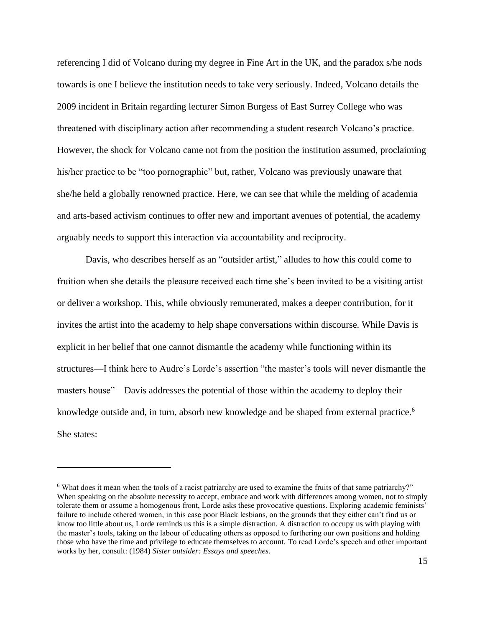referencing I did of Volcano during my degree in Fine Art in the UK, and the paradox s/he nods towards is one I believe the institution needs to take very seriously. Indeed, Volcano details the 2009 incident in Britain regarding lecturer Simon Burgess of East Surrey College who was threatened with disciplinary action after recommending a student research Volcano's practice. However, the shock for Volcano came not from the position the institution assumed, proclaiming his/her practice to be "too pornographic" but, rather, Volcano was previously unaware that she/he held a globally renowned practice. Here, we can see that while the melding of academia and arts-based activism continues to offer new and important avenues of potential, the academy arguably needs to support this interaction via accountability and reciprocity.

Davis, who describes herself as an "outsider artist," alludes to how this could come to fruition when she details the pleasure received each time she's been invited to be a visiting artist or deliver a workshop. This, while obviously remunerated, makes a deeper contribution, for it invites the artist into the academy to help shape conversations within discourse. While Davis is explicit in her belief that one cannot dismantle the academy while functioning within its structures—I think here to Audre's Lorde's assertion "the master's tools will never dismantle the masters house"—Davis addresses the potential of those within the academy to deploy their knowledge outside and, in turn, absorb new knowledge and be shaped from external practice.<sup>6</sup> She states:

<sup>&</sup>lt;sup>6</sup> What does it mean when the tools of a racist patriarchy are used to examine the fruits of that same patriarchy?" When speaking on the absolute necessity to accept, embrace and work with differences among women, not to simply tolerate them or assume a homogenous front, Lorde asks these provocative questions. Exploring academic feminists' failure to include othered women, in this case poor Black lesbians, on the grounds that they either can't find us or know too little about us, Lorde reminds us this is a simple distraction. A distraction to occupy us with playing with the master's tools, taking on the labour of educating others as opposed to furthering our own positions and holding those who have the time and privilege to educate themselves to account. To read Lorde's speech and other important works by her, consult: (1984) *Sister outsider: Essays and speeches*.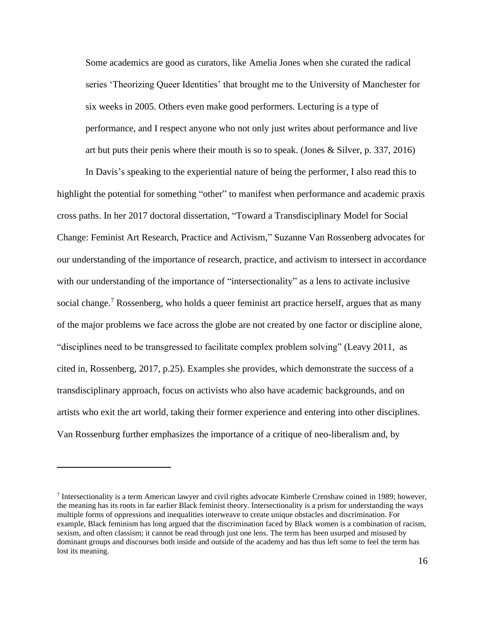Some academics are good as curators, like Amelia Jones when she curated the radical series 'Theorizing Queer Identities' that brought me to the University of Manchester for six weeks in 2005. Others even make good performers. Lecturing is a type of performance, and I respect anyone who not only just writes about performance and live art but puts their penis where their mouth is so to speak. (Jones & Silver, p. 337, 2016)

In Davis's speaking to the experiential nature of being the performer, I also read this to highlight the potential for something "other" to manifest when performance and academic praxis cross paths. In her 2017 doctoral dissertation, "Toward a Transdisciplinary Model for Social Change: Feminist Art Research, Practice and Activism," Suzanne Van Rossenberg advocates for our understanding of the importance of research, practice, and activism to intersect in accordance with our understanding of the importance of "intersectionality" as a lens to activate inclusive social change.<sup>7</sup> Rossenberg, who holds a queer feminist art practice herself, argues that as many of the major problems we face across the globe are not created by one factor or discipline alone, "disciplines need to be transgressed to facilitate complex problem solving" (Leavy 2011, as cited in, Rossenberg, 2017, p.25). Examples she provides, which demonstrate the success of a transdisciplinary approach, focus on activists who also have academic backgrounds, and on artists who exit the art world, taking their former experience and entering into other disciplines. Van Rossenburg further emphasizes the importance of a critique of neo-liberalism and, by

<sup>7</sup> Intersectionality is a term American lawyer and civil rights advocate Kimberle Crenshaw coined in 1989; however, the meaning has its roots in far earlier Black feminist theory. Intersectionality is a prism for understanding the ways multiple forms of oppressions and inequalities interweave to create unique obstacles and discrimination. For example, Black feminism has long argued that the discrimination faced by Black women is a combination of racism, sexism, and often classism; it cannot be read through just one lens. The term has been usurped and misused by dominant groups and discourses both inside and outside of the academy and has thus left some to feel the term has lost its meaning.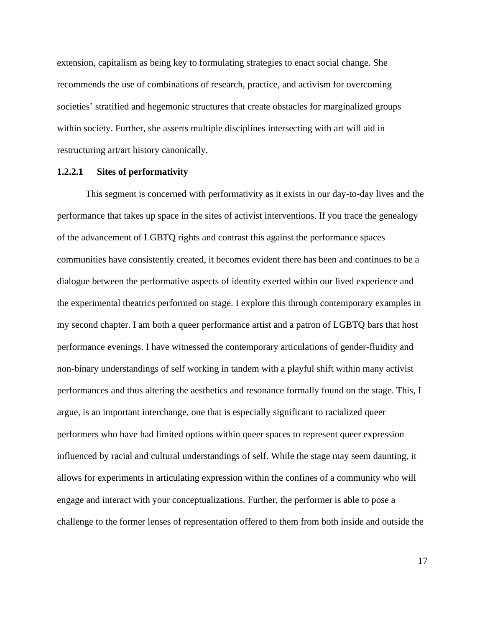extension, capitalism as being key to formulating strategies to enact social change. She recommends the use of combinations of research, practice, and activism for overcoming societies' stratified and hegemonic structures that create obstacles for marginalized groups within society. Further, she asserts multiple disciplines intersecting with art will aid in restructuring art/art history canonically.

### **1.2.2.1 Sites of performativity**

This segment is concerned with performativity as it exists in our day-to-day lives and the performance that takes up space in the sites of activist interventions. If you trace the genealogy of the advancement of LGBTQ rights and contrast this against the performance spaces communities have consistently created, it becomes evident there has been and continues to be a dialogue between the performative aspects of identity exerted within our lived experience and the experimental theatrics performed on stage. I explore this through contemporary examples in my second chapter. I am both a queer performance artist and a patron of LGBTQ bars that host performance evenings. I have witnessed the contemporary articulations of gender-fluidity and non-binary understandings of self working in tandem with a playful shift within many activist performances and thus altering the aesthetics and resonance formally found on the stage. This, I argue, is an important interchange, one that is especially significant to racialized queer performers who have had limited options within queer spaces to represent queer expression influenced by racial and cultural understandings of self. While the stage may seem daunting, it allows for experiments in articulating expression within the confines of a community who will engage and interact with your conceptualizations. Further, the performer is able to pose a challenge to the former lenses of representation offered to them from both inside and outside the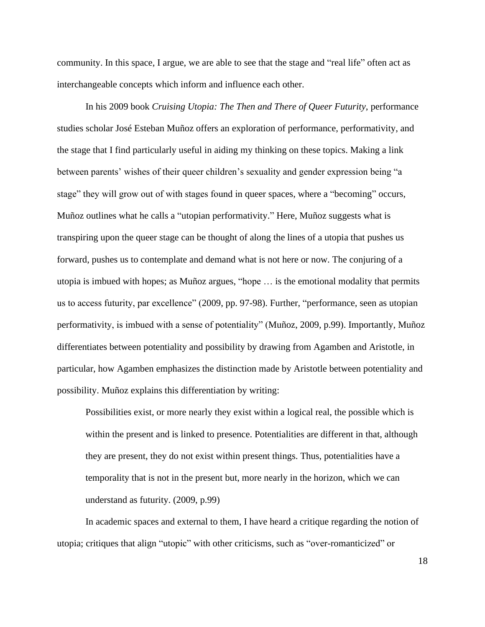community. In this space, I argue, we are able to see that the stage and "real life" often act as interchangeable concepts which inform and influence each other.

In his 2009 book *Cruising Utopia: The Then and There of Queer Futurity*, performance studies scholar José Esteban Muñoz offers an exploration of performance, performativity, and the stage that I find particularly useful in aiding my thinking on these topics. Making a link between parents' wishes of their queer children's sexuality and gender expression being "a stage" they will grow out of with stages found in queer spaces, where a "becoming" occurs, Muñoz outlines what he calls a "utopian performativity." Here, Muñoz suggests what is transpiring upon the queer stage can be thought of along the lines of a utopia that pushes us forward, pushes us to contemplate and demand what is not here or now. The conjuring of a utopia is imbued with hopes; as Muñoz argues, "hope … is the emotional modality that permits us to access futurity, par excellence" (2009, pp. 97-98). Further, "performance, seen as utopian performativity, is imbued with a sense of potentiality" (Muñoz, 2009, p.99). Importantly, Muñoz differentiates between potentiality and possibility by drawing from Agamben and Aristotle, in particular, how Agamben emphasizes the distinction made by Aristotle between potentiality and possibility. Muñoz explains this differentiation by writing:

Possibilities exist, or more nearly they exist within a logical real, the possible which is within the present and is linked to presence. Potentialities are different in that, although they are present, they do not exist within present things. Thus, potentialities have a temporality that is not in the present but, more nearly in the horizon, which we can understand as futurity. (2009, p.99)

In academic spaces and external to them, I have heard a critique regarding the notion of utopia; critiques that align "utopic" with other criticisms, such as "over-romanticized" or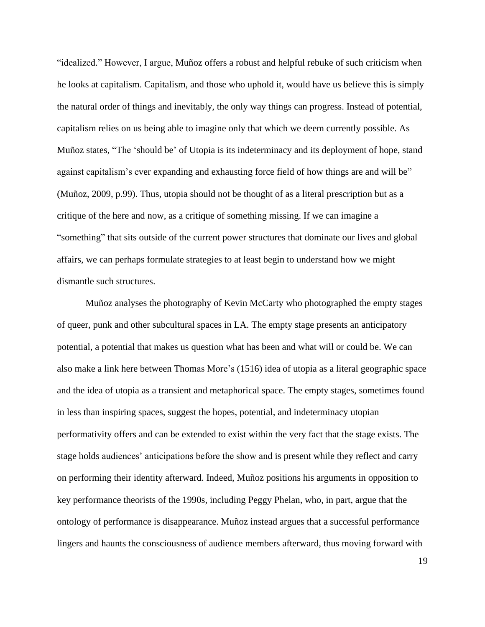"idealized." However, I argue, Muñoz offers a robust and helpful rebuke of such criticism when he looks at capitalism. Capitalism, and those who uphold it, would have us believe this is simply the natural order of things and inevitably, the only way things can progress. Instead of potential, capitalism relies on us being able to imagine only that which we deem currently possible. As Muñoz states, "The 'should be' of Utopia is its indeterminacy and its deployment of hope, stand against capitalism's ever expanding and exhausting force field of how things are and will be" (Muñoz, 2009, p.99). Thus, utopia should not be thought of as a literal prescription but as a critique of the here and now, as a critique of something missing. If we can imagine a "something" that sits outside of the current power structures that dominate our lives and global affairs, we can perhaps formulate strategies to at least begin to understand how we might dismantle such structures.

Muñoz analyses the photography of Kevin McCarty who photographed the empty stages of queer, punk and other subcultural spaces in LA. The empty stage presents an anticipatory potential, a potential that makes us question what has been and what will or could be. We can also make a link here between Thomas More's (1516) idea of utopia as a literal geographic space and the idea of utopia as a transient and metaphorical space. The empty stages, sometimes found in less than inspiring spaces, suggest the hopes, potential, and indeterminacy utopian performativity offers and can be extended to exist within the very fact that the stage exists. The stage holds audiences' anticipations before the show and is present while they reflect and carry on performing their identity afterward. Indeed, Muñoz positions his arguments in opposition to key performance theorists of the 1990s, including Peggy Phelan, who, in part, argue that the ontology of performance is disappearance. Muñoz instead argues that a successful performance lingers and haunts the consciousness of audience members afterward, thus moving forward with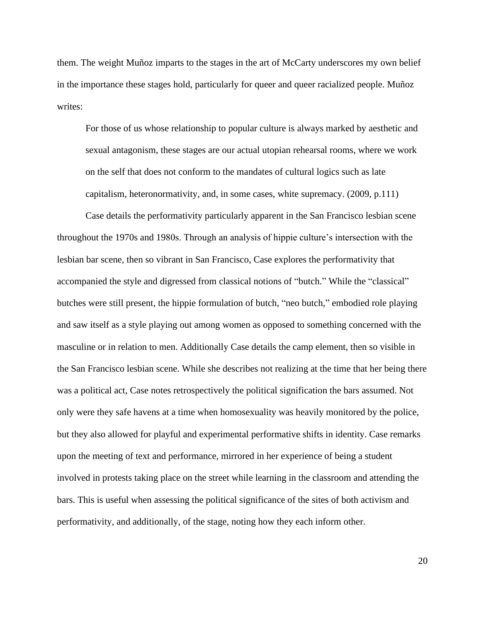them. The weight Muñoz imparts to the stages in the art of McCarty underscores my own belief in the importance these stages hold, particularly for queer and queer racialized people. Muñoz writes:

For those of us whose relationship to popular culture is always marked by aesthetic and sexual antagonism, these stages are our actual utopian rehearsal rooms, where we work on the self that does not conform to the mandates of cultural logics such as late capitalism, heteronormativity, and, in some cases, white supremacy. (2009, p.111)

Case details the performativity particularly apparent in the San Francisco lesbian scene throughout the 1970s and 1980s. Through an analysis of hippie culture's intersection with the lesbian bar scene, then so vibrant in San Francisco, Case explores the performativity that accompanied the style and digressed from classical notions of "butch." While the "classical" butches were still present, the hippie formulation of butch, "neo butch," embodied role playing and saw itself as a style playing out among women as opposed to something concerned with the masculine or in relation to men. Additionally Case details the camp element, then so visible in the San Francisco lesbian scene. While she describes not realizing at the time that her being there was a political act, Case notes retrospectively the political signification the bars assumed. Not only were they safe havens at a time when homosexuality was heavily monitored by the police, but they also allowed for playful and experimental performative shifts in identity. Case remarks upon the meeting of text and performance, mirrored in her experience of being a student involved in protests taking place on the street while learning in the classroom and attending the bars. This is useful when assessing the political significance of the sites of both activism and performativity, and additionally, of the stage, noting how they each inform other.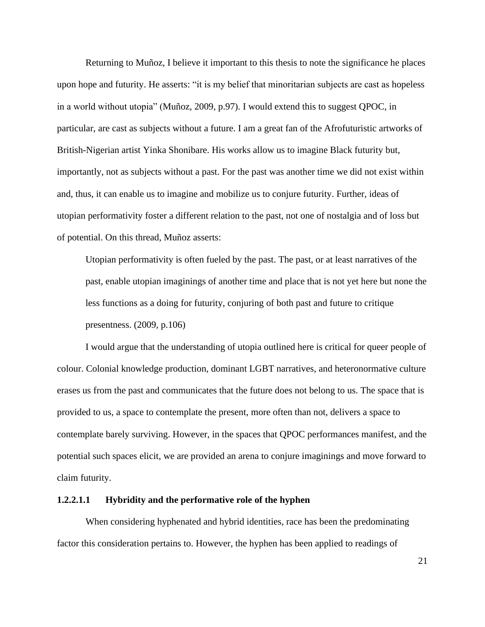Returning to Muñoz, I believe it important to this thesis to note the significance he places upon hope and futurity. He asserts: "it is my belief that minoritarian subjects are cast as hopeless in a world without utopia" (Muñoz, 2009, p.97). I would extend this to suggest QPOC, in particular, are cast as subjects without a future. I am a great fan of the Afrofuturistic artworks of British-Nigerian artist Yinka Shonibare. His works allow us to imagine Black futurity but, importantly, not as subjects without a past. For the past was another time we did not exist within and, thus, it can enable us to imagine and mobilize us to conjure futurity. Further, ideas of utopian performativity foster a different relation to the past, not one of nostalgia and of loss but of potential. On this thread, Muñoz asserts:

Utopian performativity is often fueled by the past. The past, or at least narratives of the past, enable utopian imaginings of another time and place that is not yet here but none the less functions as a doing for futurity, conjuring of both past and future to critique presentness. (2009, p.106)

I would argue that the understanding of utopia outlined here is critical for queer people of colour. Colonial knowledge production, dominant LGBT narratives, and heteronormative culture erases us from the past and communicates that the future does not belong to us. The space that is provided to us, a space to contemplate the present, more often than not, delivers a space to contemplate barely surviving. However, in the spaces that QPOC performances manifest, and the potential such spaces elicit, we are provided an arena to conjure imaginings and move forward to claim futurity.

#### **1.2.2.1.1 Hybridity and the performative role of the hyphen**

When considering hyphenated and hybrid identities, race has been the predominating factor this consideration pertains to. However, the hyphen has been applied to readings of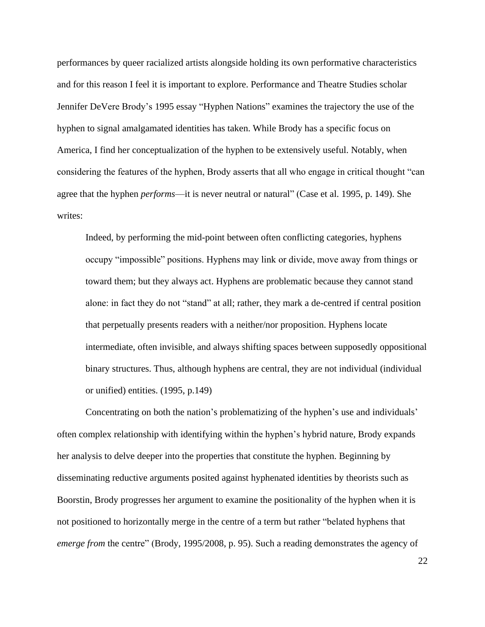performances by queer racialized artists alongside holding its own performative characteristics and for this reason I feel it is important to explore. Performance and Theatre Studies scholar Jennifer DeVere Brody's 1995 essay "Hyphen Nations" examines the trajectory the use of the hyphen to signal amalgamated identities has taken. While Brody has a specific focus on America, I find her conceptualization of the hyphen to be extensively useful. Notably, when considering the features of the hyphen, Brody asserts that all who engage in critical thought "can agree that the hyphen *performs*—it is never neutral or natural" (Case et al. 1995, p. 149). She writes:

Indeed, by performing the mid-point between often conflicting categories, hyphens occupy "impossible" positions. Hyphens may link or divide, move away from things or toward them; but they always act. Hyphens are problematic because they cannot stand alone: in fact they do not "stand" at all; rather, they mark a de-centred if central position that perpetually presents readers with a neither/nor proposition. Hyphens locate intermediate, often invisible, and always shifting spaces between supposedly oppositional binary structures. Thus, although hyphens are central, they are not individual (individual or unified) entities. (1995, p.149)

Concentrating on both the nation's problematizing of the hyphen's use and individuals' often complex relationship with identifying within the hyphen's hybrid nature, Brody expands her analysis to delve deeper into the properties that constitute the hyphen. Beginning by disseminating reductive arguments posited against hyphenated identities by theorists such as Boorstin, Brody progresses her argument to examine the positionality of the hyphen when it is not positioned to horizontally merge in the centre of a term but rather "belated hyphens that *emerge from the centre*" (Brody, 1995/2008, p. 95). Such a reading demonstrates the agency of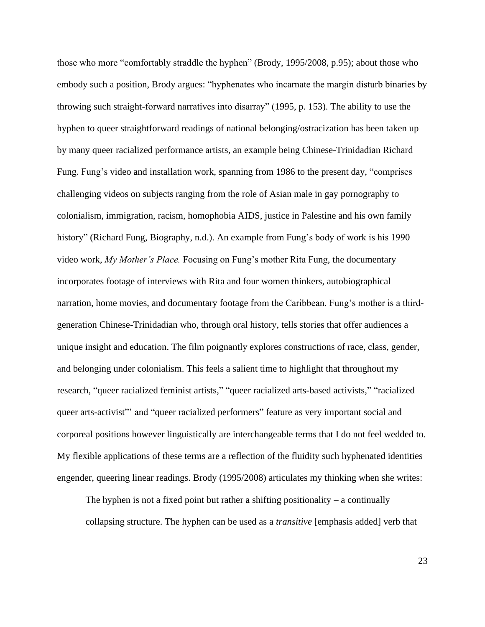those who more "comfortably straddle the hyphen" (Brody, 1995/2008, p.95); about those who embody such a position, Brody argues: "hyphenates who incarnate the margin disturb binaries by throwing such straight-forward narratives into disarray" (1995, p. 153). The ability to use the hyphen to queer straightforward readings of national belonging/ostracization has been taken up by many queer racialized performance artists, an example being Chinese-Trinidadian Richard Fung. Fung's video and installation work, spanning from 1986 to the present day, "comprises challenging videos on subjects ranging from the role of Asian male in gay pornography to colonialism, immigration, racism, homophobia AIDS, justice in Palestine and his own family history" (Richard Fung, Biography, n.d.). An example from Fung's body of work is his 1990 video work, *My Mother's Place.* Focusing on Fung's mother Rita Fung, the documentary incorporates footage of interviews with Rita and four women thinkers, autobiographical narration, home movies, and documentary footage from the Caribbean. Fung's mother is a thirdgeneration Chinese-Trinidadian who, through oral history, tells stories that offer audiences a unique insight and education. The film poignantly explores constructions of race, class, gender, and belonging under colonialism. This feels a salient time to highlight that throughout my research, "queer racialized feminist artists," "queer racialized arts-based activists," "racialized queer arts-activist"' and "queer racialized performers" feature as very important social and corporeal positions however linguistically are interchangeable terms that I do not feel wedded to. My flexible applications of these terms are a reflection of the fluidity such hyphenated identities engender, queering linear readings. Brody (1995/2008) articulates my thinking when she writes:

The hyphen is not a fixed point but rather a shifting positionality – a continually collapsing structure. The hyphen can be used as a *transitive* [emphasis added] verb that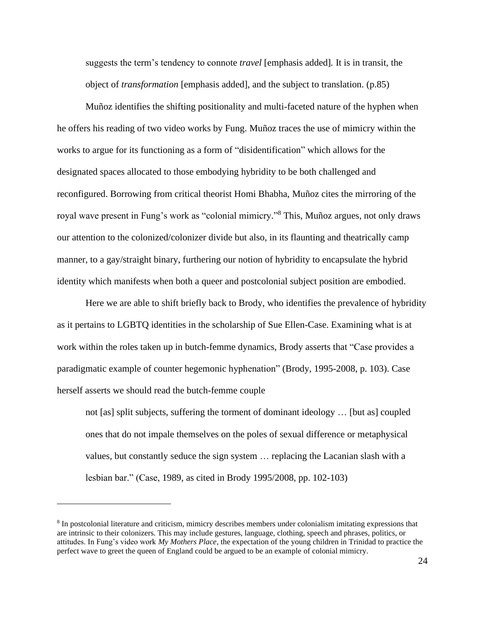suggests the term's tendency to connote *travel* [emphasis added]*.* It is in transit, the object of *transformation* [emphasis added], and the subject to translation. (p.85)

Muñoz identifies the shifting positionality and multi-faceted nature of the hyphen when he offers his reading of two video works by Fung. Muñoz traces the use of mimicry within the works to argue for its functioning as a form of "disidentification" which allows for the designated spaces allocated to those embodying hybridity to be both challenged and reconfigured. Borrowing from critical theorist Homi Bhabha, Muñoz cites the mirroring of the royal wave present in Fung's work as "colonial mimicry." <sup>8</sup> This, Muñoz argues, not only draws our attention to the colonized/colonizer divide but also, in its flaunting and theatrically camp manner, to a gay/straight binary, furthering our notion of hybridity to encapsulate the hybrid identity which manifests when both a queer and postcolonial subject position are embodied.

Here we are able to shift briefly back to Brody, who identifies the prevalence of hybridity as it pertains to LGBTQ identities in the scholarship of Sue Ellen-Case. Examining what is at work within the roles taken up in butch-femme dynamics, Brody asserts that "Case provides a paradigmatic example of counter hegemonic hyphenation" (Brody, 1995-2008, p. 103). Case herself asserts we should read the butch-femme couple

not [as] split subjects, suffering the torment of dominant ideology … [but as] coupled ones that do not impale themselves on the poles of sexual difference or metaphysical values, but constantly seduce the sign system … replacing the Lacanian slash with a lesbian bar." (Case, 1989, as cited in Brody 1995/2008, pp. 102-103)

<sup>&</sup>lt;sup>8</sup> In postcolonial literature and criticism, mimicry describes members under colonialism imitating expressions that are intrinsic to their colonizers. This may include gestures, language, clothing, speech and phrases, politics, or attitudes. In Fung's video work *My Mothers Place*, the expectation of the young children in Trinidad to practice the perfect wave to greet the queen of England could be argued to be an example of colonial mimicry.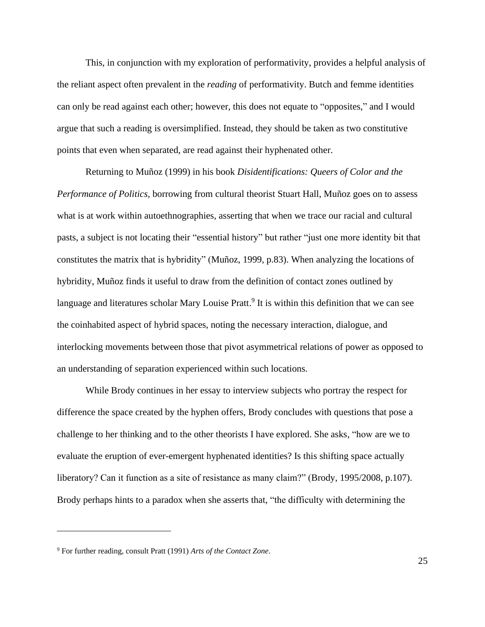This, in conjunction with my exploration of performativity, provides a helpful analysis of the reliant aspect often prevalent in the *reading* of performativity. Butch and femme identities can only be read against each other; however, this does not equate to "opposites," and I would argue that such a reading is oversimplified. Instead, they should be taken as two constitutive points that even when separated, are read against their hyphenated other.

Returning to Muñoz (1999) in his book *Disidentifications: Queers of Color and the Performance of Politics,* borrowing from cultural theorist Stuart Hall, Muñoz goes on to assess what is at work within autoethnographies, asserting that when we trace our racial and cultural pasts, a subject is not locating their "essential history" but rather "just one more identity bit that constitutes the matrix that is hybridity" (Muñoz, 1999, p.83). When analyzing the locations of hybridity, Muñoz finds it useful to draw from the definition of contact zones outlined by language and literatures scholar Mary Louise Pratt.<sup>9</sup> It is within this definition that we can see the coinhabited aspect of hybrid spaces, noting the necessary interaction, dialogue, and interlocking movements between those that pivot asymmetrical relations of power as opposed to an understanding of separation experienced within such locations.

While Brody continues in her essay to interview subjects who portray the respect for difference the space created by the hyphen offers, Brody concludes with questions that pose a challenge to her thinking and to the other theorists I have explored. She asks, "how are we to evaluate the eruption of ever-emergent hyphenated identities? Is this shifting space actually liberatory? Can it function as a site of resistance as many claim?" (Brody, 1995/2008, p.107). Brody perhaps hints to a paradox when she asserts that, "the difficulty with determining the

<sup>9</sup> For further reading, consult Pratt (1991) *Arts of the Contact Zone*.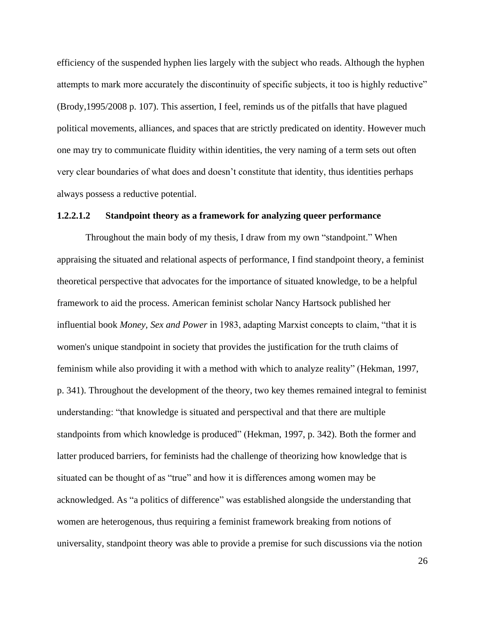efficiency of the suspended hyphen lies largely with the subject who reads. Although the hyphen attempts to mark more accurately the discontinuity of specific subjects, it too is highly reductive" (Brody,1995/2008 p. 107). This assertion, I feel, reminds us of the pitfalls that have plagued political movements, alliances, and spaces that are strictly predicated on identity. However much one may try to communicate fluidity within identities, the very naming of a term sets out often very clear boundaries of what does and doesn't constitute that identity, thus identities perhaps always possess a reductive potential.

### **1.2.2.1.2 Standpoint theory as a framework for analyzing queer performance**

Throughout the main body of my thesis, I draw from my own "standpoint." When appraising the situated and relational aspects of performance, I find standpoint theory, a feminist theoretical perspective that advocates for the importance of situated knowledge, to be a helpful framework to aid the process. American feminist scholar Nancy Hartsock published her influential book *Money, Sex and Power* in 1983, adapting Marxist concepts to claim, "that it is women's unique standpoint in society that provides the justification for the truth claims of feminism while also providing it with a method with which to analyze reality" (Hekman, 1997, p. 341). Throughout the development of the theory, two key themes remained integral to feminist understanding: "that knowledge is situated and perspectival and that there are multiple standpoints from which knowledge is produced" (Hekman, 1997, p. 342). Both the former and latter produced barriers, for feminists had the challenge of theorizing how knowledge that is situated can be thought of as "true" and how it is differences among women may be acknowledged. As "a politics of difference" was established alongside the understanding that women are heterogenous, thus requiring a feminist framework breaking from notions of universality, standpoint theory was able to provide a premise for such discussions via the notion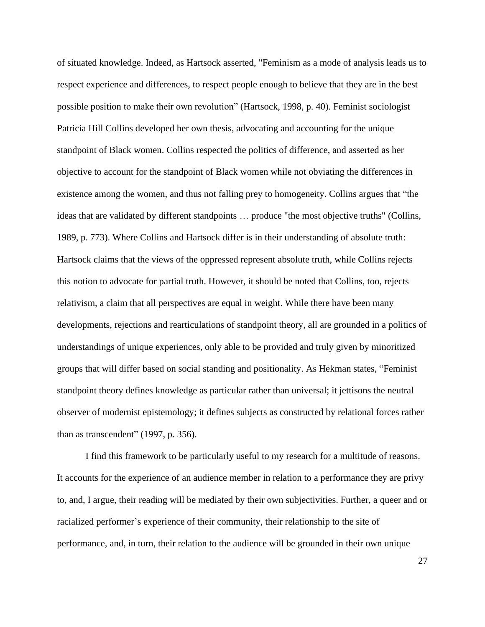of situated knowledge. Indeed, as Hartsock asserted, "Feminism as a mode of analysis leads us to respect experience and differences, to respect people enough to believe that they are in the best possible position to make their own revolution" (Hartsock, 1998, p. 40). Feminist sociologist Patricia Hill Collins developed her own thesis, advocating and accounting for the unique standpoint of Black women. Collins respected the politics of difference, and asserted as her objective to account for the standpoint of Black women while not obviating the differences in existence among the women, and thus not falling prey to homogeneity. Collins argues that "the ideas that are validated by different standpoints … produce "the most objective truths" (Collins, 1989, p. 773). Where Collins and Hartsock differ is in their understanding of absolute truth: Hartsock claims that the views of the oppressed represent absolute truth, while Collins rejects this notion to advocate for partial truth. However, it should be noted that Collins, too, rejects relativism, a claim that all perspectives are equal in weight. While there have been many developments, rejections and rearticulations of standpoint theory, all are grounded in a politics of understandings of unique experiences, only able to be provided and truly given by minoritized groups that will differ based on social standing and positionality. As Hekman states, "Feminist standpoint theory defines knowledge as particular rather than universal; it jettisons the neutral observer of modernist epistemology; it defines subjects as constructed by relational forces rather than as transcendent" (1997, p. 356).

I find this framework to be particularly useful to my research for a multitude of reasons. It accounts for the experience of an audience member in relation to a performance they are privy to, and, I argue, their reading will be mediated by their own subjectivities. Further, a queer and or racialized performer's experience of their community, their relationship to the site of performance, and, in turn, their relation to the audience will be grounded in their own unique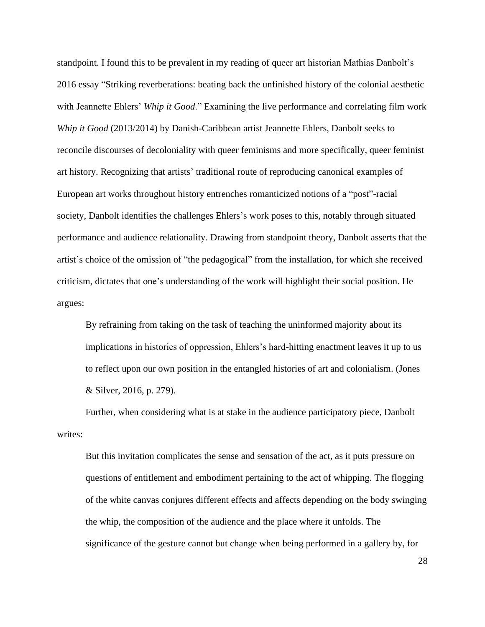standpoint. I found this to be prevalent in my reading of queer art historian Mathias Danbolt's 2016 essay "Striking reverberations: beating back the unfinished history of the colonial aesthetic with Jeannette Ehlers' *Whip it Good*." Examining the live performance and correlating film work *Whip it Good* (2013/2014) by Danish-Caribbean artist Jeannette Ehlers, Danbolt seeks to reconcile discourses of decoloniality with queer feminisms and more specifically, queer feminist art history. Recognizing that artists' traditional route of reproducing canonical examples of European art works throughout history entrenches romanticized notions of a "post"-racial society, Danbolt identifies the challenges Ehlers's work poses to this, notably through situated performance and audience relationality. Drawing from standpoint theory, Danbolt asserts that the artist's choice of the omission of "the pedagogical" from the installation, for which she received criticism, dictates that one's understanding of the work will highlight their social position. He argues:

By refraining from taking on the task of teaching the uninformed majority about its implications in histories of oppression, Ehlers's hard-hitting enactment leaves it up to us to reflect upon our own position in the entangled histories of art and colonialism. (Jones & Silver, 2016, p. 279).

Further, when considering what is at stake in the audience participatory piece, Danbolt writes:

But this invitation complicates the sense and sensation of the act, as it puts pressure on questions of entitlement and embodiment pertaining to the act of whipping. The flogging of the white canvas conjures different effects and affects depending on the body swinging the whip, the composition of the audience and the place where it unfolds. The significance of the gesture cannot but change when being performed in a gallery by, for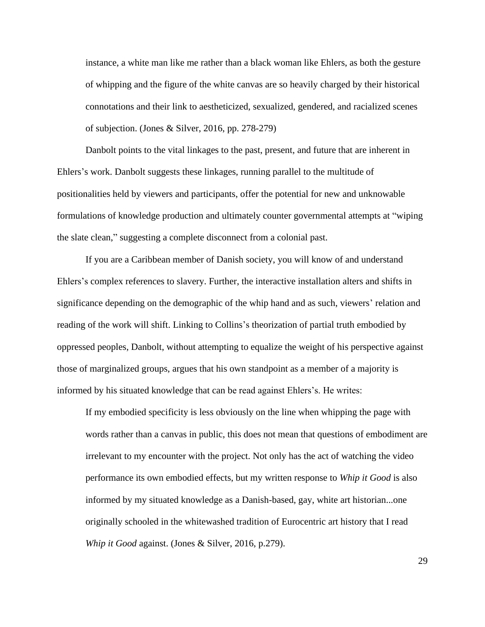instance, a white man like me rather than a black woman like Ehlers, as both the gesture of whipping and the figure of the white canvas are so heavily charged by their historical connotations and their link to aestheticized, sexualized, gendered, and racialized scenes of subjection. (Jones & Silver, 2016, pp. 278-279)

Danbolt points to the vital linkages to the past, present, and future that are inherent in Ehlers's work. Danbolt suggests these linkages, running parallel to the multitude of positionalities held by viewers and participants, offer the potential for new and unknowable formulations of knowledge production and ultimately counter governmental attempts at "wiping the slate clean," suggesting a complete disconnect from a colonial past.

If you are a Caribbean member of Danish society, you will know of and understand Ehlers's complex references to slavery. Further, the interactive installation alters and shifts in significance depending on the demographic of the whip hand and as such, viewers' relation and reading of the work will shift. Linking to Collins's theorization of partial truth embodied by oppressed peoples, Danbolt, without attempting to equalize the weight of his perspective against those of marginalized groups, argues that his own standpoint as a member of a majority is informed by his situated knowledge that can be read against Ehlers's. He writes:

If my embodied specificity is less obviously on the line when whipping the page with words rather than a canvas in public, this does not mean that questions of embodiment are irrelevant to my encounter with the project. Not only has the act of watching the video performance its own embodied effects, but my written response to *Whip it Good* is also informed by my situated knowledge as a Danish-based, gay, white art historian...one originally schooled in the whitewashed tradition of Eurocentric art history that I read *Whip it Good* against. (Jones & Silver, 2016, p.279).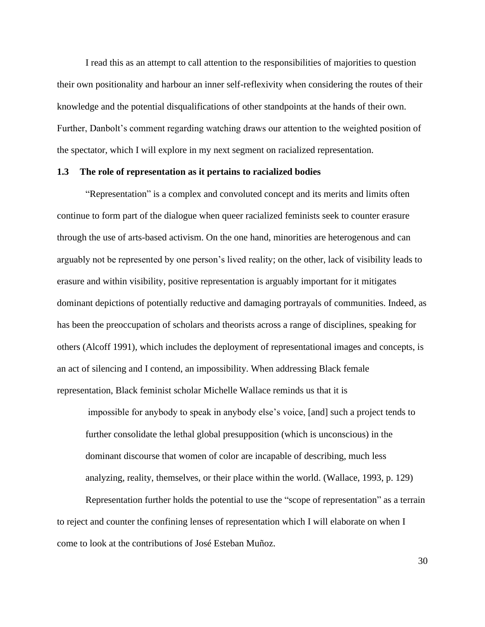I read this as an attempt to call attention to the responsibilities of majorities to question their own positionality and harbour an inner self-reflexivity when considering the routes of their knowledge and the potential disqualifications of other standpoints at the hands of their own. Further, Danbolt's comment regarding watching draws our attention to the weighted position of the spectator, which I will explore in my next segment on racialized representation.

## **1.3 The role of representation as it pertains to racialized bodies**

"Representation" is a complex and convoluted concept and its merits and limits often continue to form part of the dialogue when queer racialized feminists seek to counter erasure through the use of arts-based activism. On the one hand, minorities are heterogenous and can arguably not be represented by one person's lived reality; on the other, lack of visibility leads to erasure and within visibility, positive representation is arguably important for it mitigates dominant depictions of potentially reductive and damaging portrayals of communities. Indeed, as has been the preoccupation of scholars and theorists across a range of disciplines, speaking for others (Alcoff 1991), which includes the deployment of representational images and concepts, is an act of silencing and I contend, an impossibility. When addressing Black female representation, Black feminist scholar Michelle Wallace reminds us that it is

impossible for anybody to speak in anybody else's voice, [and] such a project tends to further consolidate the lethal global presupposition (which is unconscious) in the dominant discourse that women of color are incapable of describing, much less analyzing, reality, themselves, or their place within the world. (Wallace, 1993, p. 129)

Representation further holds the potential to use the "scope of representation" as a terrain to reject and counter the confining lenses of representation which I will elaborate on when I come to look at the contributions of José Esteban Muñoz.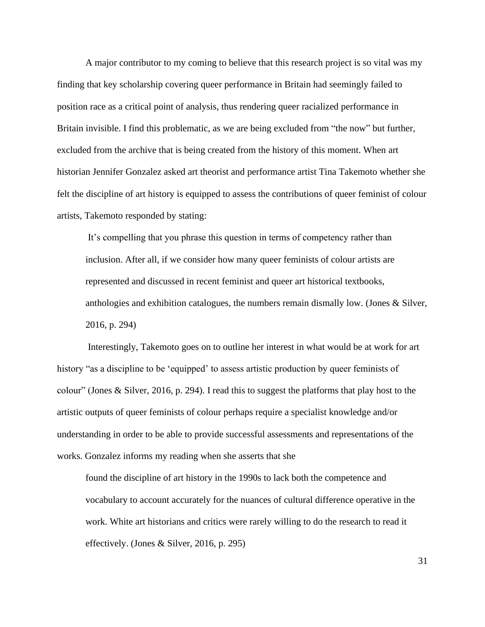A major contributor to my coming to believe that this research project is so vital was my finding that key scholarship covering queer performance in Britain had seemingly failed to position race as a critical point of analysis, thus rendering queer racialized performance in Britain invisible. I find this problematic, as we are being excluded from "the now" but further, excluded from the archive that is being created from the history of this moment. When art historian Jennifer Gonzalez asked art theorist and performance artist Tina Takemoto whether she felt the discipline of art history is equipped to assess the contributions of queer feminist of colour artists, Takemoto responded by stating:

It's compelling that you phrase this question in terms of competency rather than inclusion. After all, if we consider how many queer feminists of colour artists are represented and discussed in recent feminist and queer art historical textbooks, anthologies and exhibition catalogues, the numbers remain dismally low. (Jones & Silver, 2016, p. 294)

Interestingly, Takemoto goes on to outline her interest in what would be at work for art history "as a discipline to be 'equipped' to assess artistic production by queer feminists of colour" (Jones & Silver, 2016, p. 294). I read this to suggest the platforms that play host to the artistic outputs of queer feminists of colour perhaps require a specialist knowledge and/or understanding in order to be able to provide successful assessments and representations of the works. Gonzalez informs my reading when she asserts that she

found the discipline of art history in the 1990s to lack both the competence and vocabulary to account accurately for the nuances of cultural difference operative in the work. White art historians and critics were rarely willing to do the research to read it effectively. (Jones & Silver, 2016, p. 295)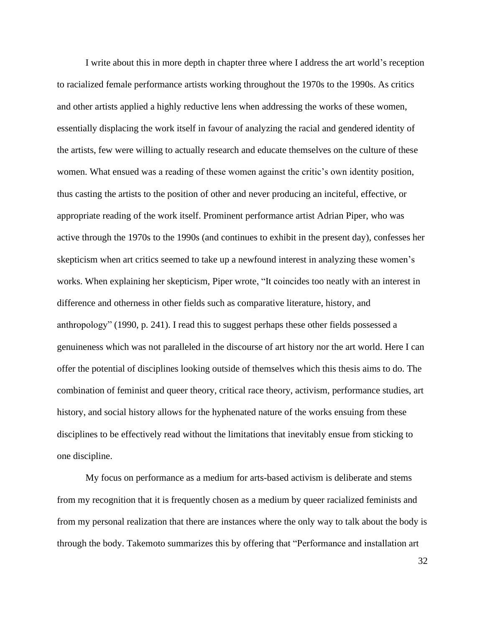I write about this in more depth in chapter three where I address the art world's reception to racialized female performance artists working throughout the 1970s to the 1990s. As critics and other artists applied a highly reductive lens when addressing the works of these women, essentially displacing the work itself in favour of analyzing the racial and gendered identity of the artists, few were willing to actually research and educate themselves on the culture of these women. What ensued was a reading of these women against the critic's own identity position, thus casting the artists to the position of other and never producing an inciteful, effective, or appropriate reading of the work itself. Prominent performance artist Adrian Piper, who was active through the 1970s to the 1990s (and continues to exhibit in the present day), confesses her skepticism when art critics seemed to take up a newfound interest in analyzing these women's works. When explaining her skepticism, Piper wrote, "It coincides too neatly with an interest in difference and otherness in other fields such as comparative literature, history, and anthropology" (1990, p. 241). I read this to suggest perhaps these other fields possessed a genuineness which was not paralleled in the discourse of art history nor the art world. Here I can offer the potential of disciplines looking outside of themselves which this thesis aims to do. The combination of feminist and queer theory, critical race theory, activism, performance studies, art history, and social history allows for the hyphenated nature of the works ensuing from these disciplines to be effectively read without the limitations that inevitably ensue from sticking to one discipline.

My focus on performance as a medium for arts-based activism is deliberate and stems from my recognition that it is frequently chosen as a medium by queer racialized feminists and from my personal realization that there are instances where the only way to talk about the body is through the body. Takemoto summarizes this by offering that "Performance and installation art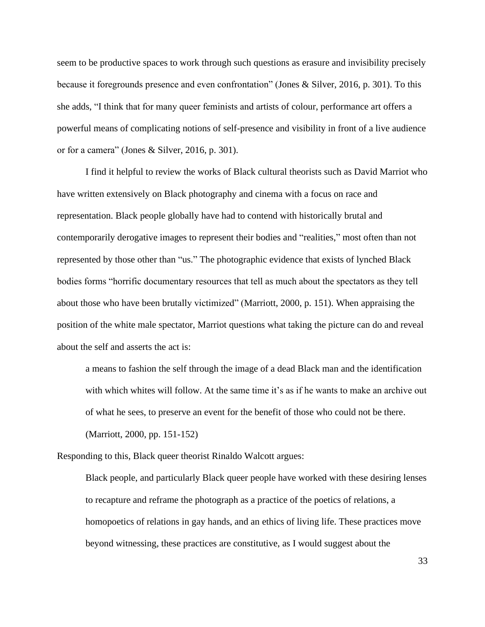seem to be productive spaces to work through such questions as erasure and invisibility precisely because it foregrounds presence and even confrontation" (Jones & Silver, 2016, p. 301). To this she adds, "I think that for many queer feminists and artists of colour, performance art offers a powerful means of complicating notions of self-presence and visibility in front of a live audience or for a camera" (Jones & Silver, 2016, p. 301).

I find it helpful to review the works of Black cultural theorists such as David Marriot who have written extensively on Black photography and cinema with a focus on race and representation. Black people globally have had to contend with historically brutal and contemporarily derogative images to represent their bodies and "realities," most often than not represented by those other than "us." The photographic evidence that exists of lynched Black bodies forms "horrific documentary resources that tell as much about the spectators as they tell about those who have been brutally victimized" (Marriott, 2000, p. 151). When appraising the position of the white male spectator, Marriot questions what taking the picture can do and reveal about the self and asserts the act is:

a means to fashion the self through the image of a dead Black man and the identification with which whites will follow. At the same time it's as if he wants to make an archive out of what he sees, to preserve an event for the benefit of those who could not be there. (Marriott, 2000, pp. 151-152)

Responding to this, Black queer theorist Rinaldo Walcott argues:

Black people, and particularly Black queer people have worked with these desiring lenses to recapture and reframe the photograph as a practice of the poetics of relations, a homopoetics of relations in gay hands, and an ethics of living life. These practices move beyond witnessing, these practices are constitutive, as I would suggest about the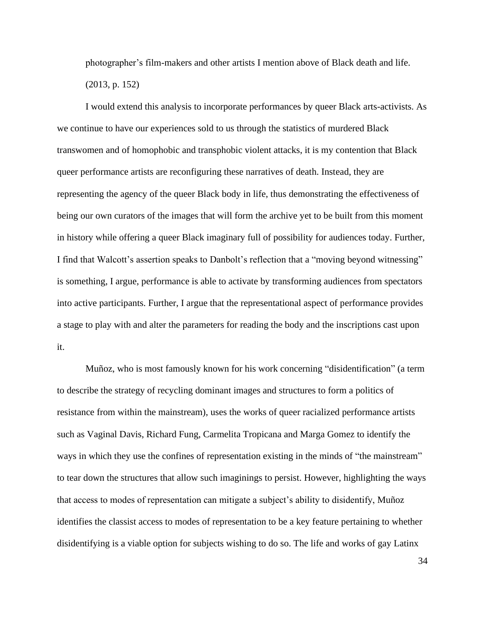photographer's film-makers and other artists I mention above of Black death and life. (2013, p. 152)

I would extend this analysis to incorporate performances by queer Black arts-activists. As we continue to have our experiences sold to us through the statistics of murdered Black transwomen and of homophobic and transphobic violent attacks, it is my contention that Black queer performance artists are reconfiguring these narratives of death. Instead, they are representing the agency of the queer Black body in life, thus demonstrating the effectiveness of being our own curators of the images that will form the archive yet to be built from this moment in history while offering a queer Black imaginary full of possibility for audiences today. Further, I find that Walcott's assertion speaks to Danbolt's reflection that a "moving beyond witnessing" is something, I argue, performance is able to activate by transforming audiences from spectators into active participants. Further, I argue that the representational aspect of performance provides a stage to play with and alter the parameters for reading the body and the inscriptions cast upon it.

Muñoz, who is most famously known for his work concerning "disidentification" (a term to describe the strategy of recycling dominant images and structures to form a politics of resistance from within the mainstream), uses the works of queer racialized performance artists such as Vaginal Davis, Richard Fung, Carmelita Tropicana and Marga Gomez to identify the ways in which they use the confines of representation existing in the minds of "the mainstream" to tear down the structures that allow such imaginings to persist. However, highlighting the ways that access to modes of representation can mitigate a subject's ability to disidentify, Muñoz identifies the classist access to modes of representation to be a key feature pertaining to whether disidentifying is a viable option for subjects wishing to do so. The life and works of gay Latinx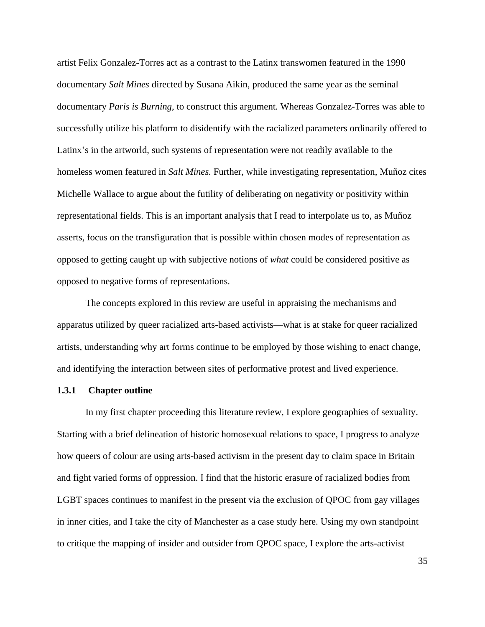artist Felix Gonzalez-Torres act as a contrast to the Latinx transwomen featured in the 1990 documentary *Salt Mines* directed by Susana Aikin, produced the same year as the seminal documentary *Paris is Burning*, to construct this argument*.* Whereas Gonzalez-Torres was able to successfully utilize his platform to disidentify with the racialized parameters ordinarily offered to Latinx's in the artworld, such systems of representation were not readily available to the homeless women featured in *Salt Mines.* Further, while investigating representation, Muñoz cites Michelle Wallace to argue about the futility of deliberating on negativity or positivity within representational fields. This is an important analysis that I read to interpolate us to, as Muñoz asserts, focus on the transfiguration that is possible within chosen modes of representation as opposed to getting caught up with subjective notions of *what* could be considered positive as opposed to negative forms of representations.

The concepts explored in this review are useful in appraising the mechanisms and apparatus utilized by queer racialized arts-based activists—what is at stake for queer racialized artists, understanding why art forms continue to be employed by those wishing to enact change, and identifying the interaction between sites of performative protest and lived experience.

## **1.3.1 Chapter outline**

In my first chapter proceeding this literature review, I explore geographies of sexuality. Starting with a brief delineation of historic homosexual relations to space, I progress to analyze how queers of colour are using arts-based activism in the present day to claim space in Britain and fight varied forms of oppression. I find that the historic erasure of racialized bodies from LGBT spaces continues to manifest in the present via the exclusion of QPOC from gay villages in inner cities, and I take the city of Manchester as a case study here. Using my own standpoint to critique the mapping of insider and outsider from QPOC space, I explore the arts-activist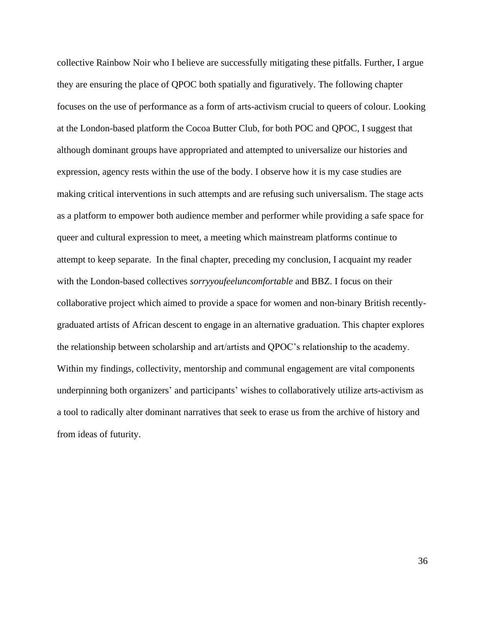collective Rainbow Noir who I believe are successfully mitigating these pitfalls. Further, I argue they are ensuring the place of QPOC both spatially and figuratively. The following chapter focuses on the use of performance as a form of arts-activism crucial to queers of colour. Looking at the London-based platform the Cocoa Butter Club, for both POC and QPOC, I suggest that although dominant groups have appropriated and attempted to universalize our histories and expression, agency rests within the use of the body. I observe how it is my case studies are making critical interventions in such attempts and are refusing such universalism. The stage acts as a platform to empower both audience member and performer while providing a safe space for queer and cultural expression to meet, a meeting which mainstream platforms continue to attempt to keep separate. In the final chapter, preceding my conclusion, I acquaint my reader with the London-based collectives *sorryyoufeeluncomfortable* and BBZ. I focus on their collaborative project which aimed to provide a space for women and non-binary British recentlygraduated artists of African descent to engage in an alternative graduation. This chapter explores the relationship between scholarship and art/artists and QPOC's relationship to the academy. Within my findings, collectivity, mentorship and communal engagement are vital components underpinning both organizers' and participants' wishes to collaboratively utilize arts-activism as a tool to radically alter dominant narratives that seek to erase us from the archive of history and from ideas of futurity.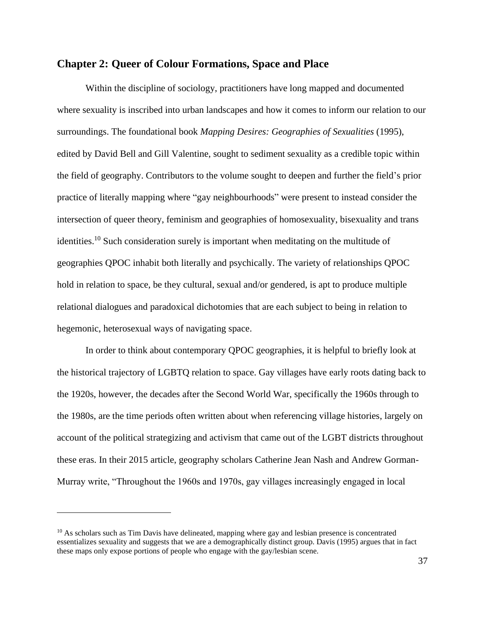# **Chapter 2: Queer of Colour Formations, Space and Place**

Within the discipline of sociology, practitioners have long mapped and documented where sexuality is inscribed into urban landscapes and how it comes to inform our relation to our surroundings. The foundational book *Mapping Desires: Geographies of Sexualities* (1995), edited by David Bell and Gill Valentine, sought to sediment sexuality as a credible topic within the field of geography. Contributors to the volume sought to deepen and further the field's prior practice of literally mapping where "gay neighbourhoods" were present to instead consider the intersection of queer theory, feminism and geographies of homosexuality, bisexuality and trans identities.<sup>10</sup> Such consideration surely is important when meditating on the multitude of geographies QPOC inhabit both literally and psychically. The variety of relationships QPOC hold in relation to space, be they cultural, sexual and/or gendered, is apt to produce multiple relational dialogues and paradoxical dichotomies that are each subject to being in relation to hegemonic, heterosexual ways of navigating space.

In order to think about contemporary QPOC geographies, it is helpful to briefly look at the historical trajectory of LGBTQ relation to space. Gay villages have early roots dating back to the 1920s, however, the decades after the Second World War, specifically the 1960s through to the 1980s, are the time periods often written about when referencing village histories, largely on account of the political strategizing and activism that came out of the LGBT districts throughout these eras. In their 2015 article, geography scholars Catherine Jean Nash and Andrew Gorman-Murray write, "Throughout the 1960s and 1970s, gay villages increasingly engaged in local

 $10$  As scholars such as Tim Davis have delineated, mapping where gay and lesbian presence is concentrated essentializes sexuality and suggests that we are a demographically distinct group. Davis (1995) argues that in fact these maps only expose portions of people who engage with the gay/lesbian scene.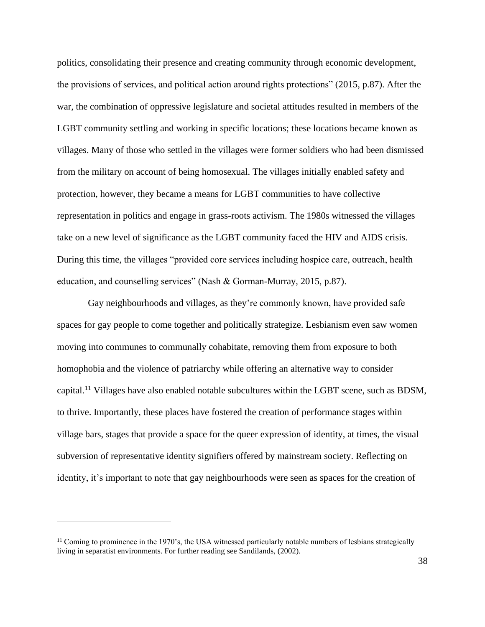politics, consolidating their presence and creating community through economic development, the provisions of services, and political action around rights protections" (2015, p.87). After the war, the combination of oppressive legislature and societal attitudes resulted in members of the LGBT community settling and working in specific locations; these locations became known as villages. Many of those who settled in the villages were former soldiers who had been dismissed from the military on account of being homosexual. The villages initially enabled safety and protection, however, they became a means for LGBT communities to have collective representation in politics and engage in grass-roots activism. The 1980s witnessed the villages take on a new level of significance as the LGBT community faced the HIV and AIDS crisis. During this time, the villages "provided core services including hospice care, outreach, health education, and counselling services" (Nash & Gorman-Murray, 2015, p.87).

Gay neighbourhoods and villages, as they're commonly known, have provided safe spaces for gay people to come together and politically strategize. Lesbianism even saw women moving into communes to communally cohabitate, removing them from exposure to both homophobia and the violence of patriarchy while offering an alternative way to consider capital.<sup>11</sup> Villages have also enabled notable subcultures within the LGBT scene, such as BDSM, to thrive. Importantly, these places have fostered the creation of performance stages within village bars, stages that provide a space for the queer expression of identity, at times, the visual subversion of representative identity signifiers offered by mainstream society. Reflecting on identity, it's important to note that gay neighbourhoods were seen as spaces for the creation of

 $<sup>11</sup>$  Coming to prominence in the 1970's, the USA witnessed particularly notable numbers of lesbians strategically</sup> living in separatist environments. For further reading see Sandilands, (2002).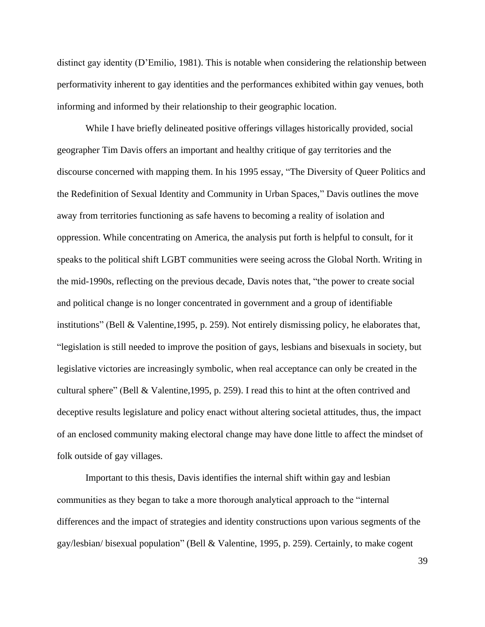distinct gay identity (D'Emilio, 1981). This is notable when considering the relationship between performativity inherent to gay identities and the performances exhibited within gay venues, both informing and informed by their relationship to their geographic location.

While I have briefly delineated positive offerings villages historically provided, social geographer Tim Davis offers an important and healthy critique of gay territories and the discourse concerned with mapping them. In his 1995 essay, "The Diversity of Queer Politics and the Redefinition of Sexual Identity and Community in Urban Spaces," Davis outlines the move away from territories functioning as safe havens to becoming a reality of isolation and oppression. While concentrating on America, the analysis put forth is helpful to consult, for it speaks to the political shift LGBT communities were seeing across the Global North. Writing in the mid-1990s, reflecting on the previous decade, Davis notes that, "the power to create social and political change is no longer concentrated in government and a group of identifiable institutions" (Bell & Valentine,1995, p. 259). Not entirely dismissing policy, he elaborates that, "legislation is still needed to improve the position of gays, lesbians and bisexuals in society, but legislative victories are increasingly symbolic, when real acceptance can only be created in the cultural sphere" (Bell & Valentine,1995, p. 259). I read this to hint at the often contrived and deceptive results legislature and policy enact without altering societal attitudes, thus, the impact of an enclosed community making electoral change may have done little to affect the mindset of folk outside of gay villages.

Important to this thesis, Davis identifies the internal shift within gay and lesbian communities as they began to take a more thorough analytical approach to the "internal differences and the impact of strategies and identity constructions upon various segments of the gay/lesbian/ bisexual population" (Bell & Valentine, 1995, p. 259). Certainly, to make cogent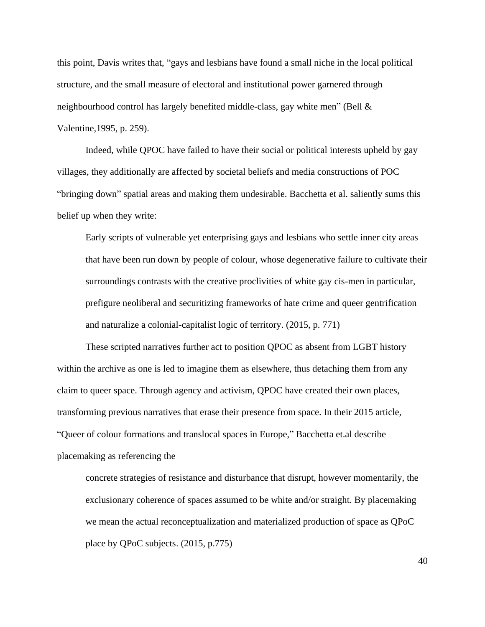this point, Davis writes that, "gays and lesbians have found a small niche in the local political structure, and the small measure of electoral and institutional power garnered through neighbourhood control has largely benefited middle-class, gay white men" (Bell & Valentine,1995, p. 259).

Indeed, while QPOC have failed to have their social or political interests upheld by gay villages, they additionally are affected by societal beliefs and media constructions of POC "bringing down" spatial areas and making them undesirable. Bacchetta et al. saliently sums this belief up when they write:

Early scripts of vulnerable yet enterprising gays and lesbians who settle inner city areas that have been run down by people of colour, whose degenerative failure to cultivate their surroundings contrasts with the creative proclivities of white gay cis-men in particular, prefigure neoliberal and securitizing frameworks of hate crime and queer gentrification and naturalize a colonial-capitalist logic of territory. (2015, p. 771)

These scripted narratives further act to position QPOC as absent from LGBT history within the archive as one is led to imagine them as elsewhere, thus detaching them from any claim to queer space. Through agency and activism, QPOC have created their own places, transforming previous narratives that erase their presence from space. In their 2015 article, "Queer of colour formations and translocal spaces in Europe," Bacchetta et.al describe placemaking as referencing the

concrete strategies of resistance and disturbance that disrupt, however momentarily, the exclusionary coherence of spaces assumed to be white and/or straight. By placemaking we mean the actual reconceptualization and materialized production of space as QPoC place by QPoC subjects. (2015, p.775)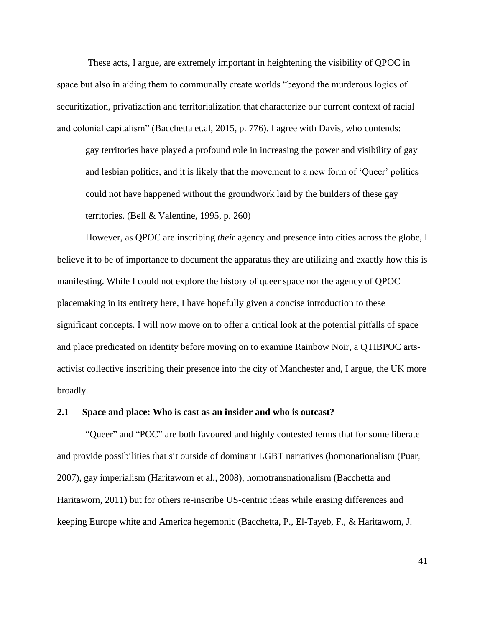These acts, I argue, are extremely important in heightening the visibility of QPOC in space but also in aiding them to communally create worlds "beyond the murderous logics of securitization, privatization and territorialization that characterize our current context of racial and colonial capitalism" (Bacchetta et.al, 2015, p. 776). I agree with Davis, who contends:

gay territories have played a profound role in increasing the power and visibility of gay and lesbian politics, and it is likely that the movement to a new form of 'Queer' politics could not have happened without the groundwork laid by the builders of these gay territories. (Bell & Valentine, 1995, p. 260)

However, as QPOC are inscribing *their* agency and presence into cities across the globe, I believe it to be of importance to document the apparatus they are utilizing and exactly how this is manifesting. While I could not explore the history of queer space nor the agency of QPOC placemaking in its entirety here, I have hopefully given a concise introduction to these significant concepts. I will now move on to offer a critical look at the potential pitfalls of space and place predicated on identity before moving on to examine Rainbow Noir, a QTIBPOC artsactivist collective inscribing their presence into the city of Manchester and, I argue, the UK more broadly.

#### **2.1 Space and place: Who is cast as an insider and who is outcast?**

"Queer" and "POC" are both favoured and highly contested terms that for some liberate and provide possibilities that sit outside of dominant LGBT narratives (homonationalism (Puar, 2007), gay imperialism (Haritaworn et al., 2008), homotransnationalism (Bacchetta and Haritaworn, 2011) but for others re-inscribe US-centric ideas while erasing differences and keeping Europe white and America hegemonic (Bacchetta, P., El-Tayeb, F., & Haritaworn, J.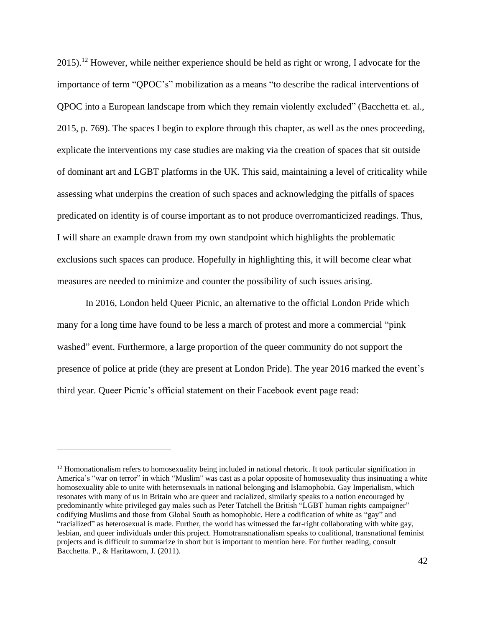2015).<sup>12</sup> However, while neither experience should be held as right or wrong, I advocate for the importance of term "QPOC's" mobilization as a means "to describe the radical interventions of QPOC into a European landscape from which they remain violently excluded" (Bacchetta et. al., 2015, p. 769). The spaces I begin to explore through this chapter, as well as the ones proceeding, explicate the interventions my case studies are making via the creation of spaces that sit outside of dominant art and LGBT platforms in the UK. This said, maintaining a level of criticality while assessing what underpins the creation of such spaces and acknowledging the pitfalls of spaces predicated on identity is of course important as to not produce overromanticized readings. Thus, I will share an example drawn from my own standpoint which highlights the problematic exclusions such spaces can produce. Hopefully in highlighting this, it will become clear what measures are needed to minimize and counter the possibility of such issues arising.

In 2016, London held Queer Picnic, an alternative to the official London Pride which many for a long time have found to be less a march of protest and more a commercial "pink washed" event. Furthermore, a large proportion of the queer community do not support the presence of police at pride (they are present at London Pride). The year 2016 marked the event's third year. Queer Picnic's official statement on their Facebook event page read:

<sup>&</sup>lt;sup>12</sup> Homonationalism refers to homosexuality being included in national rhetoric. It took particular signification in America's "war on terror" in which "Muslim" was cast as a polar opposite of homosexuality thus insinuating a white homosexuality able to unite with heterosexuals in national belonging and Islamophobia. Gay Imperialism, which resonates with many of us in Britain who are queer and racialized, similarly speaks to a notion encouraged by predominantly white privileged gay males such as Peter Tatchell the British "LGBT human rights campaigner" codifying Muslims and those from Global South as homophobic. Here a codification of white as "gay" and "racialized" as heterosexual is made. Further, the world has witnessed the far-right collaborating with white gay, lesbian, and queer individuals under this project. Homotransnationalism speaks to coalitional, transnational feminist projects and is difficult to summarize in short but is important to mention here. For further reading, consult Bacchetta. P., & Haritaworn, J. (2011).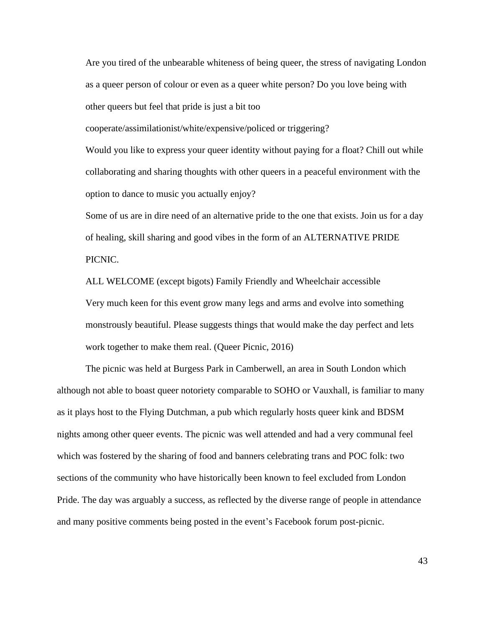Are you tired of the unbearable whiteness of being queer, the stress of navigating London as a queer person of colour or even as a queer white person? Do you love being with other queers but feel that pride is just a bit too

cooperate/assimilationist/white/expensive/policed or triggering?

Would you like to express your queer identity without paying for a float? Chill out while collaborating and sharing thoughts with other queers in a peaceful environment with the option to dance to music you actually enjoy?

Some of us are in dire need of an alternative pride to the one that exists. Join us for a day of healing, skill sharing and good vibes in the form of an ALTERNATIVE PRIDE PICNIC.

ALL WELCOME (except bigots) Family Friendly and Wheelchair accessible Very much keen for this event grow many legs and arms and evolve into something monstrously beautiful. Please suggests things that would make the day perfect and lets work together to make them real. (Queer Picnic, 2016)

The picnic was held at Burgess Park in Camberwell, an area in South London which although not able to boast queer notoriety comparable to SOHO or Vauxhall, is familiar to many as it plays host to the Flying Dutchman, a pub which regularly hosts queer kink and BDSM nights among other queer events. The picnic was well attended and had a very communal feel which was fostered by the sharing of food and banners celebrating trans and POC folk: two sections of the community who have historically been known to feel excluded from London Pride. The day was arguably a success, as reflected by the diverse range of people in attendance and many positive comments being posted in the event's Facebook forum post-picnic.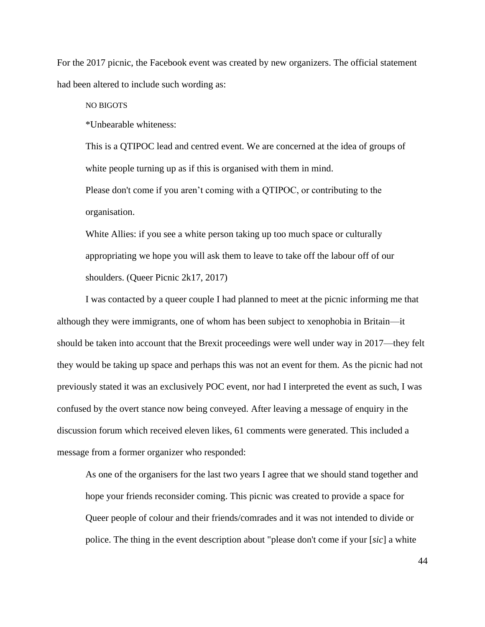For the 2017 picnic, the Facebook event was created by new organizers. The official statement had been altered to include such wording as:

NO BIGOTS

\*Unbearable whiteness:

This is a QTIPOC lead and centred event. We are concerned at the idea of groups of white people turning up as if this is organised with them in mind.

Please don't come if you aren't coming with a QTIPOC, or contributing to the organisation.

White Allies: if you see a white person taking up too much space or culturally appropriating we hope you will ask them to leave to take off the labour off of our shoulders. (Queer Picnic 2k17, 2017)

I was contacted by a queer couple I had planned to meet at the picnic informing me that although they were immigrants, one of whom has been subject to xenophobia in Britain—it should be taken into account that the Brexit proceedings were well under way in 2017—they felt they would be taking up space and perhaps this was not an event for them. As the picnic had not previously stated it was an exclusively POC event, nor had I interpreted the event as such, I was confused by the overt stance now being conveyed. After leaving a message of enquiry in the discussion forum which received eleven likes, 61 comments were generated. This included a message from a former organizer who responded:

As one of the organisers for the last two years I agree that we should stand together and hope your friends reconsider coming. This picnic was created to provide a space for Queer people of colour and their friends/comrades and it was not intended to divide or police. The thing in the event description about "please don't come if your [*sic*] a white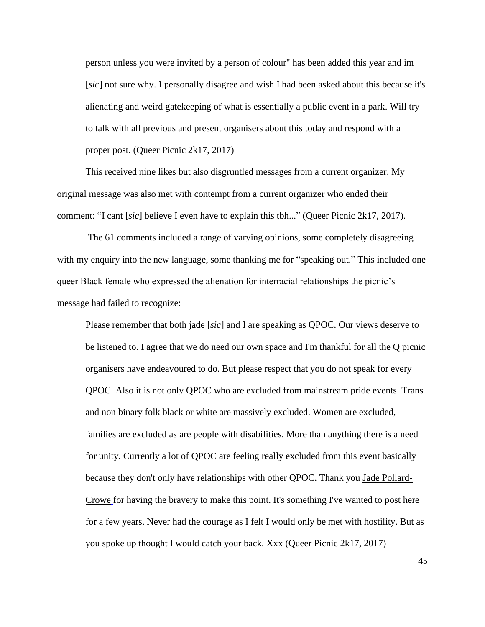person unless you were invited by a person of colour" has been added this year and im [*sic*] not sure why. I personally disagree and wish I had been asked about this because it's alienating and weird gatekeeping of what is essentially a public event in a park. Will try to talk with all previous and present organisers about this today and respond with a proper post. (Queer Picnic 2k17, 2017)

This received nine likes but also disgruntled messages from a current organizer. My original message was also met with contempt from a current organizer who ended their comment: "I cant [*sic*] believe I even have to explain this tbh..." (Queer Picnic 2k17, 2017).

The 61 comments included a range of varying opinions, some completely disagreeing with my enquiry into the new language, some thanking me for "speaking out." This included one queer Black female who expressed the alienation for interracial relationships the picnic's message had failed to recognize:

Please remember that both jade [*sic*] and I are speaking as QPOC. Our views deserve to be listened to. I agree that we do need our own space and I'm thankful for all the Q picnic organisers have endeavoured to do. But please respect that you do not speak for every QPOC. Also it is not only QPOC who are excluded from mainstream pride events. Trans and non binary folk black or white are massively excluded. Women are excluded, families are excluded as are people with disabilities. More than anything there is a need for unity. Currently a lot of QPOC are feeling really excluded from this event basically because they don't only have relationships with other QPOC. Thank you [Jade Pollard-](https://www.facebook.com/profile.php?id=100012356404316&hc_location=ufi)[Crowe](https://www.facebook.com/profile.php?id=100012356404316&hc_location=ufi) for having the bravery to make this point. It's something I've wanted to post here for a few years. Never had the courage as I felt I would only be met with hostility. But as you spoke up thought I would catch your back. Xxx (Queer Picnic 2k17, 2017)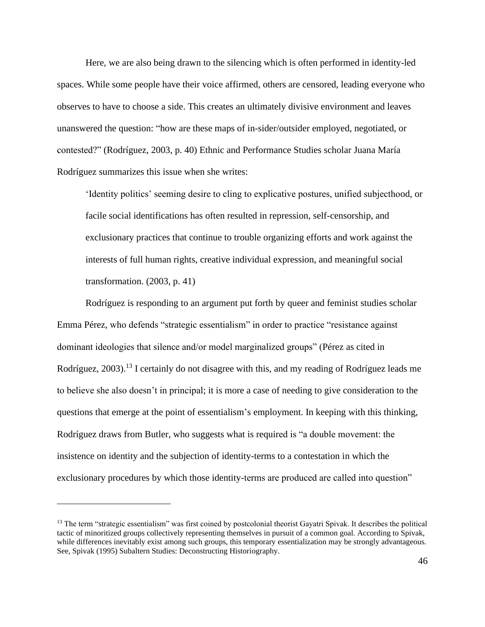Here, we are also being drawn to the silencing which is often performed in identity-led spaces. While some people have their voice affirmed, others are censored, leading everyone who observes to have to choose a side. This creates an ultimately divisive environment and leaves unanswered the question: "how are these maps of in-sider/outsider employed, negotiated, or contested?" (Rodríguez, 2003, p. 40) Ethnic and Performance Studies scholar Juana María Rodríguez summarizes this issue when she writes:

'Identity politics' seeming desire to cling to explicative postures, unified subjecthood, or facile social identifications has often resulted in repression, self-censorship, and exclusionary practices that continue to trouble organizing efforts and work against the interests of full human rights, creative individual expression, and meaningful social transformation. (2003, p. 41)

Rodríguez is responding to an argument put forth by queer and feminist studies scholar Emma Pérez, who defends "strategic essentialism" in order to practice "resistance against dominant ideologies that silence and/or model marginalized groups" (Pérez as cited in Rodríguez, 2003).<sup>13</sup> I certainly do not disagree with this, and my reading of Rodríguez leads me to believe she also doesn't in principal; it is more a case of needing to give consideration to the questions that emerge at the point of essentialism's employment. In keeping with this thinking, Rodríguez draws from Butler, who suggests what is required is "a double movement: the insistence on identity and the subjection of identity-terms to a contestation in which the exclusionary procedures by which those identity-terms are produced are called into question"

<sup>&</sup>lt;sup>13</sup> The term "strategic essentialism" was first coined by postcolonial theorist Gayatri Spivak. It describes the political tactic of minoritized groups collectively representing themselves in pursuit of a common goal. According to Spivak, while differences inevitably exist among such groups, this temporary essentialization may be strongly advantageous. See, Spivak (1995) Subaltern Studies: Deconstructing Historiography.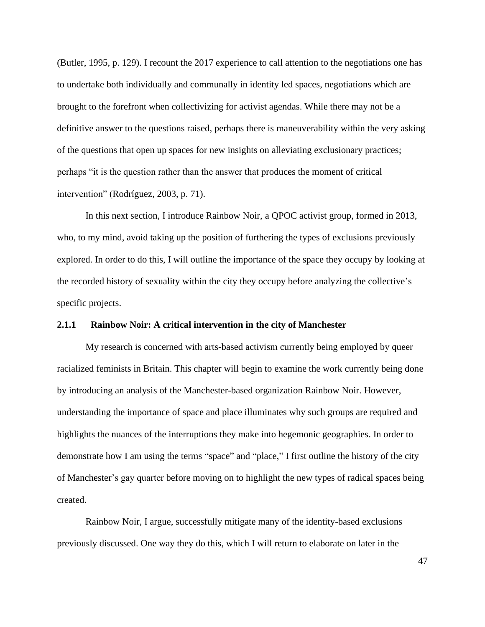(Butler, 1995, p. 129). I recount the 2017 experience to call attention to the negotiations one has to undertake both individually and communally in identity led spaces, negotiations which are brought to the forefront when collectivizing for activist agendas. While there may not be a definitive answer to the questions raised, perhaps there is maneuverability within the very asking of the questions that open up spaces for new insights on alleviating exclusionary practices; perhaps "it is the question rather than the answer that produces the moment of critical intervention" (Rodríguez, 2003, p. 71).

In this next section, I introduce Rainbow Noir, a QPOC activist group, formed in 2013, who, to my mind, avoid taking up the position of furthering the types of exclusions previously explored. In order to do this, I will outline the importance of the space they occupy by looking at the recorded history of sexuality within the city they occupy before analyzing the collective's specific projects.

## **2.1.1 Rainbow Noir: A critical intervention in the city of Manchester**

My research is concerned with arts-based activism currently being employed by queer racialized feminists in Britain. This chapter will begin to examine the work currently being done by introducing an analysis of the Manchester-based organization Rainbow Noir. However, understanding the importance of space and place illuminates why such groups are required and highlights the nuances of the interruptions they make into hegemonic geographies. In order to demonstrate how I am using the terms "space" and "place," I first outline the history of the city of Manchester's gay quarter before moving on to highlight the new types of radical spaces being created.

Rainbow Noir, I argue, successfully mitigate many of the identity-based exclusions previously discussed. One way they do this, which I will return to elaborate on later in the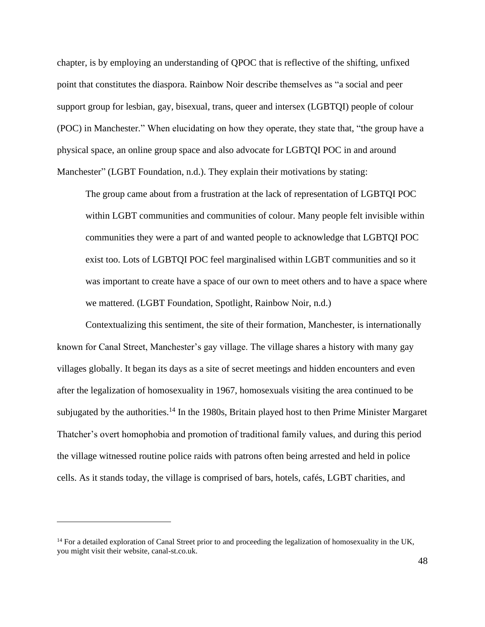chapter, is by employing an understanding of QPOC that is reflective of the shifting, unfixed point that constitutes the diaspora. Rainbow Noir describe themselves as "a social and peer support group for lesbian, gay, bisexual, trans, queer and intersex (LGBTQI) people of colour (POC) in Manchester." When elucidating on how they operate, they state that, "the group have a physical space, an online group space and also advocate for LGBTQI POC in and around Manchester" (LGBT Foundation, n.d.). They explain their motivations by stating:

The group came about from a frustration at the lack of representation of LGBTQI POC within LGBT communities and communities of colour. Many people felt invisible within communities they were a part of and wanted people to acknowledge that LGBTQI POC exist too. Lots of LGBTQI POC feel marginalised within LGBT communities and so it was important to create have a space of our own to meet others and to have a space where we mattered. (LGBT Foundation, Spotlight, Rainbow Noir, n.d.)

Contextualizing this sentiment, the site of their formation, Manchester, is internationally known for Canal Street, Manchester's gay village. The village shares a history with many gay villages globally. It began its days as a site of secret meetings and hidden encounters and even after the legalization of homosexuality in 1967, homosexuals visiting the area continued to be subjugated by the authorities.<sup>14</sup> In the 1980s, Britain played host to then Prime Minister Margaret Thatcher's overt homophobia and promotion of traditional family values, and during this period the village witnessed routine police raids with patrons often being arrested and held in police cells. As it stands today, the village is comprised of bars, hotels, cafés, LGBT charities, and

 $14$  For a detailed exploration of Canal Street prior to and proceeding the legalization of homosexuality in the UK, you might visit their website, canal-st.co.uk.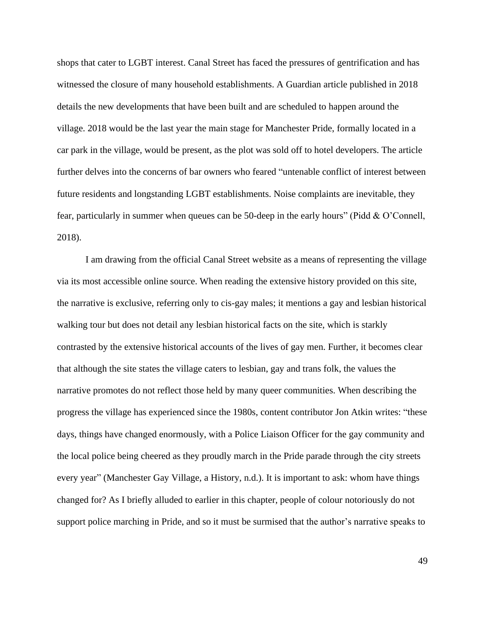shops that cater to LGBT interest. Canal Street has faced the pressures of gentrification and has witnessed the closure of many household establishments. A Guardian article published in 2018 details the new developments that have been built and are scheduled to happen around the village. 2018 would be the last year the main stage for Manchester Pride, formally located in a car park in the village, would be present, as the plot was sold off to hotel developers. The article further delves into the concerns of bar owners who feared "untenable conflict of interest between future residents and longstanding LGBT establishments. Noise complaints are inevitable, they fear, particularly in summer when queues can be 50-deep in the early hours" (Pidd & O'Connell, 2018).

I am drawing from the official Canal Street website as a means of representing the village via its most accessible online source. When reading the extensive history provided on this site, the narrative is exclusive, referring only to cis-gay males; it mentions a gay and lesbian historical walking tour but does not detail any lesbian historical facts on the site, which is starkly contrasted by the extensive historical accounts of the lives of gay men. Further, it becomes clear that although the site states the village caters to lesbian, gay and trans folk, the values the narrative promotes do not reflect those held by many queer communities. When describing the progress the village has experienced since the 1980s, content contributor Jon Atkin writes: "these days, things have changed enormously, with a Police Liaison Officer for the gay community and the local police being cheered as they proudly march in the Pride parade through the city streets every year" (Manchester Gay Village, a History, n.d.). It is important to ask: whom have things changed for? As I briefly alluded to earlier in this chapter, people of colour notoriously do not support police marching in Pride, and so it must be surmised that the author's narrative speaks to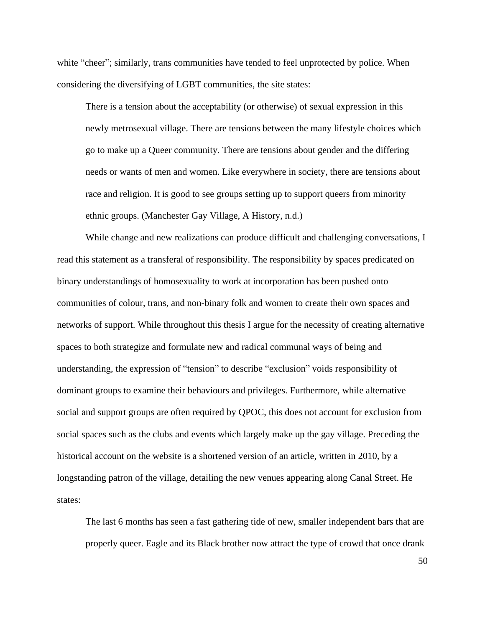white "cheer"; similarly, trans communities have tended to feel unprotected by police. When considering the diversifying of LGBT communities, the site states:

There is a tension about the acceptability (or otherwise) of sexual expression in this newly metrosexual village. There are tensions between the many lifestyle choices which go to make up a Queer community. There are tensions about gender and the differing needs or wants of men and women. Like everywhere in society, there are tensions about race and religion. It is good to see groups setting up to support queers from minority ethnic groups. (Manchester Gay Village, A History, n.d.)

While change and new realizations can produce difficult and challenging conversations, I read this statement as a transferal of responsibility. The responsibility by spaces predicated on binary understandings of homosexuality to work at incorporation has been pushed onto communities of colour, trans, and non-binary folk and women to create their own spaces and networks of support. While throughout this thesis I argue for the necessity of creating alternative spaces to both strategize and formulate new and radical communal ways of being and understanding, the expression of "tension" to describe "exclusion" voids responsibility of dominant groups to examine their behaviours and privileges. Furthermore, while alternative social and support groups are often required by QPOC, this does not account for exclusion from social spaces such as the clubs and events which largely make up the gay village. Preceding the historical account on the website is a shortened version of an article, written in 2010, by a longstanding patron of the village, detailing the new venues appearing along Canal Street. He states:

The last 6 months has seen a fast gathering tide of new, smaller independent bars that are properly queer. Eagle and its Black brother now attract the type of crowd that once drank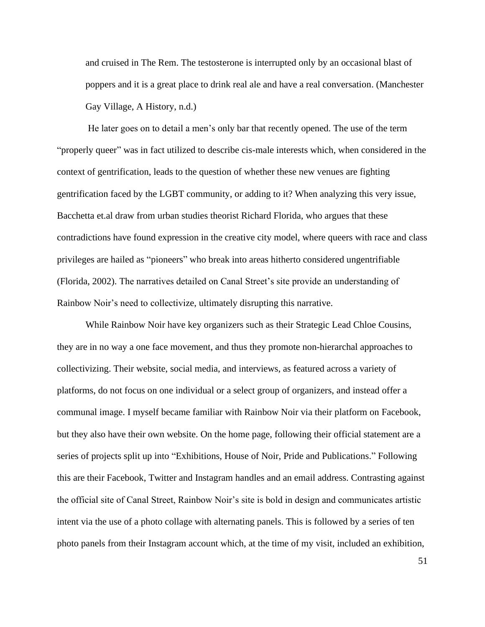and cruised in The Rem. The testosterone is interrupted only by an occasional blast of poppers and it is a great place to drink real ale and have a real conversation. (Manchester Gay Village, A History, n.d.)

He later goes on to detail a men's only bar that recently opened. The use of the term "properly queer" was in fact utilized to describe cis-male interests which, when considered in the context of gentrification, leads to the question of whether these new venues are fighting gentrification faced by the LGBT community, or adding to it? When analyzing this very issue, Bacchetta et.al draw from urban studies theorist Richard Florida, who argues that these contradictions have found expression in the creative city model, where queers with race and class privileges are hailed as "pioneers" who break into areas hitherto considered ungentrifiable [\(Florida, 2002\)](https://journals.sagepub.com/doi/full/10.1177/0263775815608712?utm_source=summon&utm_medium=discovery-provider). The narratives detailed on Canal Street's site provide an understanding of Rainbow Noir's need to collectivize, ultimately disrupting this narrative.

While Rainbow Noir have key organizers such as their Strategic Lead Chloe Cousins, they are in no way a one face movement, and thus they promote non-hierarchal approaches to collectivizing. Their website, social media, and interviews, as featured across a variety of platforms, do not focus on one individual or a select group of organizers, and instead offer a communal image. I myself became familiar with Rainbow Noir via their platform on Facebook, but they also have their own website. On the home page, following their official statement are a series of projects split up into "Exhibitions, House of Noir, Pride and Publications." Following this are their Facebook, Twitter and Instagram handles and an email address. Contrasting against the official site of Canal Street, Rainbow Noir's site is bold in design and communicates artistic intent via the use of a photo collage with alternating panels. This is followed by a series of ten photo panels from their Instagram account which, at the time of my visit, included an exhibition,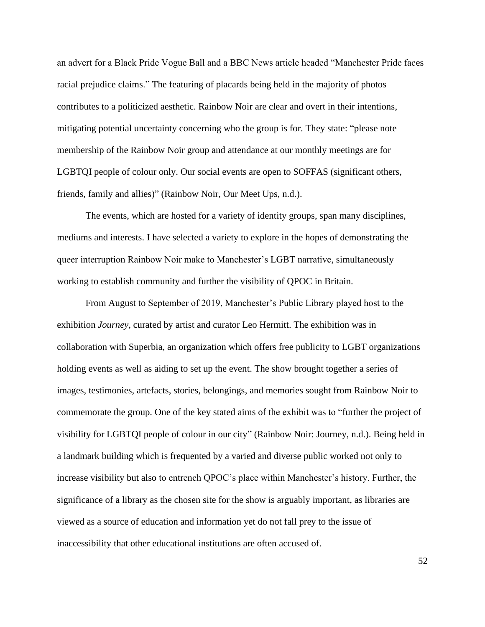an advert for a Black Pride Vogue Ball and a BBC News article headed "Manchester Pride faces racial prejudice claims." The featuring of placards being held in the majority of photos contributes to a politicized aesthetic. Rainbow Noir are clear and overt in their intentions, mitigating potential uncertainty concerning who the group is for. They state: "please note membership of the Rainbow Noir group and attendance at our monthly meetings are for LGBTQI people of colour only. Our social events are open to SOFFAS (significant others, friends, family and allies)" (Rainbow Noir, Our Meet Ups, n.d.).

The events, which are hosted for a variety of identity groups, span many disciplines, mediums and interests. I have selected a variety to explore in the hopes of demonstrating the queer interruption Rainbow Noir make to Manchester's LGBT narrative, simultaneously working to establish community and further the visibility of QPOC in Britain.

From August to September of 2019, Manchester's Public Library played host to the exhibition *Journey*, curated by artist and curator Leo Hermitt. The exhibition was in collaboration with Superbia, an organization which offers free publicity to LGBT organizations holding events as well as aiding to set up the event. The show brought together a series of images, testimonies, artefacts, stories, belongings, and memories sought from Rainbow Noir to commemorate the group. One of the key stated aims of the exhibit was to "further the project of visibility for LGBTQI people of colour in our city" (Rainbow Noir: Journey, n.d.). Being held in a landmark building which is frequented by a varied and diverse public worked not only to increase visibility but also to entrench QPOC's place within Manchester's history. Further, the significance of a library as the chosen site for the show is arguably important, as libraries are viewed as a source of education and information yet do not fall prey to the issue of inaccessibility that other educational institutions are often accused of.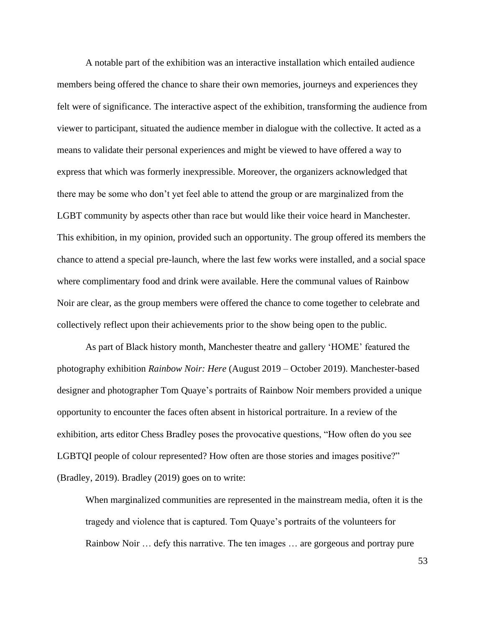A notable part of the exhibition was an interactive installation which entailed audience members being offered the chance to share their own memories, journeys and experiences they felt were of significance. The interactive aspect of the exhibition, transforming the audience from viewer to participant, situated the audience member in dialogue with the collective. It acted as a means to validate their personal experiences and might be viewed to have offered a way to express that which was formerly inexpressible. Moreover, the organizers acknowledged that there may be some who don't yet feel able to attend the group or are marginalized from the LGBT community by aspects other than race but would like their voice heard in Manchester. This exhibition, in my opinion, provided such an opportunity. The group offered its members the chance to attend a special pre-launch, where the last few works were installed, and a social space where complimentary food and drink were available. Here the communal values of Rainbow Noir are clear, as the group members were offered the chance to come together to celebrate and collectively reflect upon their achievements prior to the show being open to the public.

As part of Black history month, Manchester theatre and gallery 'HOME' featured the photography exhibition *Rainbow Noir: Here* (August 2019 – October 2019). Manchester-based designer and photographer Tom Quaye's portraits of Rainbow Noir members provided a unique opportunity to encounter the faces often absent in historical portraiture. In a review of the exhibition, arts editor Chess Bradley poses the provocative questions, "How often do you see LGBTQI people of colour represented? How often are those stories and images positive?" (Bradley, 2019). Bradley (2019) goes on to write:

When marginalized communities are represented in the mainstream media, often it is the tragedy and violence that is captured. Tom Quaye's portraits of the volunteers for Rainbow Noir … defy this narrative. The ten images … are gorgeous and portray pure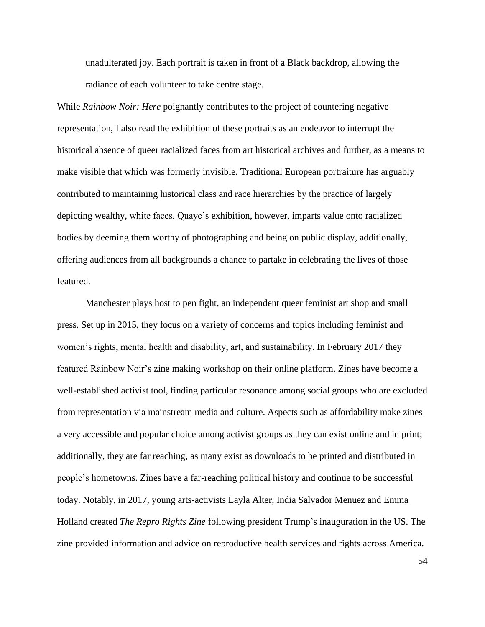unadulterated joy. Each portrait is taken in front of a Black backdrop, allowing the radiance of each volunteer to take centre stage.

While *Rainbow Noir: Here* poignantly contributes to the project of countering negative representation, I also read the exhibition of these portraits as an endeavor to interrupt the historical absence of queer racialized faces from art historical archives and further, as a means to make visible that which was formerly invisible. Traditional European portraiture has arguably contributed to maintaining historical class and race hierarchies by the practice of largely depicting wealthy, white faces. Quaye's exhibition, however, imparts value onto racialized bodies by deeming them worthy of photographing and being on public display, additionally, offering audiences from all backgrounds a chance to partake in celebrating the lives of those featured.

Manchester plays host to pen fight, an independent queer feminist art shop and small press. Set up in 2015, they focus on a variety of concerns and topics including feminist and women's rights, mental health and disability, art, and sustainability. In February 2017 they featured Rainbow Noir's zine making workshop on their online platform. Zines have become a well-established activist tool, finding particular resonance among social groups who are excluded from representation via mainstream media and culture. Aspects such as affordability make zines a very accessible and popular choice among activist groups as they can exist online and in print; additionally, they are far reaching, as many exist as downloads to be printed and distributed in people's hometowns. Zines have a far-reaching political history and continue to be successful today. Notably, in 2017, young arts-activists Layla Alter, India Salvador Menuez and Emma Holland created *The Repro Rights Zine* following president Trump's inauguration in the US. The zine provided information and advice on reproductive health services and rights across America.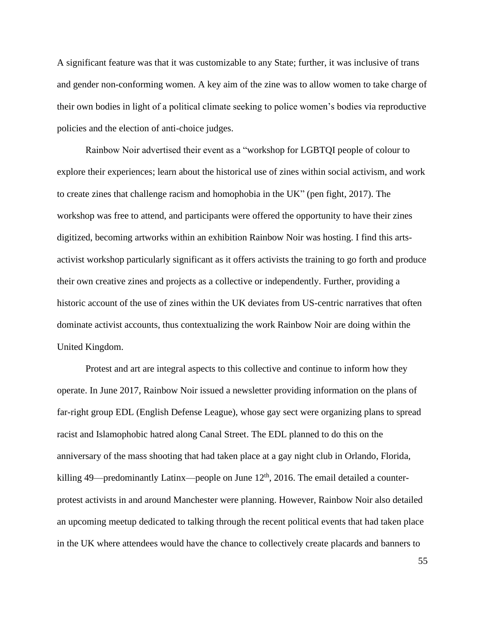A significant feature was that it was customizable to any State; further, it was inclusive of trans and gender non-conforming women. A key aim of the zine was to allow women to take charge of their own bodies in light of a political climate seeking to police women's bodies via reproductive policies and the election of anti-choice judges.

Rainbow Noir advertised their event as a "workshop for LGBTQI people of colour to explore their experiences; learn about the historical use of zines within social activism, and work to create zines that challenge racism and homophobia in the UK" (pen fight, 2017). The workshop was free to attend, and participants were offered the opportunity to have their zines digitized, becoming artworks within an exhibition Rainbow Noir was hosting. I find this artsactivist workshop particularly significant as it offers activists the training to go forth and produce their own creative zines and projects as a collective or independently. Further, providing a historic account of the use of zines within the UK deviates from US-centric narratives that often dominate activist accounts, thus contextualizing the work Rainbow Noir are doing within the United Kingdom.

Protest and art are integral aspects to this collective and continue to inform how they operate. In June 2017, Rainbow Noir issued a newsletter providing information on the plans of far-right group EDL (English Defense League), whose gay sect were organizing plans to spread racist and Islamophobic hatred along Canal Street. The EDL planned to do this on the anniversary of the mass shooting that had taken place at a gay night club in Orlando, Florida, killing 49—predominantly Latinx—people on June  $12<sup>th</sup>$ , 2016. The email detailed a counterprotest activists in and around Manchester were planning. However, Rainbow Noir also detailed an upcoming meetup dedicated to talking through the recent political events that had taken place in the UK where attendees would have the chance to collectively create placards and banners to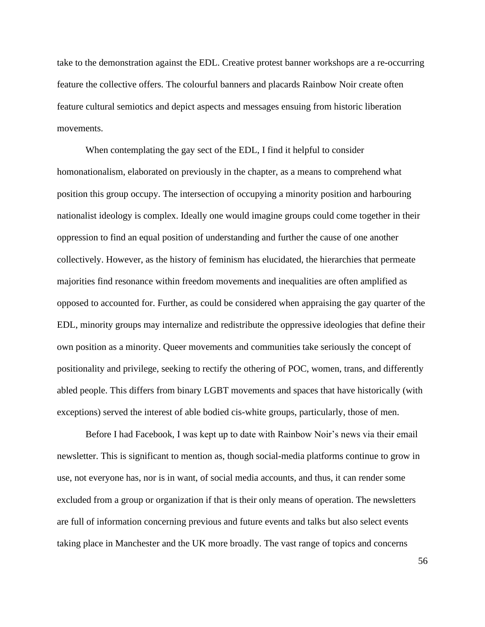take to the demonstration against the EDL. Creative protest banner workshops are a re-occurring feature the collective offers. The colourful banners and placards Rainbow Noir create often feature cultural semiotics and depict aspects and messages ensuing from historic liberation movements.

When contemplating the gay sect of the EDL, I find it helpful to consider homonationalism, elaborated on previously in the chapter, as a means to comprehend what position this group occupy. The intersection of occupying a minority position and harbouring nationalist ideology is complex. Ideally one would imagine groups could come together in their oppression to find an equal position of understanding and further the cause of one another collectively. However, as the history of feminism has elucidated, the hierarchies that permeate majorities find resonance within freedom movements and inequalities are often amplified as opposed to accounted for. Further, as could be considered when appraising the gay quarter of the EDL, minority groups may internalize and redistribute the oppressive ideologies that define their own position as a minority. Queer movements and communities take seriously the concept of positionality and privilege, seeking to rectify the othering of POC, women, trans, and differently abled people. This differs from binary LGBT movements and spaces that have historically (with exceptions) served the interest of able bodied cis-white groups, particularly, those of men.

Before I had Facebook, I was kept up to date with Rainbow Noir's news via their email newsletter. This is significant to mention as, though social-media platforms continue to grow in use, not everyone has, nor is in want, of social media accounts, and thus, it can render some excluded from a group or organization if that is their only means of operation. The newsletters are full of information concerning previous and future events and talks but also select events taking place in Manchester and the UK more broadly. The vast range of topics and concerns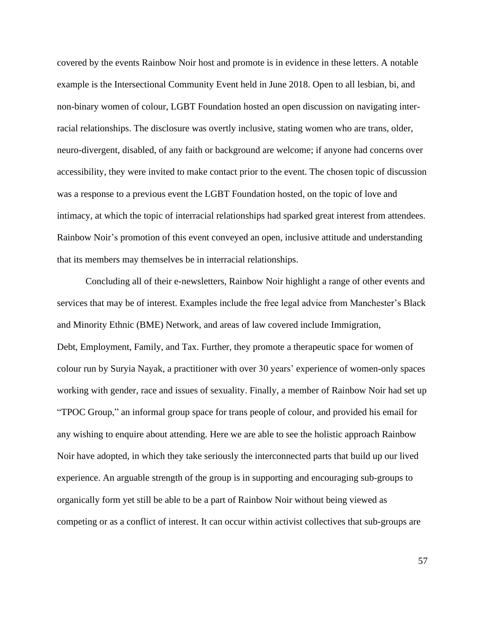covered by the events Rainbow Noir host and promote is in evidence in these letters. A notable example is the Intersectional Community Event held in June 2018. Open to all lesbian, bi, and non-binary women of colour, LGBT Foundation hosted an open discussion on navigating interracial relationships. The disclosure was overtly inclusive, stating women who are trans, older, neuro-divergent, disabled, of any faith or background are welcome; if anyone had concerns over accessibility, they were invited to make contact prior to the event. The chosen topic of discussion was a response to a previous event the LGBT Foundation hosted, on the topic of love and intimacy, at which the topic of interracial relationships had sparked great interest from attendees. Rainbow Noir's promotion of this event conveyed an open, inclusive attitude and understanding that its members may themselves be in interracial relationships.

Concluding all of their e-newsletters, Rainbow Noir highlight a range of other events and services that may be of interest. Examples include the free legal advice from Manchester's Black and Minority Ethnic (BME) Network, and areas of law covered include Immigration, Debt, Employment, Family, and Tax. Further, they promote a therapeutic space for women of colour run by Suryia Nayak, a practitioner with over 30 years' experience of women-only spaces working with gender, race and issues of sexuality. Finally, a member of Rainbow Noir had set up "TPOC Group," an informal group space for trans people of colour, and provided his email for any wishing to enquire about attending. Here we are able to see the holistic approach Rainbow Noir have adopted, in which they take seriously the interconnected parts that build up our lived experience. An arguable strength of the group is in supporting and encouraging sub-groups to organically form yet still be able to be a part of Rainbow Noir without being viewed as competing or as a conflict of interest. It can occur within activist collectives that sub-groups are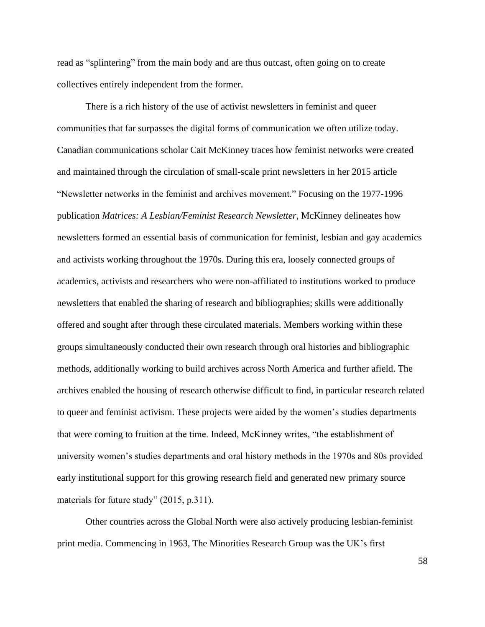read as "splintering" from the main body and are thus outcast, often going on to create collectives entirely independent from the former.

There is a rich history of the use of activist newsletters in feminist and queer communities that far surpasses the digital forms of communication we often utilize today. Canadian communications scholar Cait McKinney traces how feminist networks were created and maintained through the circulation of small-scale print newsletters in her 2015 article "Newsletter networks in the feminist and archives movement." Focusing on the 1977-1996 publication *Matrices: A Lesbian/Feminist Research Newsletter*, McKinney delineates how newsletters formed an essential basis of communication for feminist, lesbian and gay academics and activists working throughout the 1970s. During this era, loosely connected groups of academics, activists and researchers who were non-affiliated to institutions worked to produce newsletters that enabled the sharing of research and bibliographies; skills were additionally offered and sought after through these circulated materials. Members working within these groups simultaneously conducted their own research through oral histories and bibliographic methods, additionally working to build archives across North America and further afield. The archives enabled the housing of research otherwise difficult to find, in particular research related to queer and feminist activism. These projects were aided by the women's studies departments that were coming to fruition at the time. Indeed, McKinney writes, "the establishment of university women's studies departments and oral history methods in the 1970s and 80s provided early institutional support for this growing research field and generated new primary source materials for future study" (2015, p.311).

Other countries across the Global North were also actively producing lesbian-feminist print media. Commencing in 1963, The Minorities Research Group was the UK's first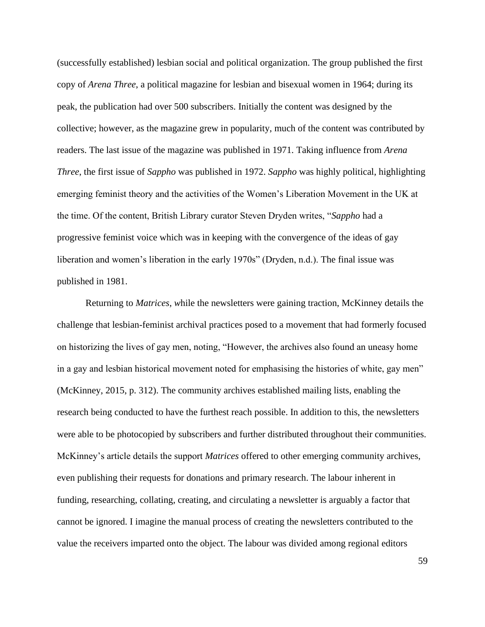(successfully established) lesbian social and political organization. The group published the first copy of *Arena Three*, a political magazine for lesbian and bisexual women in 1964; during its peak, the publication had over 500 subscribers. Initially the content was designed by the collective; however, as the magazine grew in popularity, much of the content was contributed by readers. The last issue of the magazine was published in 1971. Taking influence from *Arena Three*, the first issue of *Sappho* was published in 1972. *Sappho* was highly political, highlighting emerging feminist theory and the activities of the Women's Liberation Movement in the UK at the time. Of the content, British Library curator Steven Dryden writes, "*Sappho* had a progressive feminist voice which was in keeping with the convergence of the ideas of gay liberation and women's liberation in the early 1970s" (Dryden, n.d.). The final issue was published in 1981.

Returning to *Matrices*, *w*hile the newsletters were gaining traction, McKinney details the challenge that lesbian-feminist archival practices posed to a movement that had formerly focused on historizing the lives of gay men, noting, "However, the archives also found an uneasy home in a gay and lesbian historical movement noted for emphasising the histories of white, gay men" (McKinney, 2015, p. 312). The community archives established mailing lists, enabling the research being conducted to have the furthest reach possible. In addition to this, the newsletters were able to be photocopied by subscribers and further distributed throughout their communities. McKinney's article details the support *Matrices* offered to other emerging community archives, even publishing their requests for donations and primary research. The labour inherent in funding, researching, collating, creating, and circulating a newsletter is arguably a factor that cannot be ignored. I imagine the manual process of creating the newsletters contributed to the value the receivers imparted onto the object. The labour was divided among regional editors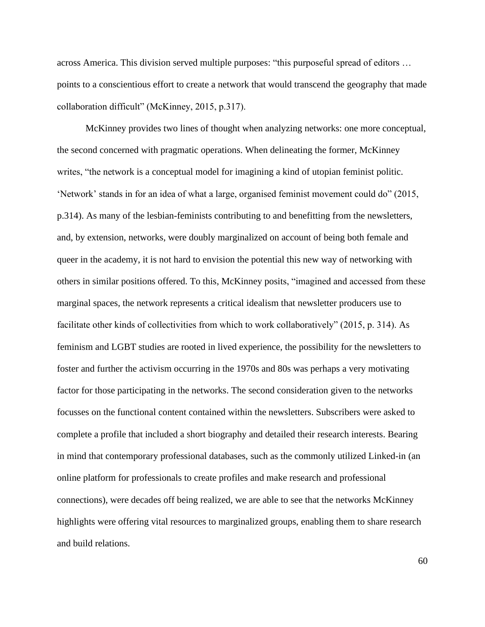across America. This division served multiple purposes: "this purposeful spread of editors … points to a conscientious effort to create a network that would transcend the geography that made collaboration difficult" (McKinney, 2015, p.317).

McKinney provides two lines of thought when analyzing networks: one more conceptual, the second concerned with pragmatic operations. When delineating the former, McKinney writes, "the network is a conceptual model for imagining a kind of utopian feminist politic. 'Network' stands in for an idea of what a large, organised feminist movement could do" (2015, p.314). As many of the lesbian-feminists contributing to and benefitting from the newsletters, and, by extension, networks, were doubly marginalized on account of being both female and queer in the academy, it is not hard to envision the potential this new way of networking with others in similar positions offered. To this, McKinney posits, "imagined and accessed from these marginal spaces, the network represents a critical idealism that newsletter producers use to facilitate other kinds of collectivities from which to work collaboratively" (2015, p. 314). As feminism and LGBT studies are rooted in lived experience, the possibility for the newsletters to foster and further the activism occurring in the 1970s and 80s was perhaps a very motivating factor for those participating in the networks. The second consideration given to the networks focusses on the functional content contained within the newsletters. Subscribers were asked to complete a profile that included a short biography and detailed their research interests. Bearing in mind that contemporary professional databases, such as the commonly utilized Linked-in (an online platform for professionals to create profiles and make research and professional connections), were decades off being realized, we are able to see that the networks McKinney highlights were offering vital resources to marginalized groups, enabling them to share research and build relations.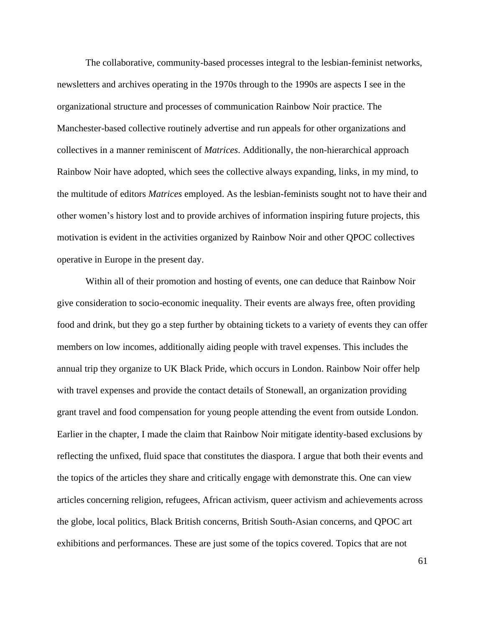The collaborative, community-based processes integral to the lesbian-feminist networks, newsletters and archives operating in the 1970s through to the 1990s are aspects I see in the organizational structure and processes of communication Rainbow Noir practice. The Manchester-based collective routinely advertise and run appeals for other organizations and collectives in a manner reminiscent of *Matrices*. Additionally, the non-hierarchical approach Rainbow Noir have adopted, which sees the collective always expanding, links, in my mind, to the multitude of editors *Matrices* employed. As the lesbian-feminists sought not to have their and other women's history lost and to provide archives of information inspiring future projects, this motivation is evident in the activities organized by Rainbow Noir and other QPOC collectives operative in Europe in the present day.

Within all of their promotion and hosting of events, one can deduce that Rainbow Noir give consideration to socio-economic inequality. Their events are always free, often providing food and drink, but they go a step further by obtaining tickets to a variety of events they can offer members on low incomes, additionally aiding people with travel expenses. This includes the annual trip they organize to UK Black Pride, which occurs in London. Rainbow Noir offer help with travel expenses and provide the contact details of Stonewall, an organization providing grant travel and food compensation for young people attending the event from outside London. Earlier in the chapter, I made the claim that Rainbow Noir mitigate identity-based exclusions by reflecting the unfixed, fluid space that constitutes the diaspora. I argue that both their events and the topics of the articles they share and critically engage with demonstrate this. One can view articles concerning religion, refugees, African activism, queer activism and achievements across the globe, local politics, Black British concerns, British South-Asian concerns, and QPOC art exhibitions and performances. These are just some of the topics covered. Topics that are not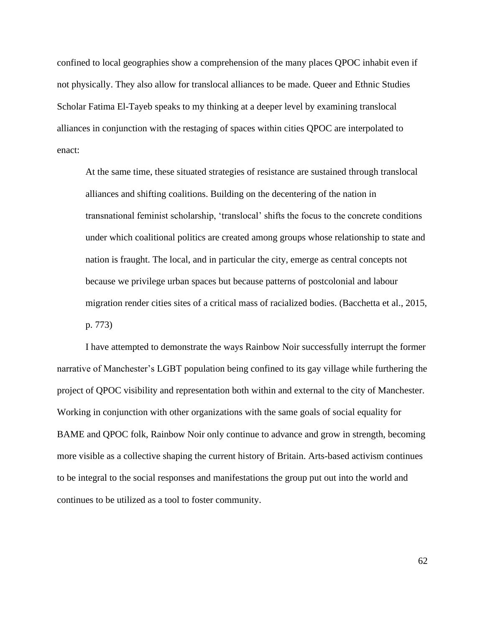confined to local geographies show a comprehension of the many places QPOC inhabit even if not physically. They also allow for translocal alliances to be made. Queer and Ethnic Studies Scholar Fatima El-Tayeb speaks to my thinking at a deeper level by examining translocal alliances in conjunction with the restaging of spaces within cities QPOC are interpolated to enact:

At the same time, these situated strategies of resistance are sustained through translocal alliances and shifting coalitions. Building on the decentering of the nation in transnational feminist scholarship, 'translocal' shifts the focus to the concrete conditions under which coalitional politics are created among groups whose relationship to state and nation is fraught. The local, and in particular the city, emerge as central concepts not because we privilege urban spaces but because patterns of postcolonial and labour migration render cities sites of a critical mass of racialized bodies. (Bacchetta et al., 2015, p. 773)

I have attempted to demonstrate the ways Rainbow Noir successfully interrupt the former narrative of Manchester's LGBT population being confined to its gay village while furthering the project of QPOC visibility and representation both within and external to the city of Manchester. Working in conjunction with other organizations with the same goals of social equality for BAME and QPOC folk, Rainbow Noir only continue to advance and grow in strength, becoming more visible as a collective shaping the current history of Britain. Arts-based activism continues to be integral to the social responses and manifestations the group put out into the world and continues to be utilized as a tool to foster community.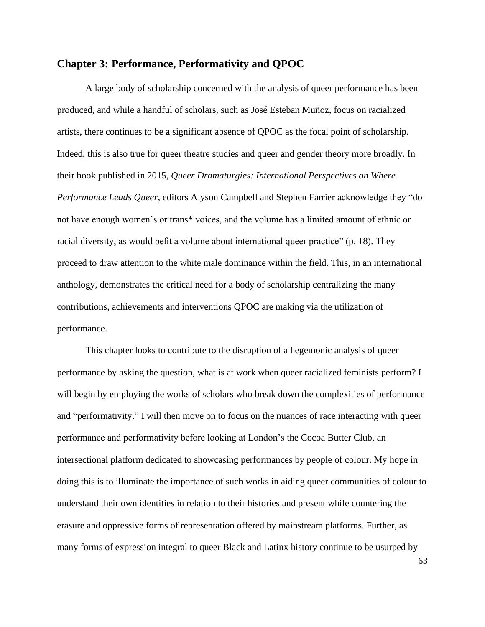## **Chapter 3: Performance, Performativity and QPOC**

A large body of scholarship concerned with the analysis of queer performance has been produced, and while a handful of scholars, such as José Esteban Muñoz, focus on racialized artists, there continues to be a significant absence of QPOC as the focal point of scholarship. Indeed, this is also true for queer theatre studies and queer and gender theory more broadly. In their book published in 2015, *Queer Dramaturgies: International Perspectives on Where Performance Leads Queer*, editors Alyson Campbell and Stephen Farrier acknowledge they "do not have enough women's or trans\* voices, and the volume has a limited amount of ethnic or racial diversity, as would befit a volume about international queer practice" (p. 18). They proceed to draw attention to the white male dominance within the field. This, in an international anthology, demonstrates the critical need for a body of scholarship centralizing the many contributions, achievements and interventions QPOC are making via the utilization of performance.

This chapter looks to contribute to the disruption of a hegemonic analysis of queer performance by asking the question, what is at work when queer racialized feminists perform? I will begin by employing the works of scholars who break down the complexities of performance and "performativity." I will then move on to focus on the nuances of race interacting with queer performance and performativity before looking at London's the Cocoa Butter Club, an intersectional platform dedicated to showcasing performances by people of colour. My hope in doing this is to illuminate the importance of such works in aiding queer communities of colour to understand their own identities in relation to their histories and present while countering the erasure and oppressive forms of representation offered by mainstream platforms. Further, as many forms of expression integral to queer Black and Latinx history continue to be usurped by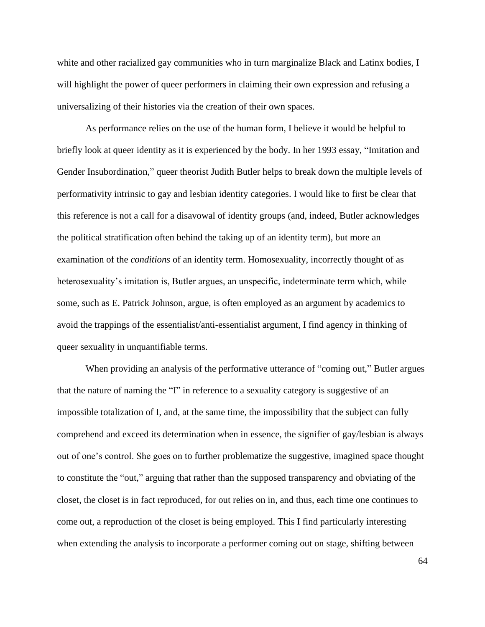white and other racialized gay communities who in turn marginalize Black and Latinx bodies, I will highlight the power of queer performers in claiming their own expression and refusing a universalizing of their histories via the creation of their own spaces.

As performance relies on the use of the human form, I believe it would be helpful to briefly look at queer identity as it is experienced by the body. In her 1993 essay, "Imitation and Gender Insubordination," queer theorist Judith Butler helps to break down the multiple levels of performativity intrinsic to gay and lesbian identity categories. I would like to first be clear that this reference is not a call for a disavowal of identity groups (and, indeed, Butler acknowledges the political stratification often behind the taking up of an identity term), but more an examination of the *conditions* of an identity term. Homosexuality, incorrectly thought of as heterosexuality's imitation is, Butler argues, an unspecific, indeterminate term which, while some, such as E. Patrick Johnson, argue, is often employed as an argument by academics to avoid the trappings of the essentialist/anti-essentialist argument, I find agency in thinking of queer sexuality in unquantifiable terms.

When providing an analysis of the performative utterance of "coming out," Butler argues that the nature of naming the "I" in reference to a sexuality category is suggestive of an impossible totalization of I, and, at the same time, the impossibility that the subject can fully comprehend and exceed its determination when in essence, the signifier of gay/lesbian is always out of one's control. She goes on to further problematize the suggestive, imagined space thought to constitute the "out," arguing that rather than the supposed transparency and obviating of the closet, the closet is in fact reproduced, for out relies on in, and thus, each time one continues to come out, a reproduction of the closet is being employed. This I find particularly interesting when extending the analysis to incorporate a performer coming out on stage, shifting between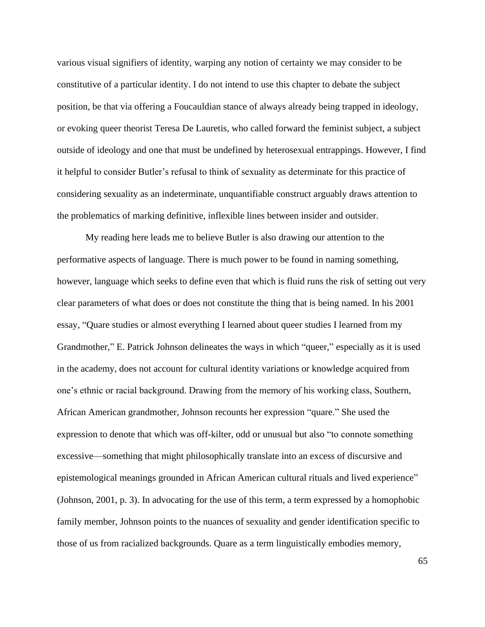various visual signifiers of identity, warping any notion of certainty we may consider to be constitutive of a particular identity. I do not intend to use this chapter to debate the subject position, be that via offering a Foucauldian stance of always already being trapped in ideology, or evoking queer theorist Teresa De Lauretis, who called forward the feminist subject, a subject outside of ideology and one that must be undefined by heterosexual entrappings. However, I find it helpful to consider Butler's refusal to think of sexuality as determinate for this practice of considering sexuality as an indeterminate, unquantifiable construct arguably draws attention to the problematics of marking definitive, inflexible lines between insider and outsider.

My reading here leads me to believe Butler is also drawing our attention to the performative aspects of language. There is much power to be found in naming something, however, language which seeks to define even that which is fluid runs the risk of setting out very clear parameters of what does or does not constitute the thing that is being named. In his 2001 essay, "Quare studies or almost everything I learned about queer studies I learned from my Grandmother," E. Patrick Johnson delineates the ways in which "queer," especially as it is used in the academy, does not account for cultural identity variations or knowledge acquired from one's ethnic or racial background. Drawing from the memory of his working class, Southern, African American grandmother, Johnson recounts her expression "quare." She used the expression to denote that which was off-kilter, odd or unusual but also "to connote something excessive—something that might philosophically translate into an excess of discursive and epistemological meanings grounded in African American cultural rituals and lived experience" (Johnson, 2001, p. 3). In advocating for the use of this term, a term expressed by a homophobic family member, Johnson points to the nuances of sexuality and gender identification specific to those of us from racialized backgrounds. Quare as a term linguistically embodies memory,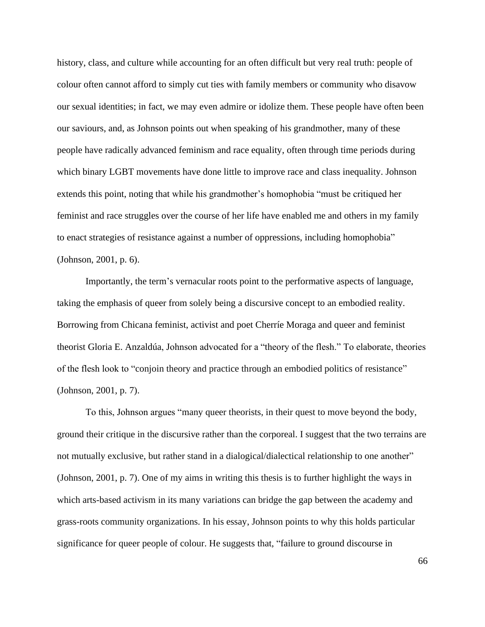history, class, and culture while accounting for an often difficult but very real truth: people of colour often cannot afford to simply cut ties with family members or community who disavow our sexual identities; in fact, we may even admire or idolize them. These people have often been our saviours, and, as Johnson points out when speaking of his grandmother, many of these people have radically advanced feminism and race equality, often through time periods during which binary LGBT movements have done little to improve race and class inequality. Johnson extends this point, noting that while his grandmother's homophobia "must be critiqued her feminist and race struggles over the course of her life have enabled me and others in my family to enact strategies of resistance against a number of oppressions, including homophobia" (Johnson, 2001, p. 6).

Importantly, the term's vernacular roots point to the performative aspects of language, taking the emphasis of queer from solely being a discursive concept to an embodied reality. Borrowing from Chicana feminist, activist and poet Cherríe Moraga and queer and feminist theorist Gloria E. Anzaldúa, Johnson advocated for a "theory of the flesh." To elaborate, theories of the flesh look to "conjoin theory and practice through an embodied politics of resistance" (Johnson, 2001, p. 7).

To this, Johnson argues "many queer theorists, in their quest to move beyond the body, ground their critique in the discursive rather than the corporeal. I suggest that the two terrains are not mutually exclusive, but rather stand in a dialogical/dialectical relationship to one another" (Johnson, 2001, p. 7). One of my aims in writing this thesis is to further highlight the ways in which arts-based activism in its many variations can bridge the gap between the academy and grass-roots community organizations. In his essay, Johnson points to why this holds particular significance for queer people of colour. He suggests that, "failure to ground discourse in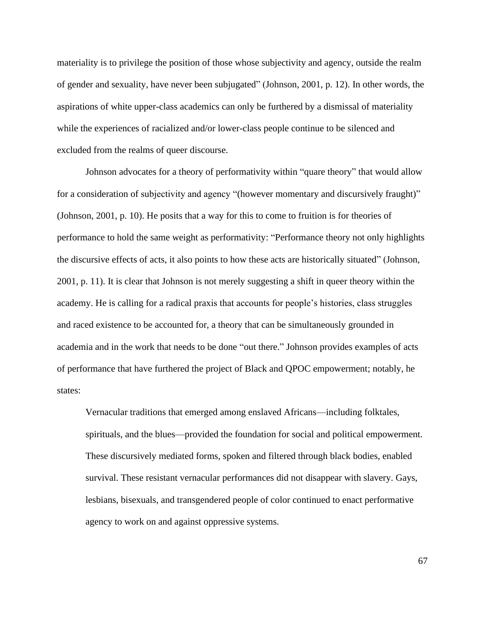materiality is to privilege the position of those whose subjectivity and agency, outside the realm of gender and sexuality, have never been subjugated" (Johnson, 2001, p. 12). In other words, the aspirations of white upper-class academics can only be furthered by a dismissal of materiality while the experiences of racialized and/or lower-class people continue to be silenced and excluded from the realms of queer discourse.

Johnson advocates for a theory of performativity within "quare theory" that would allow for a consideration of subjectivity and agency "(however momentary and discursively fraught)" (Johnson, 2001, p. 10). He posits that a way for this to come to fruition is for theories of performance to hold the same weight as performativity: "Performance theory not only highlights the discursive effects of acts, it also points to how these acts are historically situated" (Johnson, 2001, p. 11). It is clear that Johnson is not merely suggesting a shift in queer theory within the academy. He is calling for a radical praxis that accounts for people's histories, class struggles and raced existence to be accounted for, a theory that can be simultaneously grounded in academia and in the work that needs to be done "out there." Johnson provides examples of acts of performance that have furthered the project of Black and QPOC empowerment; notably, he states:

Vernacular traditions that emerged among enslaved Africans—including folktales, spirituals, and the blues—provided the foundation for social and political empowerment. These discursively mediated forms, spoken and filtered through black bodies, enabled survival. These resistant vernacular performances did not disappear with slavery. Gays, lesbians, bisexuals, and transgendered people of color continued to enact performative agency to work on and against oppressive systems.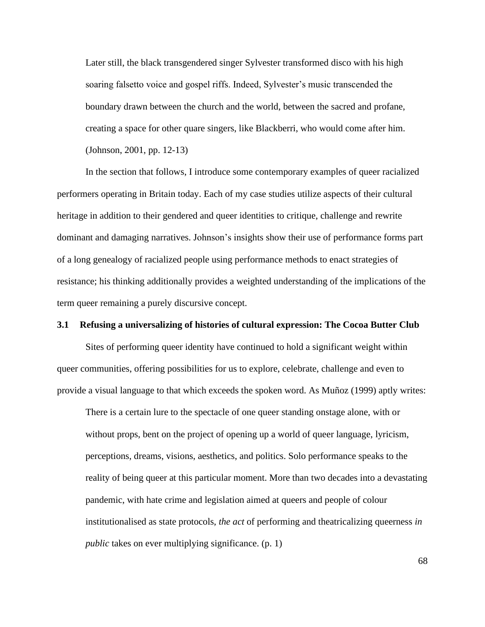Later still, the black transgendered singer Sylvester transformed disco with his high soaring falsetto voice and gospel riffs. Indeed, Sylvester's music transcended the boundary drawn between the church and the world, between the sacred and profane, creating a space for other quare singers, like Blackberri, who would come after him. (Johnson, 2001, pp. 12-13)

In the section that follows, I introduce some contemporary examples of queer racialized performers operating in Britain today. Each of my case studies utilize aspects of their cultural heritage in addition to their gendered and queer identities to critique, challenge and rewrite dominant and damaging narratives. Johnson's insights show their use of performance forms part of a long genealogy of racialized people using performance methods to enact strategies of resistance; his thinking additionally provides a weighted understanding of the implications of the term queer remaining a purely discursive concept.

## **3.1 Refusing a universalizing of histories of cultural expression: The Cocoa Butter Club**

Sites of performing queer identity have continued to hold a significant weight within queer communities, offering possibilities for us to explore, celebrate, challenge and even to provide a visual language to that which exceeds the spoken word. As Muñoz (1999) aptly writes:

There is a certain lure to the spectacle of one queer standing onstage alone, with or without props, bent on the project of opening up a world of queer language, lyricism, perceptions, dreams, visions, aesthetics, and politics. Solo performance speaks to the reality of being queer at this particular moment. More than two decades into a devastating pandemic, with hate crime and legislation aimed at queers and people of colour institutionalised as state protocols, *the act* of performing and theatricalizing queerness *in public* takes on ever multiplying significance. (p. 1)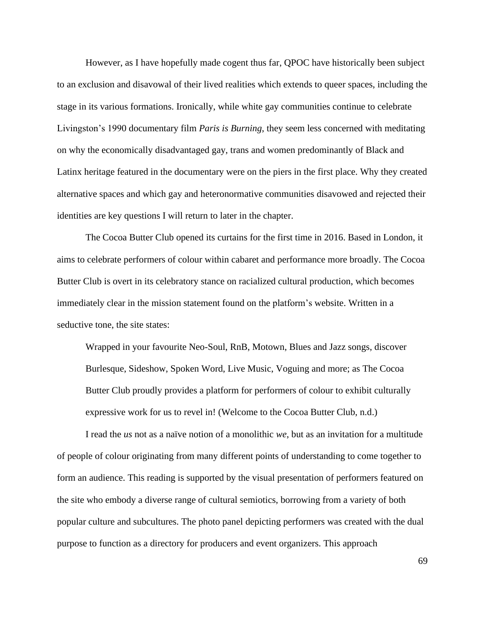However, as I have hopefully made cogent thus far, QPOC have historically been subject to an exclusion and disavowal of their lived realities which extends to queer spaces, including the stage in its various formations. Ironically, while white gay communities continue to celebrate Livingston's 1990 documentary film *Paris is Burning*, they seem less concerned with meditating on why the economically disadvantaged gay, trans and women predominantly of Black and Latinx heritage featured in the documentary were on the piers in the first place. Why they created alternative spaces and which gay and heteronormative communities disavowed and rejected their identities are key questions I will return to later in the chapter.

The Cocoa Butter Club opened its curtains for the first time in 2016. Based in London, it aims to celebrate performers of colour within cabaret and performance more broadly. The Cocoa Butter Club is overt in its celebratory stance on racialized cultural production, which becomes immediately clear in the mission statement found on the platform's website. Written in a seductive tone, the site states:

Wrapped in your favourite Neo-Soul, RnB, Motown, Blues and Jazz songs, discover Burlesque, Sideshow, Spoken Word, Live Music, Voguing and more; as The Cocoa Butter Club proudly provides a platform for performers of colour to exhibit culturally expressive work for us to revel in! (Welcome to the Cocoa Butter Club, n.d.)

I read the *us* not as a naïve notion of a monolithic *we*, but as an invitation for a multitude of people of colour originating from many different points of understanding to come together to form an audience. This reading is supported by the visual presentation of performers featured on the site who embody a diverse range of cultural semiotics, borrowing from a variety of both popular culture and subcultures. The photo panel depicting performers was created with the dual purpose to function as a directory for producers and event organizers. This approach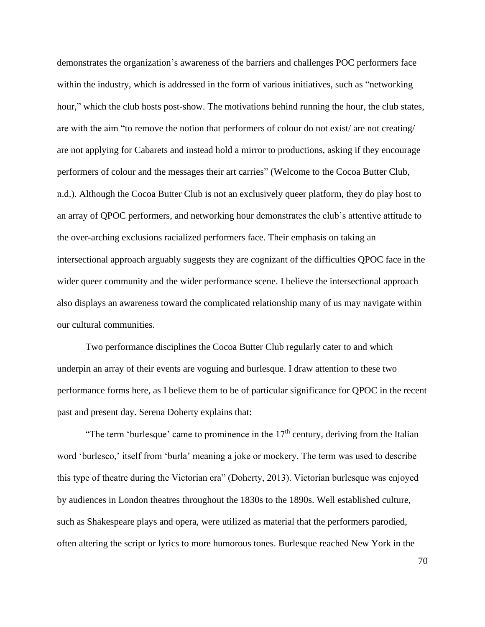demonstrates the organization's awareness of the barriers and challenges POC performers face within the industry, which is addressed in the form of various initiatives, such as "networking hour," which the club hosts post-show. The motivations behind running the hour, the club states, are with the aim "to remove the notion that performers of colour do not exist/ are not creating/ are not applying for Cabarets and instead hold a mirror to productions, asking if they encourage performers of colour and the messages their art carries" (Welcome to the Cocoa Butter Club, n.d.). Although the Cocoa Butter Club is not an exclusively queer platform, they do play host to an array of QPOC performers, and networking hour demonstrates the club's attentive attitude to the over-arching exclusions racialized performers face. Their emphasis on taking an intersectional approach arguably suggests they are cognizant of the difficulties QPOC face in the wider queer community and the wider performance scene. I believe the intersectional approach also displays an awareness toward the complicated relationship many of us may navigate within our cultural communities.

Two performance disciplines the Cocoa Butter Club regularly cater to and which underpin an array of their events are voguing and burlesque. I draw attention to these two performance forms here, as I believe them to be of particular significance for QPOC in the recent past and present day. Serena Doherty explains that:

"The term 'burlesque' came to prominence in the  $17<sup>th</sup>$  century, deriving from the Italian word 'burlesco,' itself from 'burla' meaning a joke or mockery. The term was used to describe this type of theatre during the Victorian era" (Doherty, 2013). Victorian burlesque was enjoyed by audiences in London theatres throughout the 1830s to the 1890s. Well established culture, such as Shakespeare plays and opera, were utilized as material that the performers parodied, often altering the script or lyrics to more humorous tones. Burlesque reached New York in the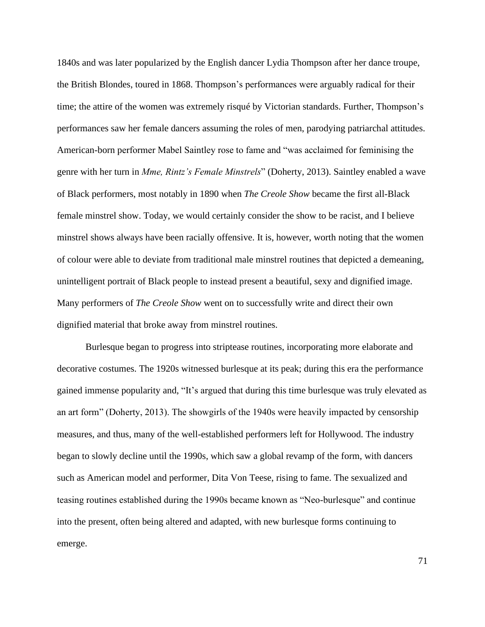1840s and was later popularized by the English dancer Lydia Thompson after her dance troupe, the British Blondes, toured in 1868. Thompson's performances were arguably radical for their time; the attire of the women was extremely risqué by Victorian standards. Further, Thompson's performances saw her female dancers assuming the roles of men, parodying patriarchal attitudes. American-born performer Mabel Saintley rose to fame and "was acclaimed for feminising the genre with her turn in *Mme, Rintz's Female Minstrels*" (Doherty, 2013). Saintley enabled a wave of Black performers, most notably in 1890 when *The Creole Show* became the first all-Black female minstrel show. Today, we would certainly consider the show to be racist, and I believe minstrel shows always have been racially offensive. It is, however, worth noting that the women of colour were able to deviate from traditional male minstrel routines that depicted a demeaning, unintelligent portrait of Black people to instead present a beautiful, sexy and dignified image. Many performers of *The Creole Show* went on to successfully write and direct their own dignified material that broke away from minstrel routines.

Burlesque began to progress into striptease routines, incorporating more elaborate and decorative costumes. The 1920s witnessed burlesque at its peak; during this era the performance gained immense popularity and, "It's argued that during this time burlesque was truly elevated as an art form" (Doherty, 2013). The showgirls of the 1940s were heavily impacted by censorship measures, and thus, many of the well-established performers left for Hollywood. The industry began to slowly decline until the 1990s, which saw a global revamp of the form, with dancers such as American model and performer, Dita Von Teese, rising to fame. The sexualized and teasing routines established during the 1990s became known as "Neo-burlesque" and continue into the present, often being altered and adapted, with new burlesque forms continuing to emerge.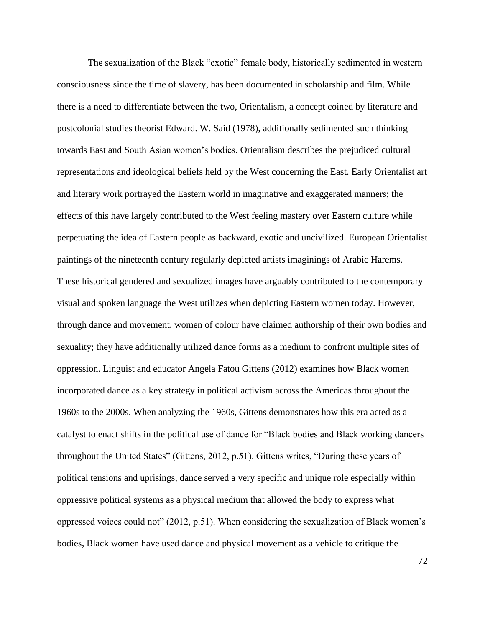The sexualization of the Black "exotic" female body, historically sedimented in western consciousness since the time of slavery, has been documented in scholarship and film. While there is a need to differentiate between the two, Orientalism, a concept coined by literature and postcolonial studies theorist Edward. W. Said (1978), additionally sedimented such thinking towards East and South Asian women's bodies. Orientalism describes the prejudiced cultural representations and ideological beliefs held by the West concerning the East. Early Orientalist art and literary work portrayed the Eastern world in imaginative and exaggerated manners; the effects of this have largely contributed to the West feeling mastery over Eastern culture while perpetuating the idea of Eastern people as backward, exotic and uncivilized. European Orientalist paintings of the nineteenth century regularly depicted artists imaginings of Arabic Harems. These historical gendered and sexualized images have arguably contributed to the contemporary visual and spoken language the West utilizes when depicting Eastern women today. However, through dance and movement, women of colour have claimed authorship of their own bodies and sexuality; they have additionally utilized dance forms as a medium to confront multiple sites of oppression. Linguist and educator Angela Fatou Gittens (2012) examines how Black women incorporated dance as a key strategy in political activism across the Americas throughout the 1960s to the 2000s. When analyzing the 1960s, Gittens demonstrates how this era acted as a catalyst to enact shifts in the political use of dance for "Black bodies and Black working dancers throughout the United States" (Gittens, 2012, p.51). Gittens writes, "During these years of political tensions and uprisings, dance served a very specific and unique role especially within oppressive political systems as a physical medium that allowed the body to express what oppressed voices could not" (2012, p.51). When considering the sexualization of Black women's bodies, Black women have used dance and physical movement as a vehicle to critique the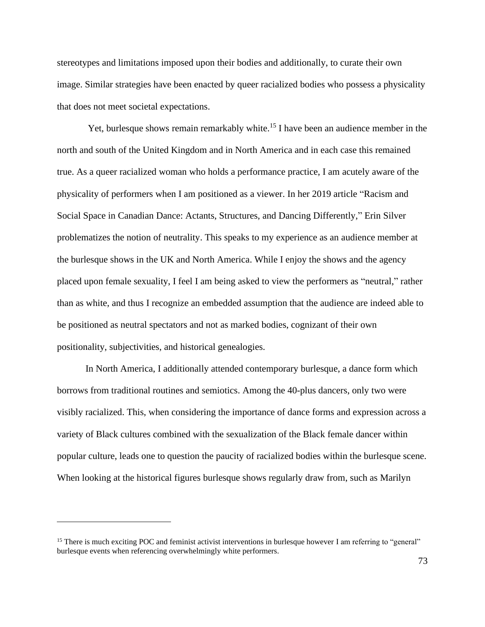stereotypes and limitations imposed upon their bodies and additionally, to curate their own image. Similar strategies have been enacted by queer racialized bodies who possess a physicality that does not meet societal expectations.

Yet, burlesque shows remain remarkably white.<sup>15</sup> I have been an audience member in the north and south of the United Kingdom and in North America and in each case this remained true. As a queer racialized woman who holds a performance practice, I am acutely aware of the physicality of performers when I am positioned as a viewer. In her 2019 article "Racism and Social Space in Canadian Dance: Actants, Structures, and Dancing Differently," Erin Silver problematizes the notion of neutrality. This speaks to my experience as an audience member at the burlesque shows in the UK and North America. While I enjoy the shows and the agency placed upon female sexuality, I feel I am being asked to view the performers as "neutral," rather than as white, and thus I recognize an embedded assumption that the audience are indeed able to be positioned as neutral spectators and not as marked bodies, cognizant of their own positionality, subjectivities, and historical genealogies.

In North America, I additionally attended contemporary burlesque, a dance form which borrows from traditional routines and semiotics. Among the 40-plus dancers, only two were visibly racialized. This, when considering the importance of dance forms and expression across a variety of Black cultures combined with the sexualization of the Black female dancer within popular culture, leads one to question the paucity of racialized bodies within the burlesque scene. When looking at the historical figures burlesque shows regularly draw from, such as Marilyn

 $15$  There is much exciting POC and feminist activist interventions in burlesque however I am referring to "general" burlesque events when referencing overwhelmingly white performers.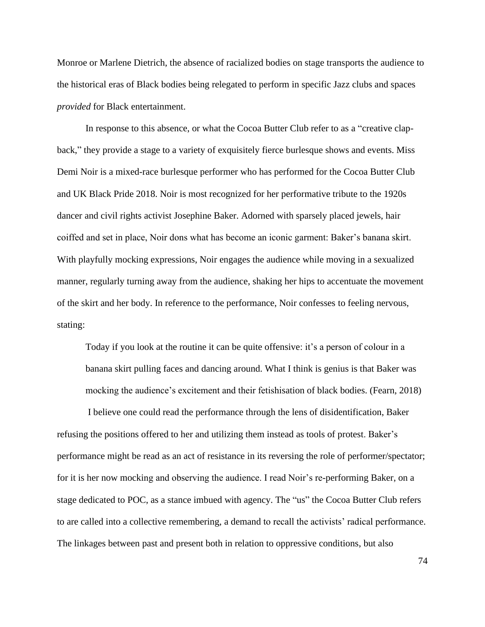Monroe or Marlene Dietrich, the absence of racialized bodies on stage transports the audience to the historical eras of Black bodies being relegated to perform in specific Jazz clubs and spaces *provided* for Black entertainment.

In response to this absence, or what the Cocoa Butter Club refer to as a "creative clapback," they provide a stage to a variety of exquisitely fierce burlesque shows and events. Miss Demi Noir is a mixed-race burlesque performer who has performed for the Cocoa Butter Club and UK Black Pride 2018. Noir is most recognized for her performative tribute to the 1920s dancer and civil rights activist Josephine Baker. Adorned with sparsely placed jewels, hair coiffed and set in place, Noir dons what has become an iconic garment: Baker's banana skirt. With playfully mocking expressions, Noir engages the audience while moving in a sexualized manner, regularly turning away from the audience, shaking her hips to accentuate the movement of the skirt and her body. In reference to the performance, Noir confesses to feeling nervous, stating:

Today if you look at the routine it can be quite offensive: it's a person of colour in a banana skirt pulling faces and dancing around. What I think is genius is that Baker was mocking the audience's excitement and their fetishisation of black bodies. (Fearn, 2018)

I believe one could read the performance through the lens of disidentification, Baker refusing the positions offered to her and utilizing them instead as tools of protest. Baker's performance might be read as an act of resistance in its reversing the role of performer/spectator; for it is her now mocking and observing the audience. I read Noir's re-performing Baker, on a stage dedicated to POC, as a stance imbued with agency. The "us" the Cocoa Butter Club refers to are called into a collective remembering, a demand to recall the activists' radical performance. The linkages between past and present both in relation to oppressive conditions, but also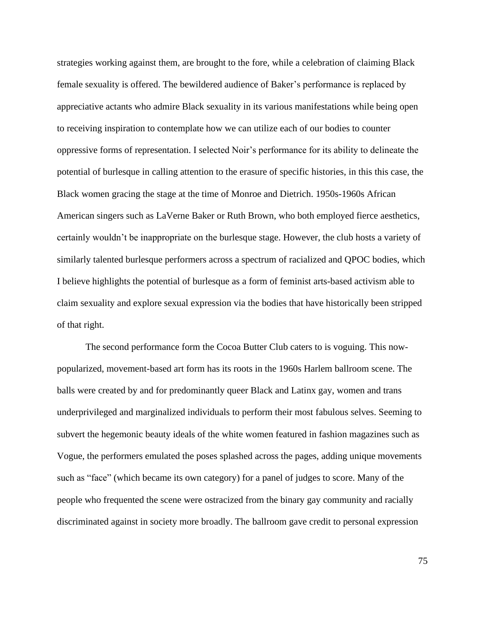strategies working against them, are brought to the fore, while a celebration of claiming Black female sexuality is offered. The bewildered audience of Baker's performance is replaced by appreciative actants who admire Black sexuality in its various manifestations while being open to receiving inspiration to contemplate how we can utilize each of our bodies to counter oppressive forms of representation. I selected Noir's performance for its ability to delineate the potential of burlesque in calling attention to the erasure of specific histories, in this this case, the Black women gracing the stage at the time of Monroe and Dietrich. 1950s-1960s African American singers such as LaVerne Baker or Ruth Brown, who both employed fierce aesthetics, certainly wouldn't be inappropriate on the burlesque stage. However, the club hosts a variety of similarly talented burlesque performers across a spectrum of racialized and QPOC bodies, which I believe highlights the potential of burlesque as a form of feminist arts-based activism able to claim sexuality and explore sexual expression via the bodies that have historically been stripped of that right.

The second performance form the Cocoa Butter Club caters to is voguing. This nowpopularized, movement-based art form has its roots in the 1960s Harlem ballroom scene. The balls were created by and for predominantly queer Black and Latinx gay, women and trans underprivileged and marginalized individuals to perform their most fabulous selves. Seeming to subvert the hegemonic beauty ideals of the white women featured in fashion magazines such as Vogue, the performers emulated the poses splashed across the pages, adding unique movements such as "face" (which became its own category) for a panel of judges to score. Many of the people who frequented the scene were ostracized from the binary gay community and racially discriminated against in society more broadly. The ballroom gave credit to personal expression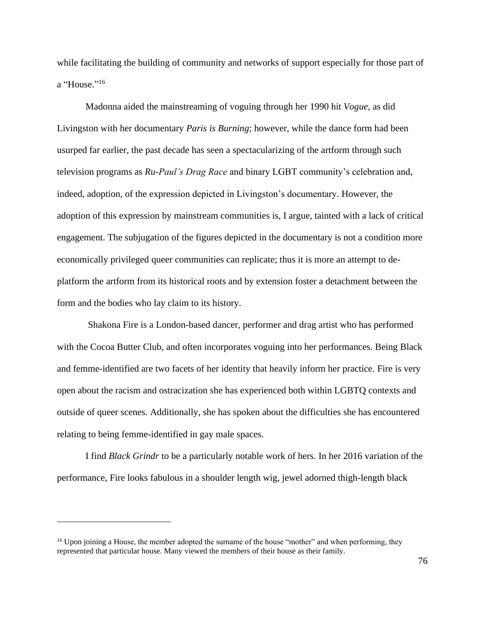while facilitating the building of community and networks of support especially for those part of a "House."<sup>16</sup>

Madonna aided the mainstreaming of voguing through her 1990 hit *Vogue*, as did Livingston with her documentary *Paris is Burning*; however, while the dance form had been usurped far earlier, the past decade has seen a spectacularizing of the artform through such television programs as *Ru-Paul's Drag Race* and binary LGBT community's celebration and, indeed, adoption, of the expression depicted in Livingston's documentary. However, the adoption of this expression by mainstream communities is, I argue, tainted with a lack of critical engagement. The subjugation of the figures depicted in the documentary is not a condition more economically privileged queer communities can replicate; thus it is more an attempt to deplatform the artform from its historical roots and by extension foster a detachment between the form and the bodies who lay claim to its history.

 Shakona Fire is a London-based dancer, performer and drag artist who has performed with the Cocoa Butter Club, and often incorporates voguing into her performances. Being Black and femme-identified are two facets of her identity that heavily inform her practice. Fire is very open about the racism and ostracization she has experienced both within LGBTQ contexts and outside of queer scenes. Additionally, she has spoken about the difficulties she has encountered relating to being femme-identified in gay male spaces.

I find *Black Grindr* to be a particularly notable work of hers. In her 2016 variation of the performance, Fire looks fabulous in a shoulder length wig, jewel adorned thigh-length black

<sup>&</sup>lt;sup>16</sup> Upon joining a House, the member adopted the surname of the house "mother" and when performing, they represented that particular house. Many viewed the members of their house as their family.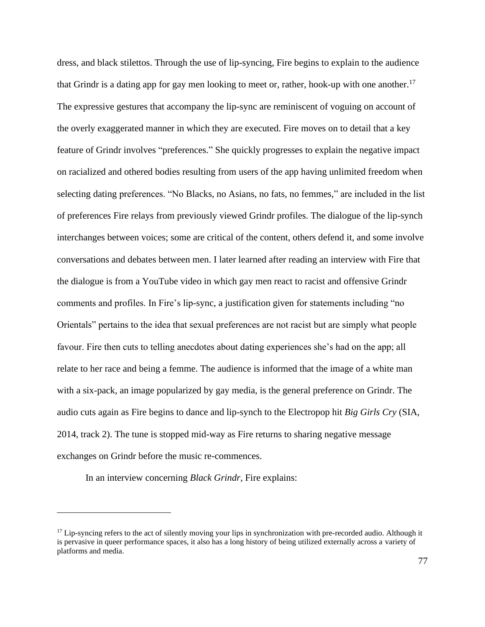dress, and black stilettos. Through the use of lip-syncing, Fire begins to explain to the audience that Grindr is a dating app for gay men looking to meet or, rather, hook-up with one another.<sup>17</sup> The expressive gestures that accompany the lip-sync are reminiscent of voguing on account of the overly exaggerated manner in which they are executed. Fire moves on to detail that a key feature of Grindr involves "preferences." She quickly progresses to explain the negative impact on racialized and othered bodies resulting from users of the app having unlimited freedom when selecting dating preferences. "No Blacks, no Asians, no fats, no femmes," are included in the list of preferences Fire relays from previously viewed Grindr profiles. The dialogue of the lip-synch interchanges between voices; some are critical of the content, others defend it, and some involve conversations and debates between men. I later learned after reading an interview with Fire that the dialogue is from a YouTube video in which gay men react to racist and offensive Grindr comments and profiles. In Fire's lip-sync, a justification given for statements including "no Orientals" pertains to the idea that sexual preferences are not racist but are simply what people favour. Fire then cuts to telling anecdotes about dating experiences she's had on the app; all relate to her race and being a femme. The audience is informed that the image of a white man with a six-pack, an image popularized by gay media, is the general preference on Grindr. The audio cuts again as Fire begins to dance and lip-synch to the Electropop hit *Big Girls Cry* (SIA, 2014, track 2). The tune is stopped mid-way as Fire returns to sharing negative message exchanges on Grindr before the music re-commences.

In an interview concerning *Black Grindr*, Fire explains:

 $17$  Lip-syncing refers to the act of silently moving your lips in synchronization with pre-recorded audio. Although it is pervasive in queer performance spaces, it also has a long history of being utilized externally across a variety of platforms and media.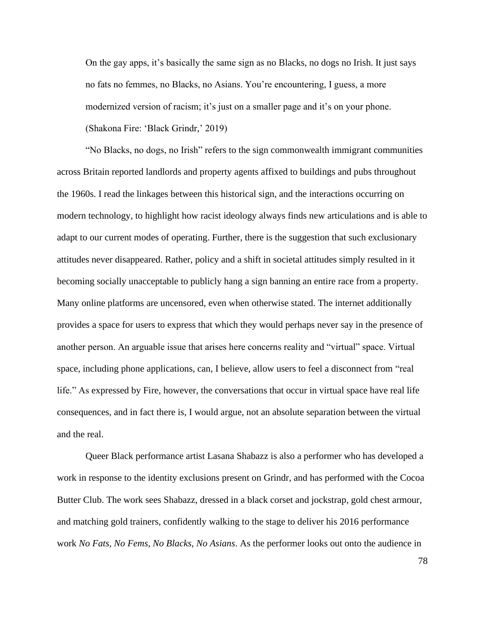On the gay apps, it's basically the same sign as no Blacks, no dogs no Irish. It just says no fats no femmes, no Blacks, no Asians. You're encountering, I guess, a more modernized version of racism; it's just on a smaller page and it's on your phone. (Shakona Fire: 'Black Grindr,' 2019)

"No Blacks, no dogs, no Irish" refers to the sign commonwealth immigrant communities across Britain reported landlords and property agents affixed to buildings and pubs throughout the 1960s. I read the linkages between this historical sign, and the interactions occurring on modern technology, to highlight how racist ideology always finds new articulations and is able to adapt to our current modes of operating. Further, there is the suggestion that such exclusionary attitudes never disappeared. Rather, policy and a shift in societal attitudes simply resulted in it becoming socially unacceptable to publicly hang a sign banning an entire race from a property. Many online platforms are uncensored, even when otherwise stated. The internet additionally provides a space for users to express that which they would perhaps never say in the presence of another person. An arguable issue that arises here concerns reality and "virtual" space. Virtual space, including phone applications, can, I believe, allow users to feel a disconnect from "real life." As expressed by Fire, however, the conversations that occur in virtual space have real life consequences, and in fact there is, I would argue, not an absolute separation between the virtual and the real.

Queer Black performance artist Lasana Shabazz is also a performer who has developed a work in response to the identity exclusions present on Grindr, and has performed with the Cocoa Butter Club. The work sees Shabazz, dressed in a black corset and jockstrap, gold chest armour, and matching gold trainers, confidently walking to the stage to deliver his 2016 performance work *No Fats, No Fems, No Blacks, No Asians*. As the performer looks out onto the audience in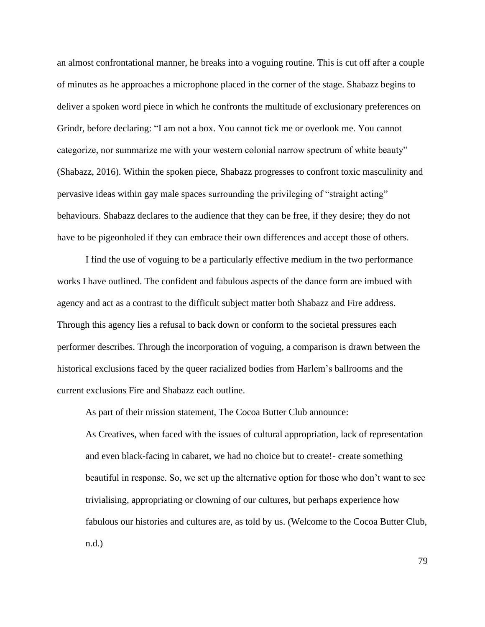an almost confrontational manner, he breaks into a voguing routine. This is cut off after a couple of minutes as he approaches a microphone placed in the corner of the stage. Shabazz begins to deliver a spoken word piece in which he confronts the multitude of exclusionary preferences on Grindr, before declaring: "I am not a box. You cannot tick me or overlook me. You cannot categorize, nor summarize me with your western colonial narrow spectrum of white beauty" (Shabazz, 2016). Within the spoken piece, Shabazz progresses to confront toxic masculinity and pervasive ideas within gay male spaces surrounding the privileging of "straight acting" behaviours. Shabazz declares to the audience that they can be free, if they desire; they do not have to be pigeonholed if they can embrace their own differences and accept those of others.

I find the use of voguing to be a particularly effective medium in the two performance works I have outlined. The confident and fabulous aspects of the dance form are imbued with agency and act as a contrast to the difficult subject matter both Shabazz and Fire address. Through this agency lies a refusal to back down or conform to the societal pressures each performer describes. Through the incorporation of voguing, a comparison is drawn between the historical exclusions faced by the queer racialized bodies from Harlem's ballrooms and the current exclusions Fire and Shabazz each outline.

As part of their mission statement, The Cocoa Butter Club announce:

As Creatives, when faced with the issues of cultural appropriation, lack of representation and even black-facing in cabaret, we had no choice but to create!- create something beautiful in response. So, we set up the alternative option for those who don't want to see trivialising, appropriating or clowning of our cultures, but perhaps experience how fabulous our histories and cultures are, as told by us. (Welcome to the Cocoa Butter Club, n.d.)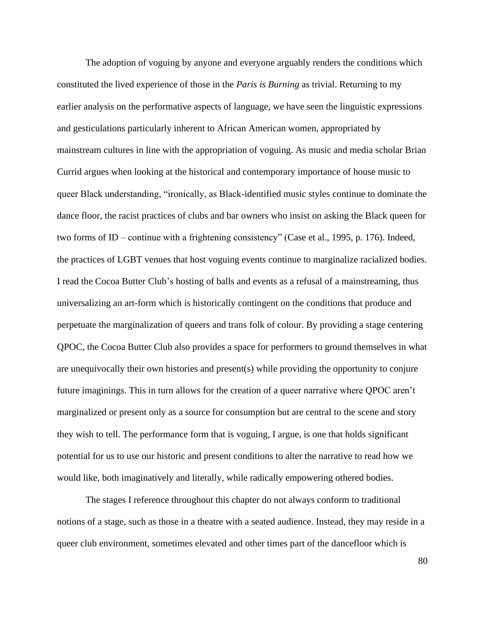The adoption of voguing by anyone and everyone arguably renders the conditions which constituted the lived experience of those in the *Paris is Burning* as trivial. Returning to my earlier analysis on the performative aspects of language, we have seen the linguistic expressions and gesticulations particularly inherent to African American women, appropriated by mainstream cultures in line with the appropriation of voguing. As music and media scholar Brian Currid argues when looking at the historical and contemporary importance of house music to queer Black understanding, "ironically, as Black-identified music styles continue to dominate the dance floor, the racist practices of clubs and bar owners who insist on asking the Black queen for two forms of ID – continue with a frightening consistency" (Case et al., 1995, p. 176). Indeed, the practices of LGBT venues that host voguing events continue to marginalize racialized bodies. I read the Cocoa Butter Club's hosting of balls and events as a refusal of a mainstreaming, thus universalizing an art-form which is historically contingent on the conditions that produce and perpetuate the marginalization of queers and trans folk of colour. By providing a stage centering QPOC, the Cocoa Butter Club also provides a space for performers to ground themselves in what are unequivocally their own histories and present(s) while providing the opportunity to conjure future imaginings. This in turn allows for the creation of a queer narrative where QPOC aren't marginalized or present only as a source for consumption but are central to the scene and story they wish to tell. The performance form that is voguing, I argue, is one that holds significant potential for us to use our historic and present conditions to alter the narrative to read how we would like, both imaginatively and literally, while radically empowering othered bodies.

The stages I reference throughout this chapter do not always conform to traditional notions of a stage, such as those in a theatre with a seated audience. Instead, they may reside in a queer club environment, sometimes elevated and other times part of the dancefloor which is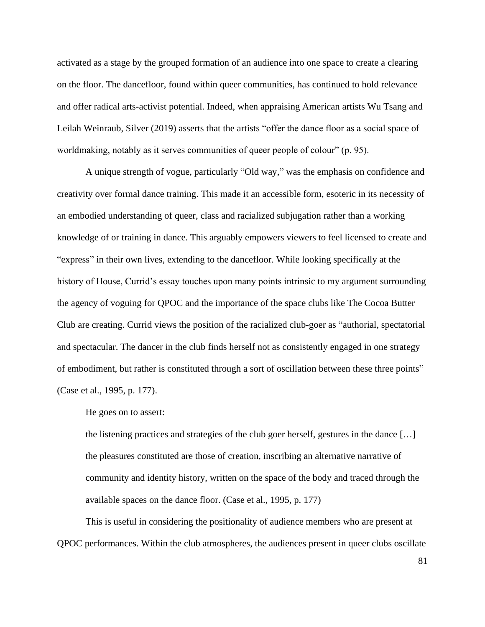activated as a stage by the grouped formation of an audience into one space to create a clearing on the floor. The dancefloor, found within queer communities, has continued to hold relevance and offer radical arts-activist potential. Indeed, when appraising American artists Wu Tsang and Leilah Weinraub, Silver (2019) asserts that the artists "offer the dance floor as a social space of worldmaking, notably as it serves communities of queer people of colour" (p. 95).

A unique strength of vogue, particularly "Old way," was the emphasis on confidence and creativity over formal dance training. This made it an accessible form, esoteric in its necessity of an embodied understanding of queer, class and racialized subjugation rather than a working knowledge of or training in dance. This arguably empowers viewers to feel licensed to create and "express" in their own lives, extending to the dancefloor. While looking specifically at the history of House, Currid's essay touches upon many points intrinsic to my argument surrounding the agency of voguing for QPOC and the importance of the space clubs like The Cocoa Butter Club are creating. Currid views the position of the racialized club-goer as "authorial, spectatorial and spectacular. The dancer in the club finds herself not as consistently engaged in one strategy of embodiment, but rather is constituted through a sort of oscillation between these three points" (Case et al., 1995, p. 177).

He goes on to assert:

the listening practices and strategies of the club goer herself, gestures in the dance […] the pleasures constituted are those of creation, inscribing an alternative narrative of community and identity history, written on the space of the body and traced through the available spaces on the dance floor. (Case et al., 1995, p. 177)

This is useful in considering the positionality of audience members who are present at QPOC performances. Within the club atmospheres, the audiences present in queer clubs oscillate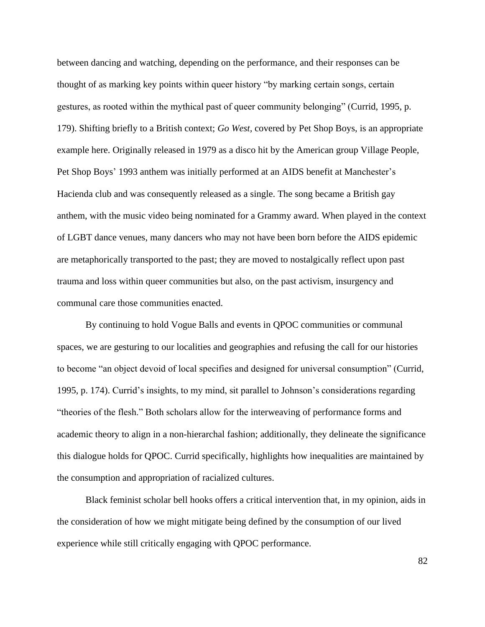between dancing and watching, depending on the performance, and their responses can be thought of as marking key points within queer history "by marking certain songs, certain gestures, as rooted within the mythical past of queer community belonging" (Currid, 1995, p. 179). Shifting briefly to a British context; *Go West,* covered by Pet Shop Boys, is an appropriate example here. Originally released in 1979 as a disco hit by the American group Village People, Pet Shop Boys' 1993 anthem was initially performed at an AIDS benefit at Manchester's Hacienda club and was consequently released as a single. The song became a British gay anthem, with the music video being nominated for a Grammy award. When played in the context of LGBT dance venues, many dancers who may not have been born before the AIDS epidemic are metaphorically transported to the past; they are moved to nostalgically reflect upon past trauma and loss within queer communities but also, on the past activism, insurgency and communal care those communities enacted.

By continuing to hold Vogue Balls and events in QPOC communities or communal spaces, we are gesturing to our localities and geographies and refusing the call for our histories to become "an object devoid of local specifies and designed for universal consumption" (Currid, 1995, p. 174). Currid's insights, to my mind, sit parallel to Johnson's considerations regarding "theories of the flesh." Both scholars allow for the interweaving of performance forms and academic theory to align in a non-hierarchal fashion; additionally, they delineate the significance this dialogue holds for QPOC. Currid specifically, highlights how inequalities are maintained by the consumption and appropriation of racialized cultures.

Black feminist scholar bell hooks offers a critical intervention that, in my opinion, aids in the consideration of how we might mitigate being defined by the consumption of our lived experience while still critically engaging with QPOC performance.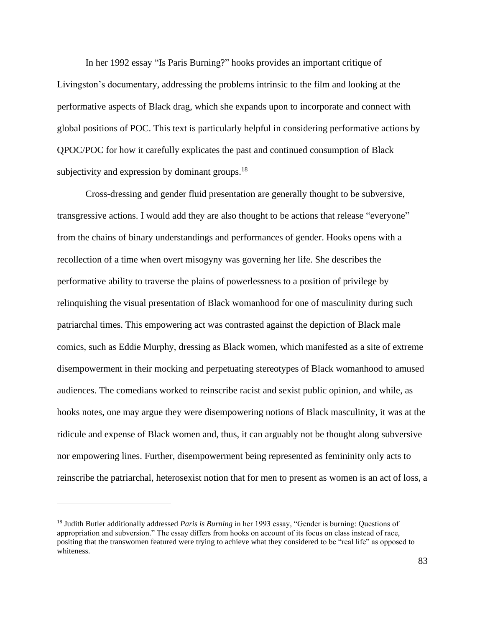In her 1992 essay "Is Paris Burning?" hooks provides an important critique of Livingston's documentary, addressing the problems intrinsic to the film and looking at the performative aspects of Black drag, which she expands upon to incorporate and connect with global positions of POC. This text is particularly helpful in considering performative actions by QPOC/POC for how it carefully explicates the past and continued consumption of Black subjectivity and expression by dominant groups. $18$ 

Cross-dressing and gender fluid presentation are generally thought to be subversive, transgressive actions. I would add they are also thought to be actions that release "everyone" from the chains of binary understandings and performances of gender. Hooks opens with a recollection of a time when overt misogyny was governing her life. She describes the performative ability to traverse the plains of powerlessness to a position of privilege by relinquishing the visual presentation of Black womanhood for one of masculinity during such patriarchal times. This empowering act was contrasted against the depiction of Black male comics, such as Eddie Murphy, dressing as Black women, which manifested as a site of extreme disempowerment in their mocking and perpetuating stereotypes of Black womanhood to amused audiences. The comedians worked to reinscribe racist and sexist public opinion, and while, as hooks notes, one may argue they were disempowering notions of Black masculinity, it was at the ridicule and expense of Black women and, thus, it can arguably not be thought along subversive nor empowering lines. Further, disempowerment being represented as femininity only acts to reinscribe the patriarchal, heterosexist notion that for men to present as women is an act of loss, a

<sup>18</sup> Judith Butler additionally addressed *Paris is Burning* in her 1993 essay, "Gender is burning: Questions of appropriation and subversion." The essay differs from hooks on account of its focus on class instead of race, positing that the transwomen featured were trying to achieve what they considered to be "real life" as opposed to whiteness.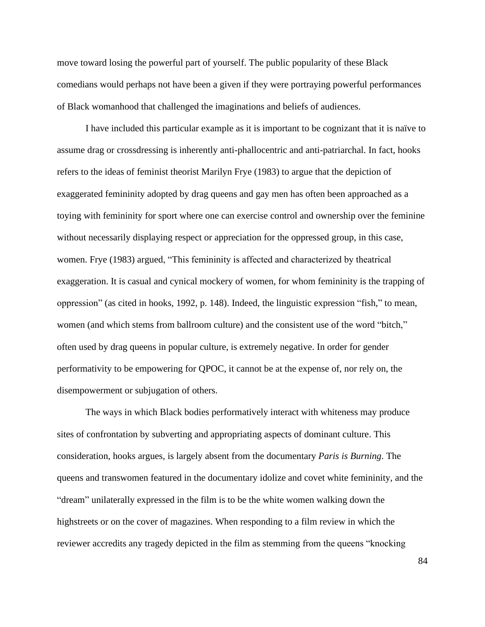move toward losing the powerful part of yourself. The public popularity of these Black comedians would perhaps not have been a given if they were portraying powerful performances of Black womanhood that challenged the imaginations and beliefs of audiences.

I have included this particular example as it is important to be cognizant that it is naïve to assume drag or crossdressing is inherently anti-phallocentric and anti-patriarchal. In fact, hooks refers to the ideas of feminist theorist Marilyn Frye (1983) to argue that the depiction of exaggerated femininity adopted by drag queens and gay men has often been approached as a toying with femininity for sport where one can exercise control and ownership over the feminine without necessarily displaying respect or appreciation for the oppressed group, in this case, women. Frye (1983) argued, "This femininity is affected and characterized by theatrical exaggeration. It is casual and cynical mockery of women, for whom femininity is the trapping of oppression" (as cited in hooks, 1992, p. 148). Indeed, the linguistic expression "fish," to mean, women (and which stems from ballroom culture) and the consistent use of the word "bitch," often used by drag queens in popular culture, is extremely negative. In order for gender performativity to be empowering for QPOC, it cannot be at the expense of, nor rely on, the disempowerment or subjugation of others.

The ways in which Black bodies performatively interact with whiteness may produce sites of confrontation by subverting and appropriating aspects of dominant culture. This consideration, hooks argues, is largely absent from the documentary *Paris is Burning*. The queens and transwomen featured in the documentary idolize and covet white femininity, and the "dream" unilaterally expressed in the film is to be the white women walking down the highstreets or on the cover of magazines. When responding to a film review in which the reviewer accredits any tragedy depicted in the film as stemming from the queens "knocking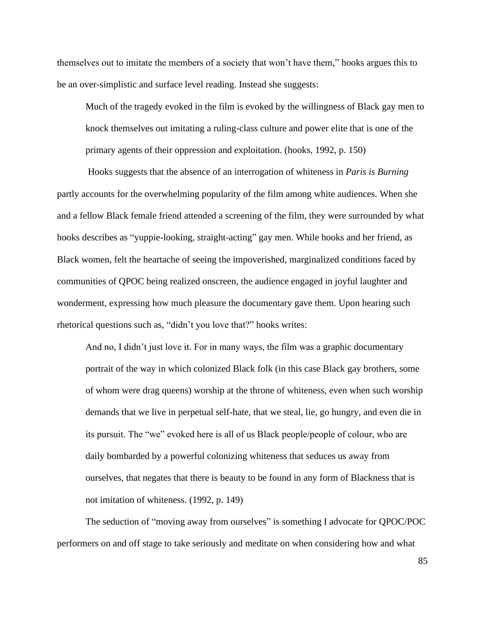themselves out to imitate the members of a society that won't have them," hooks argues this to be an over-simplistic and surface level reading. Instead she suggests:

Much of the tragedy evoked in the film is evoked by the willingness of Black gay men to knock themselves out imitating a ruling-class culture and power elite that is one of the primary agents of their oppression and exploitation. (hooks, 1992, p. 150)

Hooks suggests that the absence of an interrogation of whiteness in *Paris is Burning* partly accounts for the overwhelming popularity of the film among white audiences. When she and a fellow Black female friend attended a screening of the film, they were surrounded by what hooks describes as "yuppie-looking, straight-acting" gay men. While hooks and her friend, as Black women, felt the heartache of seeing the impoverished, marginalized conditions faced by communities of QPOC being realized onscreen, the audience engaged in joyful laughter and wonderment, expressing how much pleasure the documentary gave them. Upon hearing such rhetorical questions such as, "didn't you love that?" hooks writes:

And no, I didn't just love it. For in many ways, the film was a graphic documentary portrait of the way in which colonized Black folk (in this case Black gay brothers, some of whom were drag queens) worship at the throne of whiteness, even when such worship demands that we live in perpetual self-hate, that we steal, lie, go hungry, and even die in its pursuit. The "we" evoked here is all of us Black people/people of colour, who are daily bombarded by a powerful colonizing whiteness that seduces us away from ourselves, that negates that there is beauty to be found in any form of Blackness that is not imitation of whiteness. (1992, p. 149)

The seduction of "moving away from ourselves" is something I advocate for QPOC/POC performers on and off stage to take seriously and meditate on when considering how and what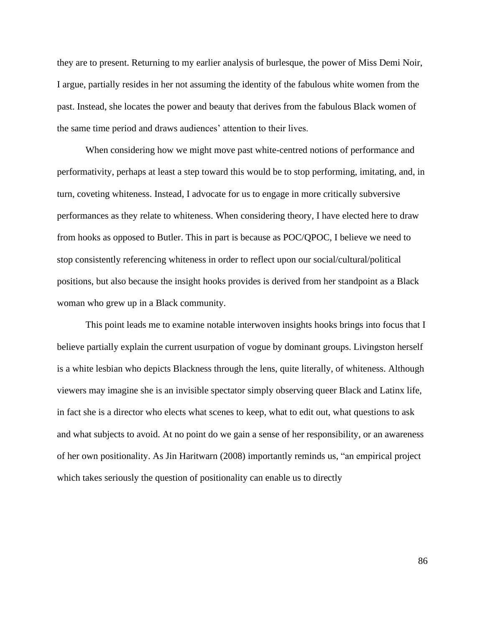they are to present. Returning to my earlier analysis of burlesque, the power of Miss Demi Noir, I argue, partially resides in her not assuming the identity of the fabulous white women from the past. Instead, she locates the power and beauty that derives from the fabulous Black women of the same time period and draws audiences' attention to their lives.

When considering how we might move past white-centred notions of performance and performativity, perhaps at least a step toward this would be to stop performing, imitating, and, in turn, coveting whiteness. Instead, I advocate for us to engage in more critically subversive performances as they relate to whiteness. When considering theory, I have elected here to draw from hooks as opposed to Butler. This in part is because as POC/QPOC, I believe we need to stop consistently referencing whiteness in order to reflect upon our social/cultural/political positions, but also because the insight hooks provides is derived from her standpoint as a Black woman who grew up in a Black community.

This point leads me to examine notable interwoven insights hooks brings into focus that I believe partially explain the current usurpation of vogue by dominant groups. Livingston herself is a white lesbian who depicts Blackness through the lens, quite literally, of whiteness. Although viewers may imagine she is an invisible spectator simply observing queer Black and Latinx life, in fact she is a director who elects what scenes to keep, what to edit out, what questions to ask and what subjects to avoid. At no point do we gain a sense of her responsibility, or an awareness of her own positionality. As Jin Haritwarn (2008) importantly reminds us, "an empirical project which takes seriously the question of positionality can enable us to directly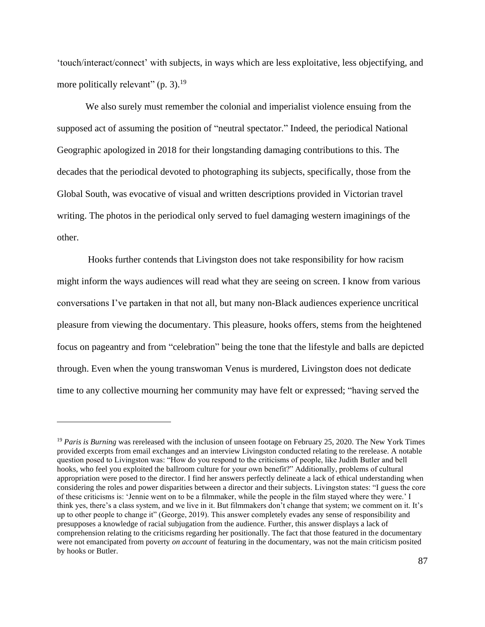'touch/interact/connect' with subjects, in ways which are less exploitative, less objectifying, and more politically relevant"  $(p. 3)$ .<sup>19</sup>

We also surely must remember the colonial and imperialist violence ensuing from the supposed act of assuming the position of "neutral spectator." Indeed, the periodical National Geographic apologized in 2018 for their longstanding damaging contributions to this. The decades that the periodical devoted to photographing its subjects, specifically, those from the Global South, was evocative of visual and written descriptions provided in Victorian travel writing. The photos in the periodical only served to fuel damaging western imaginings of the other.

Hooks further contends that Livingston does not take responsibility for how racism might inform the ways audiences will read what they are seeing on screen. I know from various conversations I've partaken in that not all, but many non-Black audiences experience uncritical pleasure from viewing the documentary. This pleasure, hooks offers, stems from the heightened focus on pageantry and from "celebration" being the tone that the lifestyle and balls are depicted through. Even when the young transwoman Venus is murdered, Livingston does not dedicate time to any collective mourning her community may have felt or expressed; "having served the

<sup>19</sup> *Paris is Burning* was rereleased with the inclusion of unseen footage on February 25, 2020. The New York Times provided excerpts from email exchanges and an interview Livingston conducted relating to the rerelease. A notable question posed to Livingston was: "How do you respond to the criticisms of people, like Judith Butler and bell hooks, who feel you exploited the ballroom culture for your own benefit?" Additionally, problems of cultural appropriation were posed to the director. I find her answers perfectly delineate a lack of ethical understanding when considering the roles and power disparities between a director and their subjects. Livingston states: "I guess the core of these criticisms is: 'Jennie went on to be a filmmaker, while the people in the film stayed where they were.' I think yes, there's a class system, and we live in it. But filmmakers don't change that system; we comment on it. It's up to other people to change it" (George, 2019). This answer completely evades any sense of responsibility and presupposes a knowledge of racial subjugation from the audience. Further, this answer displays a lack of comprehension relating to the criticisms regarding her positionally. The fact that those featured in the documentary were not emancipated from poverty *on account* of featuring in the documentary, was not the main criticism posited by hooks or Butler.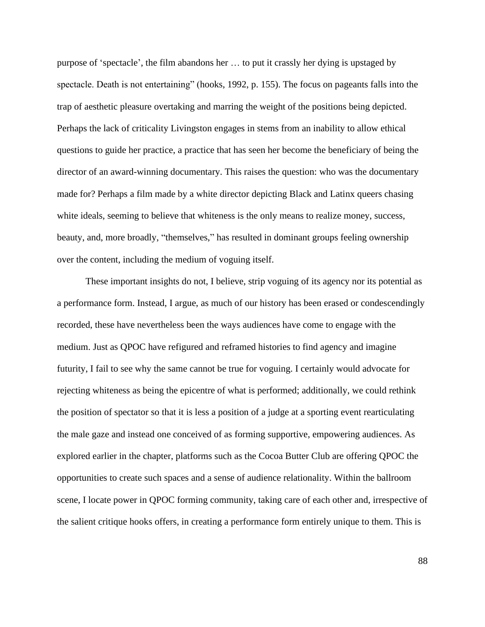purpose of 'spectacle', the film abandons her … to put it crassly her dying is upstaged by spectacle. Death is not entertaining" (hooks, 1992, p. 155). The focus on pageants falls into the trap of aesthetic pleasure overtaking and marring the weight of the positions being depicted. Perhaps the lack of criticality Livingston engages in stems from an inability to allow ethical questions to guide her practice, a practice that has seen her become the beneficiary of being the director of an award-winning documentary. This raises the question: who was the documentary made for? Perhaps a film made by a white director depicting Black and Latinx queers chasing white ideals, seeming to believe that whiteness is the only means to realize money, success, beauty, and, more broadly, "themselves," has resulted in dominant groups feeling ownership over the content, including the medium of voguing itself.

These important insights do not, I believe, strip voguing of its agency nor its potential as a performance form. Instead, I argue, as much of our history has been erased or condescendingly recorded, these have nevertheless been the ways audiences have come to engage with the medium. Just as QPOC have refigured and reframed histories to find agency and imagine futurity, I fail to see why the same cannot be true for voguing. I certainly would advocate for rejecting whiteness as being the epicentre of what is performed; additionally, we could rethink the position of spectator so that it is less a position of a judge at a sporting event rearticulating the male gaze and instead one conceived of as forming supportive, empowering audiences. As explored earlier in the chapter, platforms such as the Cocoa Butter Club are offering QPOC the opportunities to create such spaces and a sense of audience relationality. Within the ballroom scene, I locate power in QPOC forming community, taking care of each other and, irrespective of the salient critique hooks offers, in creating a performance form entirely unique to them. This is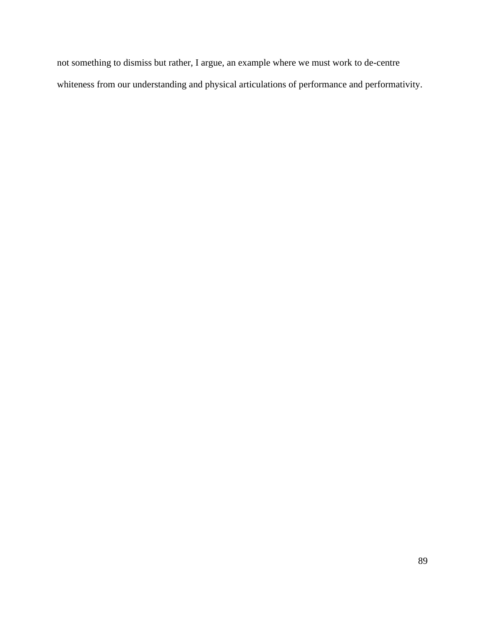not something to dismiss but rather, I argue, an example where we must work to de-centre whiteness from our understanding and physical articulations of performance and performativity.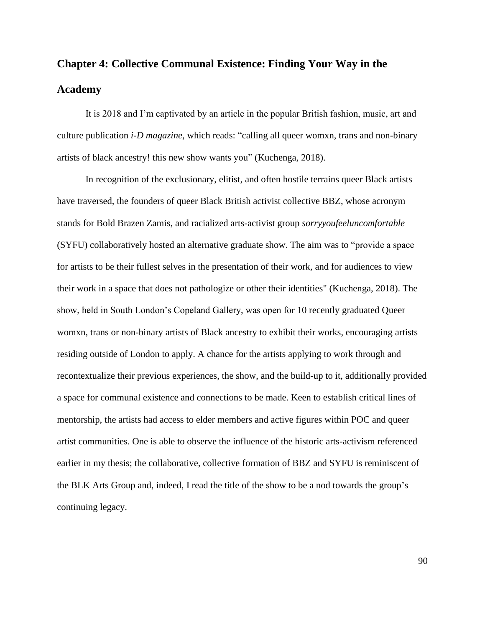## **Chapter 4: Collective Communal Existence: Finding Your Way in the Academy**

It is 2018 and I'm captivated by an article in the popular British fashion, music, art and culture publication *i-D magazine*, which reads: "calling all queer womxn, trans and non-binary artists of black ancestry! this new show wants you" (Kuchenga, 2018).

In recognition of the exclusionary, elitist, and often hostile terrains queer Black artists have traversed, the founders of queer Black British activist collective BBZ, whose acronym stands for Bold Brazen Zamis, and racialized arts-activist group *sorryyoufeeluncomfortable*  (SYFU) collaboratively hosted an alternative graduate show. The aim was to "provide a space for artists to be their fullest selves in the presentation of their work, and for audiences to view their work in a space that does not pathologize or other their identities" (Kuchenga, 2018). The show, held in South London's Copeland Gallery, was open for 10 recently graduated Queer womxn, trans or non-binary artists of Black ancestry to exhibit their works, encouraging artists residing outside of London to apply. A chance for the artists applying to work through and recontextualize their previous experiences, the show, and the build-up to it, additionally provided a space for communal existence and connections to be made. Keen to establish critical lines of mentorship, the artists had access to elder members and active figures within POC and queer artist communities. One is able to observe the influence of the historic arts-activism referenced earlier in my thesis; the collaborative, collective formation of BBZ and SYFU is reminiscent of the BLK Arts Group and, indeed, I read the title of the show to be a nod towards the group's continuing legacy.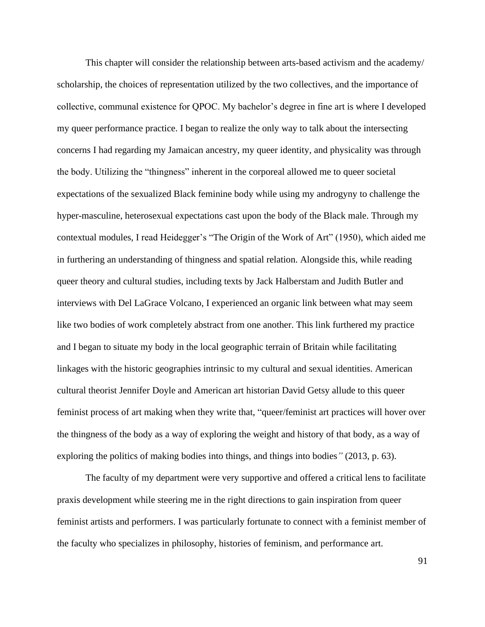This chapter will consider the relationship between arts-based activism and the academy/ scholarship, the choices of representation utilized by the two collectives, and the importance of collective, communal existence for QPOC. My bachelor's degree in fine art is where I developed my queer performance practice. I began to realize the only way to talk about the intersecting concerns I had regarding my Jamaican ancestry, my queer identity, and physicality was through the body. Utilizing the "thingness" inherent in the corporeal allowed me to queer societal expectations of the sexualized Black feminine body while using my androgyny to challenge the hyper-masculine, heterosexual expectations cast upon the body of the Black male. Through my contextual modules, I read Heidegger's "The Origin of the Work of Art" (1950), which aided me in furthering an understanding of thingness and spatial relation. Alongside this, while reading queer theory and cultural studies, including texts by Jack Halberstam and Judith Butler and interviews with Del LaGrace Volcano, I experienced an organic link between what may seem like two bodies of work completely abstract from one another. This link furthered my practice and I began to situate my body in the local geographic terrain of Britain while facilitating linkages with the historic geographies intrinsic to my cultural and sexual identities. American cultural theorist Jennifer Doyle and American art historian David Getsy allude to this queer feminist process of art making when they write that, "queer/feminist art practices will hover over the thingness of the body as a way of exploring the weight and history of that body, as a way of exploring the politics of making bodies into things, and things into bodies*"* (2013, p. 63).

The faculty of my department were very supportive and offered a critical lens to facilitate praxis development while steering me in the right directions to gain inspiration from queer feminist artists and performers. I was particularly fortunate to connect with a feminist member of the faculty who specializes in philosophy, histories of feminism, and performance art.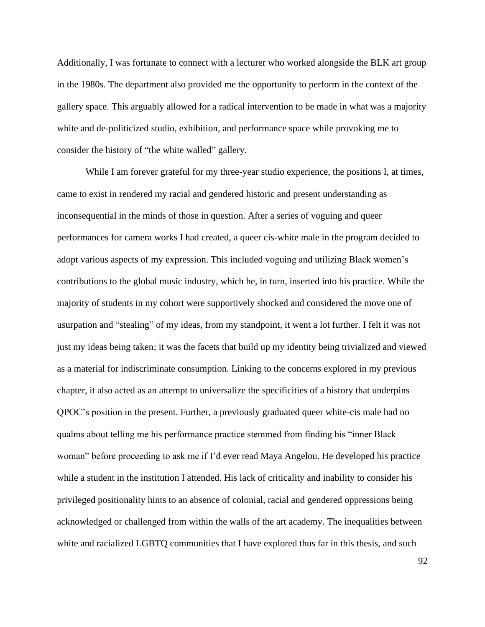Additionally, I was fortunate to connect with a lecturer who worked alongside the BLK art group in the 1980s. The department also provided me the opportunity to perform in the context of the gallery space. This arguably allowed for a radical intervention to be made in what was a majority white and de-politicized studio, exhibition, and performance space while provoking me to consider the history of "the white walled" gallery.

While I am forever grateful for my three-year studio experience, the positions I, at times, came to exist in rendered my racial and gendered historic and present understanding as inconsequential in the minds of those in question. After a series of voguing and queer performances for camera works I had created, a queer cis-white male in the program decided to adopt various aspects of my expression. This included voguing and utilizing Black women's contributions to the global music industry, which he, in turn, inserted into his practice. While the majority of students in my cohort were supportively shocked and considered the move one of usurpation and "stealing" of my ideas, from my standpoint, it went a lot further. I felt it was not just my ideas being taken; it was the facets that build up my identity being trivialized and viewed as a material for indiscriminate consumption. Linking to the concerns explored in my previous chapter, it also acted as an attempt to universalize the specificities of a history that underpins QPOC's position in the present. Further, a previously graduated queer white-cis male had no qualms about telling me his performance practice stemmed from finding his "inner Black woman" before proceeding to ask me if I'd ever read Maya Angelou. He developed his practice while a student in the institution I attended. His lack of criticality and inability to consider his privileged positionality hints to an absence of colonial, racial and gendered oppressions being acknowledged or challenged from within the walls of the art academy. The inequalities between white and racialized LGBTQ communities that I have explored thus far in this thesis, and such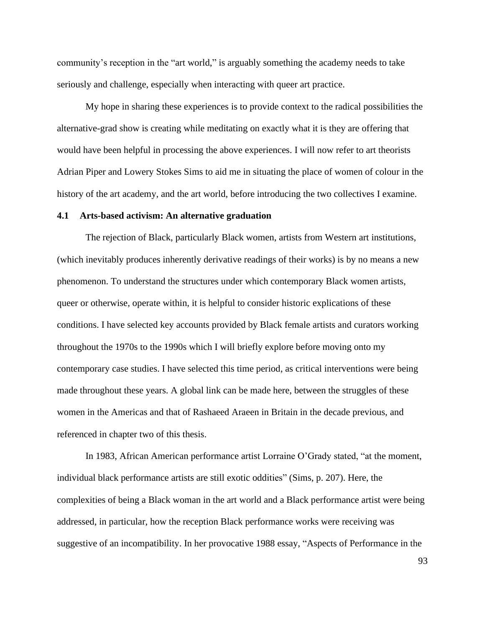community's reception in the "art world," is arguably something the academy needs to take seriously and challenge, especially when interacting with queer art practice.

My hope in sharing these experiences is to provide context to the radical possibilities the alternative-grad show is creating while meditating on exactly what it is they are offering that would have been helpful in processing the above experiences. I will now refer to art theorists Adrian Piper and Lowery Stokes Sims to aid me in situating the place of women of colour in the history of the art academy, and the art world, before introducing the two collectives I examine.

## **4.1 Arts-based activism: An alternative graduation**

The rejection of Black, particularly Black women, artists from Western art institutions, (which inevitably produces inherently derivative readings of their works) is by no means a new phenomenon. To understand the structures under which contemporary Black women artists, queer or otherwise, operate within, it is helpful to consider historic explications of these conditions. I have selected key accounts provided by Black female artists and curators working throughout the 1970s to the 1990s which I will briefly explore before moving onto my contemporary case studies. I have selected this time period, as critical interventions were being made throughout these years. A global link can be made here, between the struggles of these women in the Americas and that of Rashaeed Araeen in Britain in the decade previous, and referenced in chapter two of this thesis.

In 1983, African American performance artist Lorraine O'Grady stated, "at the moment, individual black performance artists are still exotic oddities" (Sims, p. 207). Here, the complexities of being a Black woman in the art world and a Black performance artist were being addressed, in particular, how the reception Black performance works were receiving was suggestive of an incompatibility. In her provocative 1988 essay, "Aspects of Performance in the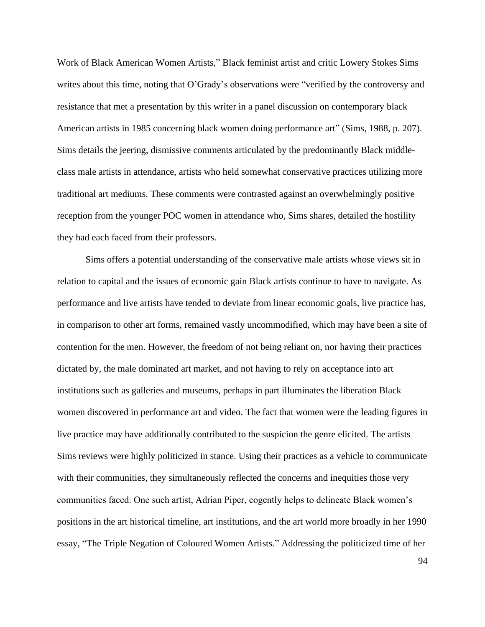Work of Black American Women Artists," Black feminist artist and critic Lowery Stokes Sims writes about this time, noting that O'Grady's observations were "verified by the controversy and resistance that met a presentation by this writer in a panel discussion on contemporary black American artists in 1985 concerning black women doing performance art" (Sims, 1988, p. 207). Sims details the jeering, dismissive comments articulated by the predominantly Black middleclass male artists in attendance, artists who held somewhat conservative practices utilizing more traditional art mediums. These comments were contrasted against an overwhelmingly positive reception from the younger POC women in attendance who, Sims shares, detailed the hostility they had each faced from their professors.

Sims offers a potential understanding of the conservative male artists whose views sit in relation to capital and the issues of economic gain Black artists continue to have to navigate. As performance and live artists have tended to deviate from linear economic goals, live practice has, in comparison to other art forms, remained vastly uncommodified, which may have been a site of contention for the men. However, the freedom of not being reliant on, nor having their practices dictated by, the male dominated art market, and not having to rely on acceptance into art institutions such as galleries and museums, perhaps in part illuminates the liberation Black women discovered in performance art and video. The fact that women were the leading figures in live practice may have additionally contributed to the suspicion the genre elicited. The artists Sims reviews were highly politicized in stance. Using their practices as a vehicle to communicate with their communities, they simultaneously reflected the concerns and inequities those very communities faced. One such artist, Adrian Piper, cogently helps to delineate Black women's positions in the art historical timeline, art institutions, and the art world more broadly in her 1990 essay, "The Triple Negation of Coloured Women Artists." Addressing the politicized time of her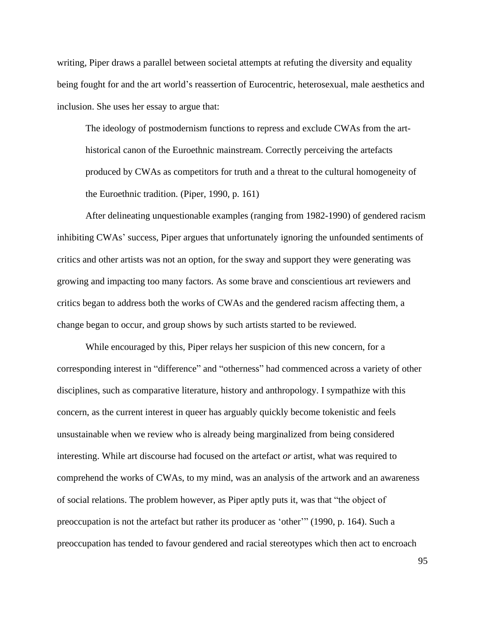writing, Piper draws a parallel between societal attempts at refuting the diversity and equality being fought for and the art world's reassertion of Eurocentric, heterosexual, male aesthetics and inclusion. She uses her essay to argue that:

The ideology of postmodernism functions to repress and exclude CWAs from the arthistorical canon of the Euroethnic mainstream. Correctly perceiving the artefacts produced by CWAs as competitors for truth and a threat to the cultural homogeneity of the Euroethnic tradition. (Piper, 1990, p. 161)

After delineating unquestionable examples (ranging from 1982-1990) of gendered racism inhibiting CWAs' success, Piper argues that unfortunately ignoring the unfounded sentiments of critics and other artists was not an option, for the sway and support they were generating was growing and impacting too many factors. As some brave and conscientious art reviewers and critics began to address both the works of CWAs and the gendered racism affecting them, a change began to occur, and group shows by such artists started to be reviewed.

While encouraged by this, Piper relays her suspicion of this new concern, for a corresponding interest in "difference" and "otherness" had commenced across a variety of other disciplines, such as comparative literature, history and anthropology. I sympathize with this concern, as the current interest in queer has arguably quickly become tokenistic and feels unsustainable when we review who is already being marginalized from being considered interesting. While art discourse had focused on the artefact *or* artist, what was required to comprehend the works of CWAs, to my mind, was an analysis of the artwork and an awareness of social relations. The problem however, as Piper aptly puts it, was that "the object of preoccupation is not the artefact but rather its producer as 'other'" (1990, p. 164). Such a preoccupation has tended to favour gendered and racial stereotypes which then act to encroach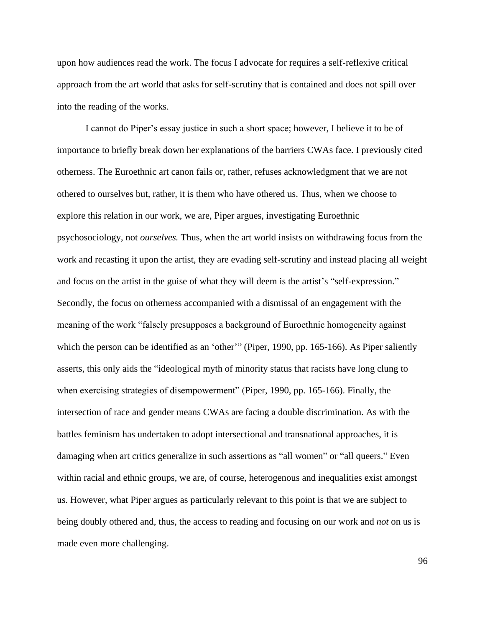upon how audiences read the work. The focus I advocate for requires a self-reflexive critical approach from the art world that asks for self-scrutiny that is contained and does not spill over into the reading of the works.

I cannot do Piper's essay justice in such a short space; however, I believe it to be of importance to briefly break down her explanations of the barriers CWAs face. I previously cited otherness. The Euroethnic art canon fails or, rather, refuses acknowledgment that we are not othered to ourselves but, rather, it is them who have othered us. Thus, when we choose to explore this relation in our work, we are, Piper argues, investigating Euroethnic psychosociology, not *ourselves.* Thus, when the art world insists on withdrawing focus from the work and recasting it upon the artist, they are evading self-scrutiny and instead placing all weight and focus on the artist in the guise of what they will deem is the artist's "self-expression." Secondly, the focus on otherness accompanied with a dismissal of an engagement with the meaning of the work "falsely presupposes a background of Euroethnic homogeneity against which the person can be identified as an 'other'" (Piper, 1990, pp. 165-166). As Piper saliently asserts, this only aids the "ideological myth of minority status that racists have long clung to when exercising strategies of disempowerment" (Piper, 1990, pp. 165-166). Finally, the intersection of race and gender means CWAs are facing a double discrimination. As with the battles feminism has undertaken to adopt intersectional and transnational approaches, it is damaging when art critics generalize in such assertions as "all women" or "all queers." Even within racial and ethnic groups, we are, of course, heterogenous and inequalities exist amongst us. However, what Piper argues as particularly relevant to this point is that we are subject to being doubly othered and, thus, the access to reading and focusing on our work and *not* on us is made even more challenging.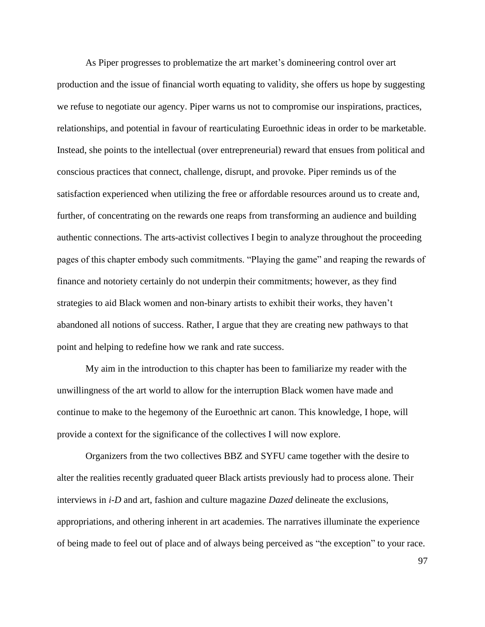As Piper progresses to problematize the art market's domineering control over art production and the issue of financial worth equating to validity, she offers us hope by suggesting we refuse to negotiate our agency. Piper warns us not to compromise our inspirations, practices, relationships, and potential in favour of rearticulating Euroethnic ideas in order to be marketable. Instead, she points to the intellectual (over entrepreneurial) reward that ensues from political and conscious practices that connect, challenge, disrupt, and provoke. Piper reminds us of the satisfaction experienced when utilizing the free or affordable resources around us to create and, further, of concentrating on the rewards one reaps from transforming an audience and building authentic connections. The arts-activist collectives I begin to analyze throughout the proceeding pages of this chapter embody such commitments. "Playing the game" and reaping the rewards of finance and notoriety certainly do not underpin their commitments; however, as they find strategies to aid Black women and non-binary artists to exhibit their works, they haven't abandoned all notions of success. Rather, I argue that they are creating new pathways to that point and helping to redefine how we rank and rate success.

My aim in the introduction to this chapter has been to familiarize my reader with the unwillingness of the art world to allow for the interruption Black women have made and continue to make to the hegemony of the Euroethnic art canon. This knowledge, I hope, will provide a context for the significance of the collectives I will now explore.

Organizers from the two collectives BBZ and SYFU came together with the desire to alter the realities recently graduated queer Black artists previously had to process alone. Their interviews in *i-D* and art, fashion and culture magazine *Dazed* delineate the exclusions, appropriations, and othering inherent in art academies. The narratives illuminate the experience of being made to feel out of place and of always being perceived as "the exception" to your race.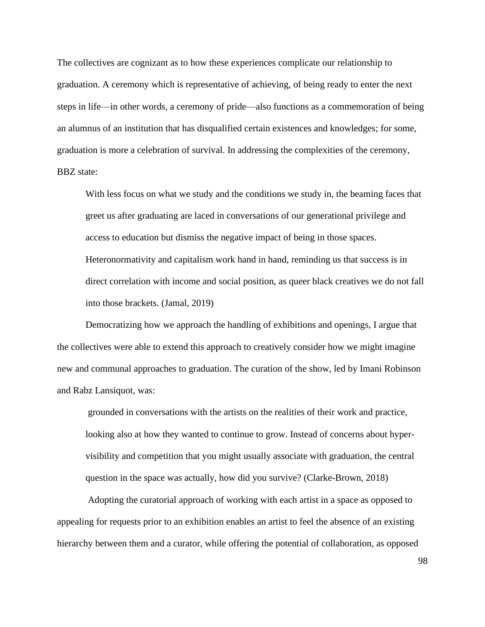The collectives are cognizant as to how these experiences complicate our relationship to graduation. A ceremony which is representative of achieving, of being ready to enter the next steps in life—in other words, a ceremony of pride—also functions as a commemoration of being an alumnus of an institution that has disqualified certain existences and knowledges; for some, graduation is more a celebration of survival. In addressing the complexities of the ceremony, BBZ state:

With less focus on what we study and the conditions we study in, the beaming faces that greet us after graduating are laced in conversations of our generational privilege and access to education but dismiss the negative impact of being in those spaces. Heteronormativity and capitalism work hand in hand, reminding us that success is in direct correlation with income and social position, as queer black creatives we do not fall into those brackets. (Jamal, 2019)

Democratizing how we approach the handling of exhibitions and openings, I argue that the collectives were able to extend this approach to creatively consider how we might imagine new and communal approaches to graduation. The curation of the show, led by Imani Robinson and Rabz Lansiquot, was:

grounded in conversations with the artists on the realities of their work and practice, looking also at how they wanted to continue to grow. Instead of concerns about hypervisibility and competition that you might usually associate with graduation, the central question in the space was actually, how did you survive? (Clarke-Brown, 2018)

Adopting the curatorial approach of working with each artist in a space as opposed to appealing for requests prior to an exhibition enables an artist to feel the absence of an existing hierarchy between them and a curator, while offering the potential of collaboration, as opposed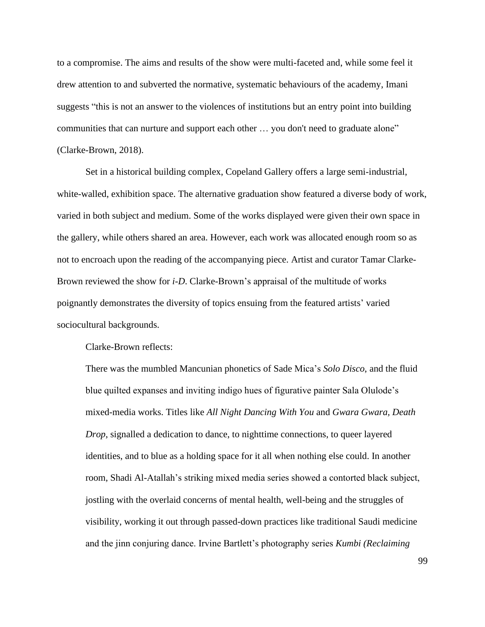to a compromise. The aims and results of the show were multi-faceted and, while some feel it drew attention to and subverted the normative, systematic behaviours of the academy, Imani suggests "this is not an answer to the violences of institutions but an entry point into building communities that can nurture and support each other … you don't need to graduate alone" (Clarke-Brown, 2018).

Set in a historical building complex, Copeland Gallery offers a large semi-industrial, white-walled, exhibition space. The alternative graduation show featured a diverse body of work, varied in both subject and medium. Some of the works displayed were given their own space in the gallery, while others shared an area. However, each work was allocated enough room so as not to encroach upon the reading of the accompanying piece. Artist and curator Tamar Clarke-Brown reviewed the show for *i-D*. Clarke-Brown's appraisal of the multitude of works poignantly demonstrates the diversity of topics ensuing from the featured artists' varied sociocultural backgrounds.

Clarke-Brown reflects:

There was the mumbled Mancunian phonetics of Sade Mica's *Solo Disco*, and the fluid blue quilted expanses and inviting indigo hues of figurative painter Sala Olulode's mixed-media works. Titles like *All Night Dancing With You* and *Gwara Gwara, Death Drop*, signalled a dedication to dance, to nighttime connections, to queer layered identities, and to blue as a holding space for it all when nothing else could. In another room, Shadi Al-Atallah's striking mixed media series showed a contorted black subject, jostling with the overlaid concerns of mental health, well-being and the struggles of visibility, working it out through passed-down practices like traditional Saudi medicine and the jinn conjuring dance. Irvine Bartlett's photography series *Kumbi (Reclaiming*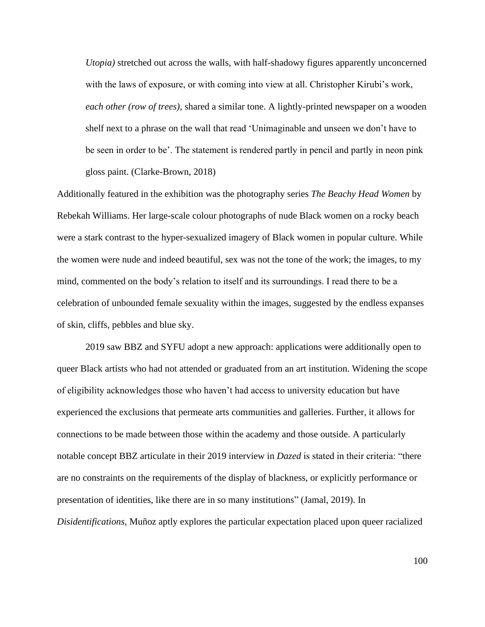*Utopia)* stretched out across the walls, with half-shadowy figures apparently unconcerned with the laws of exposure, or with coming into view at all. Christopher Kirubi's work, *each other (row of trees)*, shared a similar tone. A lightly-printed newspaper on a wooden shelf next to a phrase on the wall that read 'Unimaginable and unseen we don't have to be seen in order to be'. The statement is rendered partly in pencil and partly in neon pink gloss paint. (Clarke-Brown, 2018)

Additionally featured in the exhibition was the photography series *The Beachy Head Women* by Rebekah Williams. Her large-scale colour photographs of nude Black women on a rocky beach were a stark contrast to the hyper-sexualized imagery of Black women in popular culture. While the women were nude and indeed beautiful, sex was not the tone of the work; the images, to my mind, commented on the body's relation to itself and its surroundings. I read there to be a celebration of unbounded female sexuality within the images, suggested by the endless expanses of skin, cliffs, pebbles and blue sky.

2019 saw BBZ and SYFU adopt a new approach: applications were additionally open to queer Black artists who had not attended or graduated from an art institution. Widening the scope of eligibility acknowledges those who haven't had access to university education but have experienced the exclusions that permeate arts communities and galleries. Further, it allows for connections to be made between those within the academy and those outside. A particularly notable concept BBZ articulate in their 2019 interview in *Dazed* is stated in their criteria: "there are no constraints on the requirements of the display of blackness, or explicitly performance or presentation of identities, like there are in so many institutions" (Jamal, 2019). In *Disidentifications*, Muñoz aptly explores the particular expectation placed upon queer racialized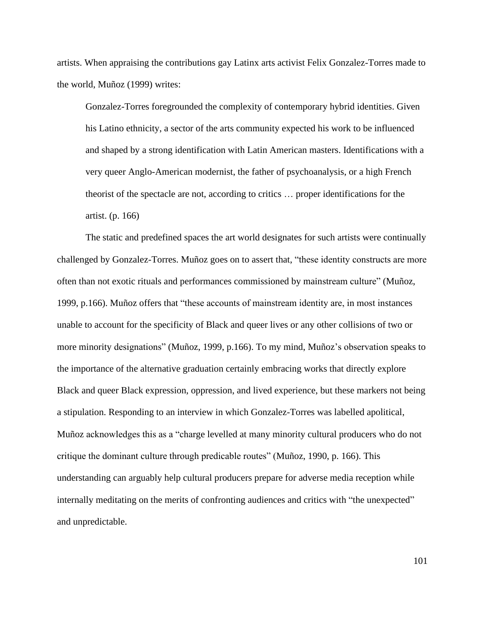artists. When appraising the contributions gay Latinx arts activist Felix Gonzalez-Torres made to the world, Muñoz (1999) writes:

Gonzalez-Torres foregrounded the complexity of contemporary hybrid identities. Given his Latino ethnicity, a sector of the arts community expected his work to be influenced and shaped by a strong identification with Latin American masters. Identifications with a very queer Anglo-American modernist, the father of psychoanalysis, or a high French theorist of the spectacle are not, according to critics … proper identifications for the artist. (p. 166)

The static and predefined spaces the art world designates for such artists were continually challenged by Gonzalez-Torres. Muñoz goes on to assert that, "these identity constructs are more often than not exotic rituals and performances commissioned by mainstream culture" (Muñoz, 1999, p.166). Muñoz offers that "these accounts of mainstream identity are, in most instances unable to account for the specificity of Black and queer lives or any other collisions of two or more minority designations" (Muñoz, 1999, p.166). To my mind, Muñoz's observation speaks to the importance of the alternative graduation certainly embracing works that directly explore Black and queer Black expression, oppression, and lived experience, but these markers not being a stipulation. Responding to an interview in which Gonzalez-Torres was labelled apolitical, Muñoz acknowledges this as a "charge levelled at many minority cultural producers who do not critique the dominant culture through predicable routes" (Muñoz, 1990, p. 166). This understanding can arguably help cultural producers prepare for adverse media reception while internally meditating on the merits of confronting audiences and critics with "the unexpected" and unpredictable.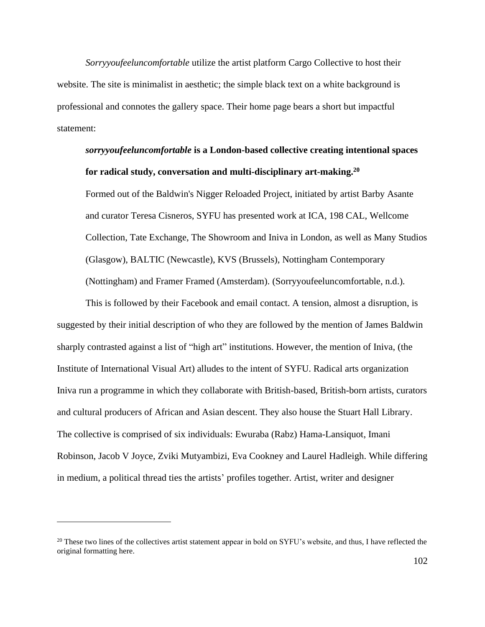*Sorryyoufeeluncomfortable* utilize the artist platform Cargo Collective to host their website. The site is minimalist in aesthetic; the simple black text on a white background is professional and connotes the gallery space. Their home page bears a short but impactful statement:

## *sorryyoufeeluncomfortable* **is a London-based collective creating intentional spaces for radical study, conversation and multi-disciplinary art-making.<sup>20</sup>**

Formed out of the Baldwin's Nigger Reloaded Project, initiated by artist Barby Asante and curator Teresa Cisneros, SYFU has presented work at ICA, 198 CAL, Wellcome Collection, Tate Exchange, The Showroom and Iniva in London, as well as Many Studios (Glasgow), BALTIC (Newcastle), KVS (Brussels), Nottingham Contemporary (Nottingham) and Framer Framed (Amsterdam). (Sorryyoufeeluncomfortable, n.d.).

This is followed by their Facebook and email contact. A tension, almost a disruption, is suggested by their initial description of who they are followed by the mention of James Baldwin sharply contrasted against a list of "high art" institutions. However, the mention of Iniva, (the Institute of International Visual Art) alludes to the intent of SYFU. Radical arts organization Iniva run a programme in which they collaborate with British-based, British-born artists, curators and cultural producers of African and Asian descent. They also house the Stuart Hall Library. The collective is comprised of six individuals: Ewuraba (Rabz) Hama-Lansiquot, Imani Robinson, Jacob V Joyce, Zviki Mutyambizi, Eva Cookney and Laurel Hadleigh. While differing in medium, a political thread ties the artists' profiles together. Artist, writer and designer

<sup>&</sup>lt;sup>20</sup> These two lines of the collectives artist statement appear in bold on SYFU's website, and thus, I have reflected the original formatting here.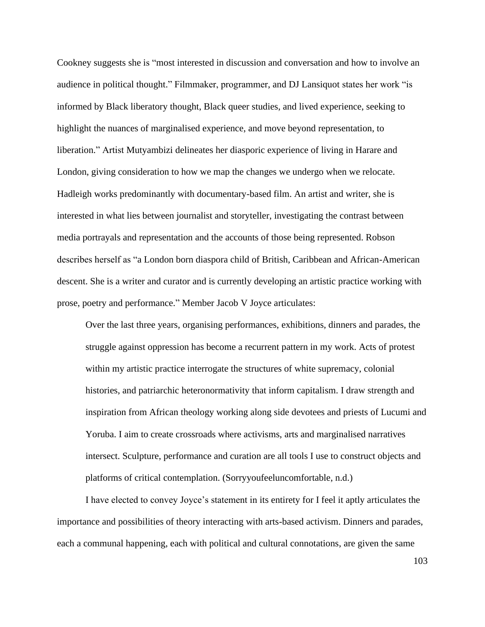Cookney suggests she is "most interested in discussion and conversation and how to involve an audience in political thought." Filmmaker, programmer, and DJ Lansiquot states her work "is informed by Black liberatory thought, Black queer studies, and lived experience, seeking to highlight the nuances of marginalised experience, and move beyond representation, to liberation." Artist Mutyambizi delineates her diasporic experience of living in Harare and London, giving consideration to how we map the changes we undergo when we relocate. Hadleigh works predominantly with documentary-based film. An artist and writer, she is interested in what lies between journalist and storyteller, investigating the contrast between media portrayals and representation and the accounts of those being represented. Robson describes herself as "a London born diaspora child of British, Caribbean and African-American descent. She is a writer and curator and is currently developing an artistic practice working with prose, poetry and performance." Member Jacob V Joyce articulates:

Over the last three years, organising performances, exhibitions, dinners and parades, the struggle against oppression has become a recurrent pattern in my work. Acts of protest within my artistic practice interrogate the structures of white supremacy, colonial histories, and patriarchic heteronormativity that inform capitalism. I draw strength and inspiration from African theology working along side devotees and priests of Lucumi and Yoruba. I aim to create crossroads where activisms, arts and marginalised narratives intersect. Sculpture, performance and curation are all tools I use to construct objects and platforms of critical contemplation. (Sorryyoufeeluncomfortable, n.d.)

I have elected to convey Joyce's statement in its entirety for I feel it aptly articulates the importance and possibilities of theory interacting with arts-based activism. Dinners and parades, each a communal happening, each with political and cultural connotations, are given the same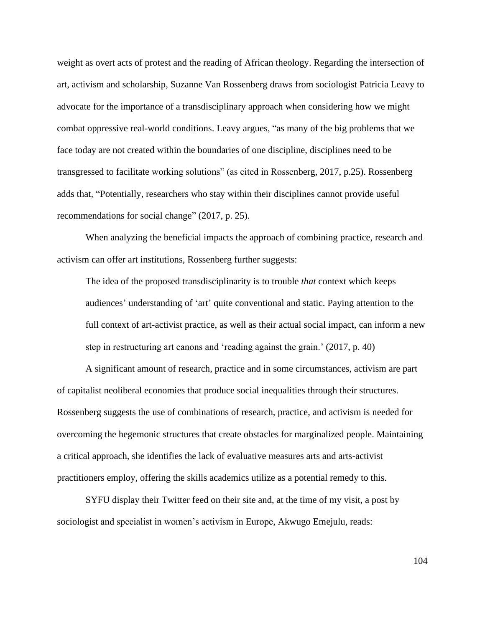weight as overt acts of protest and the reading of African theology. Regarding the intersection of art, activism and scholarship, Suzanne Van Rossenberg draws from sociologist Patricia Leavy to advocate for the importance of a transdisciplinary approach when considering how we might combat oppressive real-world conditions. Leavy argues, "as many of the big problems that we face today are not created within the boundaries of one discipline, disciplines need to be transgressed to facilitate working solutions" (as cited in Rossenberg, 2017, p.25). Rossenberg adds that, "Potentially, researchers who stay within their disciplines cannot provide useful recommendations for social change" (2017, p. 25).

When analyzing the beneficial impacts the approach of combining practice, research and activism can offer art institutions, Rossenberg further suggests:

The idea of the proposed transdisciplinarity is to trouble *that* context which keeps audiences' understanding of 'art' quite conventional and static. Paying attention to the full context of art-activist practice, as well as their actual social impact, can inform a new step in restructuring art canons and 'reading against the grain.' (2017, p. 40)

A significant amount of research, practice and in some circumstances, activism are part of capitalist neoliberal economies that produce social inequalities through their structures. Rossenberg suggests the use of combinations of research, practice, and activism is needed for overcoming the hegemonic structures that create obstacles for marginalized people. Maintaining a critical approach, she identifies the lack of evaluative measures arts and arts-activist practitioners employ, offering the skills academics utilize as a potential remedy to this.

SYFU display their Twitter feed on their site and, at the time of my visit, a post by sociologist and specialist in women's activism in Europe, Akwugo Emejulu, reads: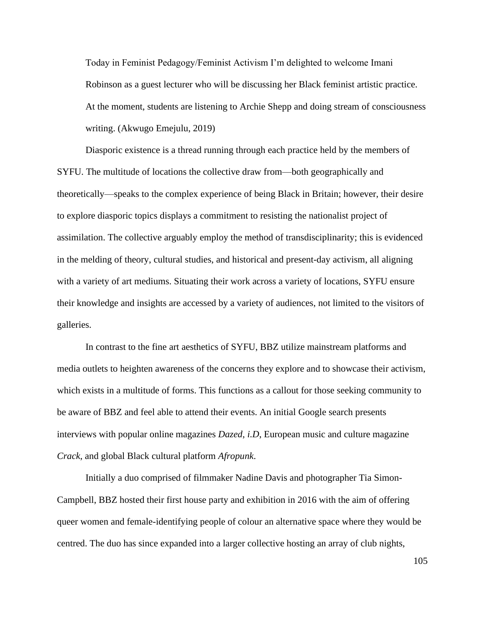Today in Feminist Pedagogy/Feminist Activism I'm delighted to welcome Imani Robinson as a guest lecturer who will be discussing her Black feminist artistic practice. At the moment, students are listening to Archie Shepp and doing stream of consciousness writing. (Akwugo Emejulu, 2019)

Diasporic existence is a thread running through each practice held by the members of SYFU. The multitude of locations the collective draw from—both geographically and theoretically—speaks to the complex experience of being Black in Britain; however, their desire to explore diasporic topics displays a commitment to resisting the nationalist project of assimilation. The collective arguably employ the method of transdisciplinarity; this is evidenced in the melding of theory, cultural studies, and historical and present-day activism, all aligning with a variety of art mediums. Situating their work across a variety of locations, SYFU ensure their knowledge and insights are accessed by a variety of audiences, not limited to the visitors of galleries.

In contrast to the fine art aesthetics of SYFU, BBZ utilize mainstream platforms and media outlets to heighten awareness of the concerns they explore and to showcase their activism, which exists in a multitude of forms. This functions as a callout for those seeking community to be aware of BBZ and feel able to attend their events. An initial Google search presents interviews with popular online magazines *Dazed*, *i.D*, European music and culture magazine *Crack*, and global Black cultural platform *Afropunk*.

Initially a duo comprised of filmmaker Nadine Davis and photographer Tia Simon-Campbell, BBZ hosted their first house party and exhibition in 2016 with the aim of offering queer women and female-identifying people of colour an alternative space where they would be centred. The duo has since expanded into a larger collective hosting an array of club nights,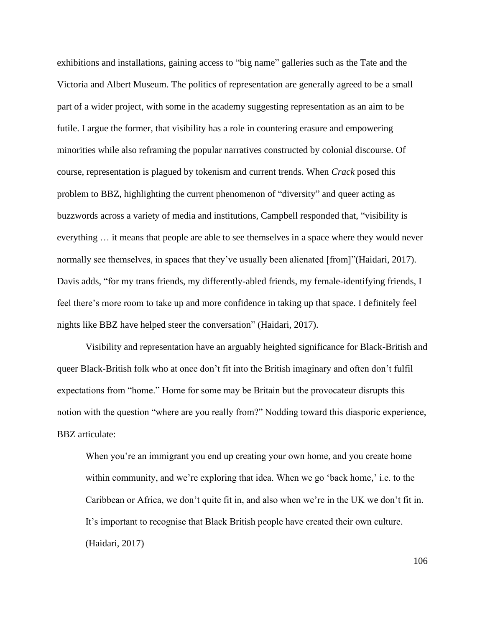exhibitions and installations, gaining access to "big name" galleries such as the Tate and the Victoria and Albert Museum. The politics of representation are generally agreed to be a small part of a wider project, with some in the academy suggesting representation as an aim to be futile. I argue the former, that visibility has a role in countering erasure and empowering minorities while also reframing the popular narratives constructed by colonial discourse. Of course, representation is plagued by tokenism and current trends. When *Crack* posed this problem to BBZ, highlighting the current phenomenon of "diversity" and queer acting as buzzwords across a variety of media and institutions, Campbell responded that, "visibility is everything … it means that people are able to see themselves in a space where they would never normally see themselves, in spaces that they've usually been alienated [from]"(Haidari, 2017). Davis adds, "for my trans friends, my differently-abled friends, my female-identifying friends, I feel there's more room to take up and more confidence in taking up that space. I definitely feel nights like BBZ have helped steer the conversation" (Haidari, 2017).

Visibility and representation have an arguably heighted significance for Black-British and queer Black-British folk who at once don't fit into the British imaginary and often don't fulfil expectations from "home." Home for some may be Britain but the provocateur disrupts this notion with the question "where are you really from?" Nodding toward this diasporic experience, BBZ articulate:

When you're an immigrant you end up creating your own home, and you create home within community, and we're exploring that idea. When we go 'back home,' i.e. to the Caribbean or Africa, we don't quite fit in, and also when we're in the UK we don't fit in. It's important to recognise that Black British people have created their own culture. (Haidari, 2017)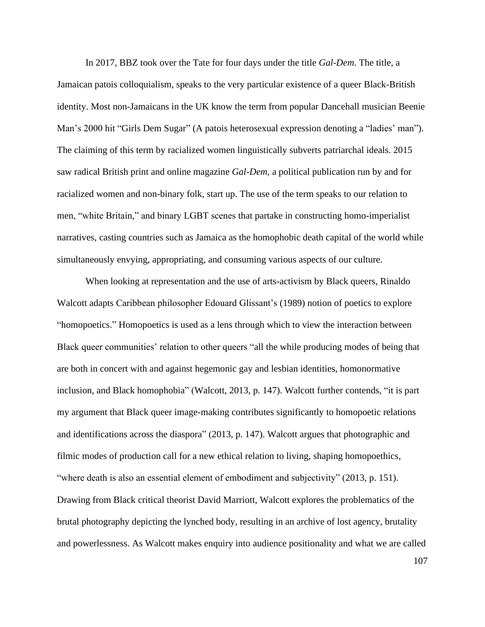In 2017, BBZ took over the Tate for four days under the title *Gal-Dem*. The title, a Jamaican patois colloquialism, speaks to the very particular existence of a queer Black-British identity. Most non-Jamaicans in the UK know the term from popular Dancehall musician Beenie Man's 2000 hit "Girls Dem Sugar" (A patois heterosexual expression denoting a "ladies' man"). The claiming of this term by racialized women linguistically subverts patriarchal ideals. 2015 saw radical British print and online magazine *Gal-Dem,* a political publication run by and for racialized women and non-binary folk, start up. The use of the term speaks to our relation to men, "white Britain," and binary LGBT scenes that partake in constructing homo-imperialist narratives, casting countries such as Jamaica as the homophobic death capital of the world while simultaneously envying, appropriating, and consuming various aspects of our culture.

When looking at representation and the use of arts-activism by Black queers, Rinaldo Walcott adapts Caribbean philosopher Edouard Glissant's (1989) notion of poetics to explore "homopoetics." Homopoetics is used as a lens through which to view the interaction between Black queer communities' relation to other queers "all the while producing modes of being that are both in concert with and against hegemonic gay and lesbian identities, homonormative inclusion, and Black homophobia" (Walcott, 2013, p. 147). Walcott further contends, "it is part my argument that Black queer image-making contributes significantly to homopoetic relations and identifications across the diaspora" (2013, p. 147). Walcott argues that photographic and filmic modes of production call for a new ethical relation to living, shaping homopoethics, "where death is also an essential element of embodiment and subjectivity" (2013, p. 151). Drawing from Black critical theorist David Marriott, Walcott explores the problematics of the brutal photography depicting the lynched body, resulting in an archive of lost agency, brutality and powerlessness. As Walcott makes enquiry into audience positionality and what we are called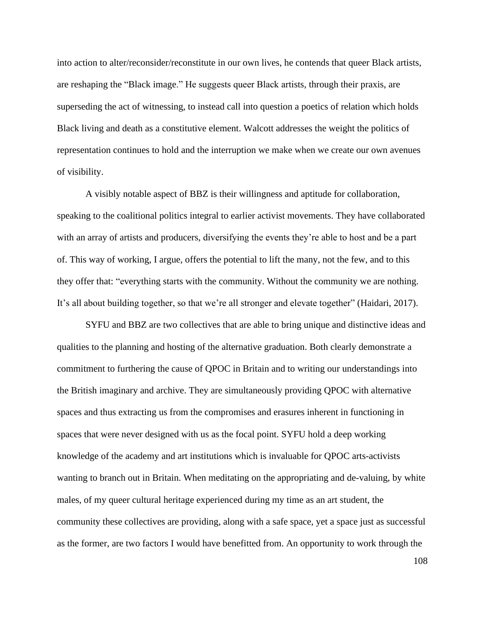into action to alter/reconsider/reconstitute in our own lives, he contends that queer Black artists, are reshaping the "Black image." He suggests queer Black artists, through their praxis, are superseding the act of witnessing, to instead call into question a poetics of relation which holds Black living and death as a constitutive element. Walcott addresses the weight the politics of representation continues to hold and the interruption we make when we create our own avenues of visibility.

A visibly notable aspect of BBZ is their willingness and aptitude for collaboration, speaking to the coalitional politics integral to earlier activist movements. They have collaborated with an array of artists and producers, diversifying the events they're able to host and be a part of. This way of working, I argue, offers the potential to lift the many, not the few, and to this they offer that: "everything starts with the community. Without the community we are nothing. It's all about building together, so that we're all stronger and elevate together" (Haidari, 2017).

SYFU and BBZ are two collectives that are able to bring unique and distinctive ideas and qualities to the planning and hosting of the alternative graduation. Both clearly demonstrate a commitment to furthering the cause of QPOC in Britain and to writing our understandings into the British imaginary and archive. They are simultaneously providing QPOC with alternative spaces and thus extracting us from the compromises and erasures inherent in functioning in spaces that were never designed with us as the focal point. SYFU hold a deep working knowledge of the academy and art institutions which is invaluable for QPOC arts-activists wanting to branch out in Britain. When meditating on the appropriating and de-valuing, by white males, of my queer cultural heritage experienced during my time as an art student, the community these collectives are providing, along with a safe space, yet a space just as successful as the former, are two factors I would have benefitted from. An opportunity to work through the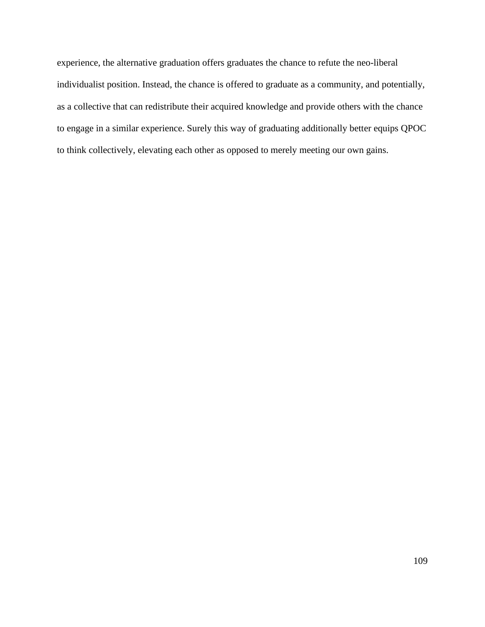experience, the alternative graduation offers graduates the chance to refute the neo-liberal individualist position. Instead, the chance is offered to graduate as a community, and potentially, as a collective that can redistribute their acquired knowledge and provide others with the chance to engage in a similar experience. Surely this way of graduating additionally better equips QPOC to think collectively, elevating each other as opposed to merely meeting our own gains.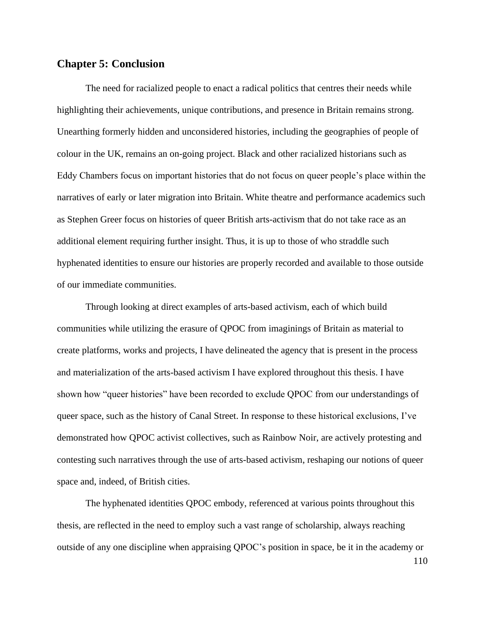## **Chapter 5: Conclusion**

The need for racialized people to enact a radical politics that centres their needs while highlighting their achievements, unique contributions, and presence in Britain remains strong. Unearthing formerly hidden and unconsidered histories, including the geographies of people of colour in the UK, remains an on-going project. Black and other racialized historians such as Eddy Chambers focus on important histories that do not focus on queer people's place within the narratives of early or later migration into Britain. White theatre and performance academics such as Stephen Greer focus on histories of queer British arts-activism that do not take race as an additional element requiring further insight. Thus, it is up to those of who straddle such hyphenated identities to ensure our histories are properly recorded and available to those outside of our immediate communities.

Through looking at direct examples of arts-based activism, each of which build communities while utilizing the erasure of QPOC from imaginings of Britain as material to create platforms, works and projects, I have delineated the agency that is present in the process and materialization of the arts-based activism I have explored throughout this thesis. I have shown how "queer histories" have been recorded to exclude QPOC from our understandings of queer space, such as the history of Canal Street. In response to these historical exclusions, I've demonstrated how QPOC activist collectives, such as Rainbow Noir, are actively protesting and contesting such narratives through the use of arts-based activism, reshaping our notions of queer space and, indeed, of British cities.

The hyphenated identities QPOC embody, referenced at various points throughout this thesis, are reflected in the need to employ such a vast range of scholarship, always reaching outside of any one discipline when appraising QPOC's position in space, be it in the academy or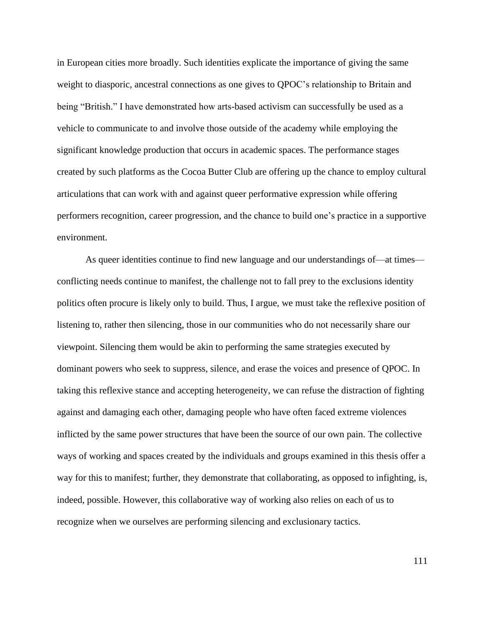in European cities more broadly. Such identities explicate the importance of giving the same weight to diasporic, ancestral connections as one gives to QPOC's relationship to Britain and being "British." I have demonstrated how arts-based activism can successfully be used as a vehicle to communicate to and involve those outside of the academy while employing the significant knowledge production that occurs in academic spaces. The performance stages created by such platforms as the Cocoa Butter Club are offering up the chance to employ cultural articulations that can work with and against queer performative expression while offering performers recognition, career progression, and the chance to build one's practice in a supportive environment.

As queer identities continue to find new language and our understandings of—at times conflicting needs continue to manifest, the challenge not to fall prey to the exclusions identity politics often procure is likely only to build. Thus, I argue, we must take the reflexive position of listening to, rather then silencing, those in our communities who do not necessarily share our viewpoint. Silencing them would be akin to performing the same strategies executed by dominant powers who seek to suppress, silence, and erase the voices and presence of QPOC. In taking this reflexive stance and accepting heterogeneity, we can refuse the distraction of fighting against and damaging each other, damaging people who have often faced extreme violences inflicted by the same power structures that have been the source of our own pain. The collective ways of working and spaces created by the individuals and groups examined in this thesis offer a way for this to manifest; further, they demonstrate that collaborating, as opposed to infighting, is, indeed, possible. However, this collaborative way of working also relies on each of us to recognize when we ourselves are performing silencing and exclusionary tactics.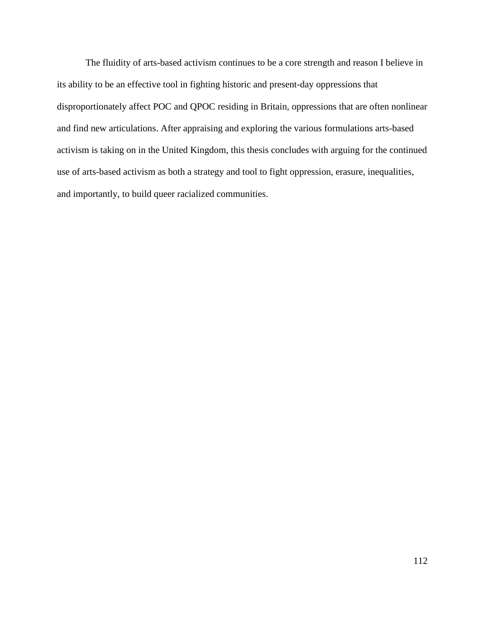The fluidity of arts-based activism continues to be a core strength and reason I believe in its ability to be an effective tool in fighting historic and present-day oppressions that disproportionately affect POC and QPOC residing in Britain, oppressions that are often nonlinear and find new articulations. After appraising and exploring the various formulations arts-based activism is taking on in the United Kingdom, this thesis concludes with arguing for the continued use of arts-based activism as both a strategy and tool to fight oppression, erasure, inequalities, and importantly, to build queer racialized communities.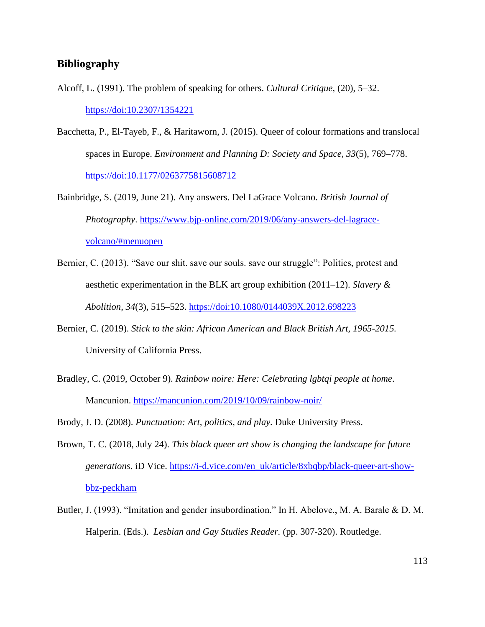## **Bibliography**

- Alcoff, L. (1991). The problem of speaking for others. *Cultural Critique,* (20), 5–32. <https://doi:10.2307/1354221>
- Bacchetta, P., El-Tayeb, F., & Haritaworn, J. (2015). Queer of colour formations and translocal spaces in Europe. *Environment and Planning D: Society and Space, 33*(5), 769–778. <https://doi:10.1177/0263775815608712>
- Bainbridge, S. (2019, June 21). Any answers. Del LaGrace Volcano. *British Journal of Photography*. [https://www.bjp-online.com/2019/06/any-answers-del-lagrace](https://www.bjp-online.com/2019/06/any-answers-del-lagrace-volcano/#menuopen)[volcano/#menuopen](https://www.bjp-online.com/2019/06/any-answers-del-lagrace-volcano/#menuopen)
- Bernier, C. (2013). "Save our shit. save our souls. save our struggle": Politics, protest and aesthetic experimentation in the BLK art group exhibition (2011–12). *Slavery & Abolition, 34*(3), 515–523.<https://doi:10.1080/0144039X.2012.698223>
- Bernier, C. (2019). *Stick to the skin: African American and Black British Art, 1965-2015.*  University of California Press.
- Bradley, C. (2019, October 9). *Rainbow noire: Here: Celebrating lgbtqi people at home*. Mancunion.<https://mancunion.com/2019/10/09/rainbow-noir/>

Brody, J. D. (2008). *Punctuation: Art, politics, and play.* Duke University Press.

- Brown, T. C. (2018, July 24). *This black queer art show is changing the landscape for future generations*. iD Vice. [https://i-d.vice.com/en\\_uk/article/8xbqbp/black-queer-art-show](https://i-d.vice.com/en_uk/article/8xbqbp/black-queer-art-show-bbz-peckham)[bbz-peckham](https://i-d.vice.com/en_uk/article/8xbqbp/black-queer-art-show-bbz-peckham)
- Butler, J. (1993). "Imitation and gender insubordination." In H. Abelove., M. A. Barale & D. M. Halperin. (Eds.). *Lesbian and Gay Studies Reader.* (pp. 307-320). Routledge.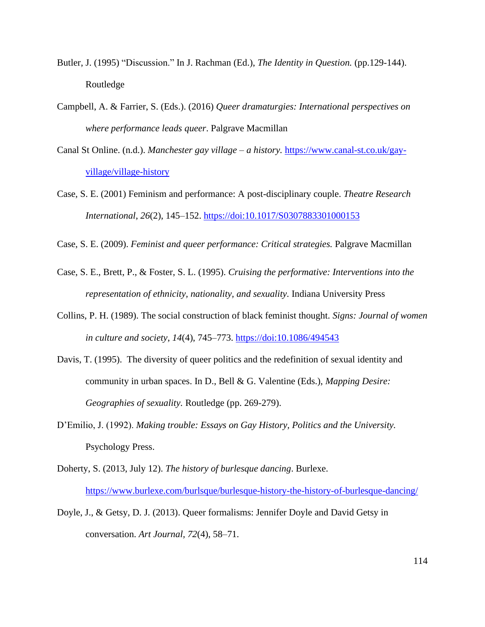- Butler, J. (1995) "Discussion." In J. Rachman (Ed.), *The Identity in Question.* (pp.129-144). Routledge
- Campbell, A. & Farrier, S. (Eds.). (2016) *Queer dramaturgies: International perspectives on where performance leads queer*. Palgrave Macmillan
- Canal St Online. (n.d.). *Manchester gay village – a history.* [https://www.canal-st.co.uk/gay](https://www.canal-st.co.uk/gay-village/village-history)[village/village-history](https://www.canal-st.co.uk/gay-village/village-history)
- Case, S. E. (2001) Feminism and performance: A post-disciplinary couple. *Theatre Research International*, *26*(2), 145–152.<https://doi:10.1017/S0307883301000153>

Case, S. E. (2009). *Feminist and queer performance: Critical strategies.* Palgrave Macmillan

- Case, S. E., Brett, P., & Foster, S. L. (1995). *Cruising the performative: Interventions into the representation of ethnicity, nationality, and sexuality.* Indiana University Press
- Collins, P. H. (1989). The social construction of black feminist thought. *Signs: Journal of women in culture and society*, *14*(4), 745–773.<https://doi:10.1086/494543>
- Davis, T. (1995). The diversity of queer politics and the redefinition of sexual identity and community in urban spaces. In D., Bell & G. Valentine (Eds.), *Mapping Desire: Geographies of sexuality.* Routledge (pp. 269-279).
- D'Emilio, J. (1992). *Making trouble: Essays on Gay History, Politics and the University.* Psychology Press.
- Doherty, S. (2013, July 12). *The history of burlesque dancing*. Burlexe. <https://www.burlexe.com/burlsque/burlesque-history-the-history-of-burlesque-dancing/>
- Doyle, J., & Getsy, D. J. (2013). Queer formalisms: Jennifer Doyle and David Getsy in conversation. *Art Journal, 72*(4), 58–71.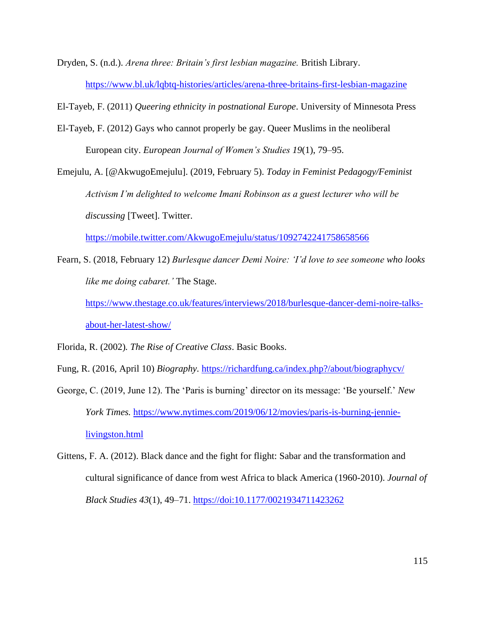Dryden, S. (n.d.). *Arena three: Britain's first lesbian magazine.* British Library. [https://www.bl.uk/lqbtq-histories/articles/arena-three-britains-first-lesbian](https://www.bl.uk/lqbtq-histories/articles/arena-three-britains-first-lesbian-magazine)*-*magazine

El-Tayeb, F. (2011) *Queering ethnicity in postnational Europe*. University of Minnesota Press

- El-Tayeb, F. (2012) Gays who cannot properly be gay. Queer Muslims in the neoliberal European city. *European Journal of Women's Studies 19*(1), 79–95.
- Emejulu, A. [@AkwugoEmejulu]. (2019, February 5). *Today in Feminist Pedagogy/Feminist Activism I'm delighted to welcome Imani Robinson as a guest lecturer who will be discussing* [Tweet]. Twitter.

<https://mobile.twitter.com/AkwugoEmejulu/status/1092742241758658566>

Fearn, S. (2018, February 12) *Burlesque dancer Demi Noire: 'I'd love to see someone who looks like me doing cabaret.'* The Stage. [https://www.thestage.co.uk/features/interviews/2018/burlesque-dancer-demi-noire-talks-](https://www.thestage.co.uk/features/interviews/2018/burlesque-dancer-demi-noire-talks-about-her-latest-show/)

[about-her-latest-show/](https://www.thestage.co.uk/features/interviews/2018/burlesque-dancer-demi-noire-talks-about-her-latest-show/)

Florida, R. (2002)*. The Rise of Creative Class*. Basic Books.

Fung, R. (2016, April 10) *Biography.* <https://richardfung.ca/index.php?/about/biographycv/>

- George, C. (2019, June 12). The 'Paris is burning' director on its message: 'Be yourself.' *New York Times.* [https://www.nytimes.com/2019/06/12/movies/paris-is-burning-jennie](https://www.nytimes.com/2019/06/12/movies/paris-is-burning-jennie-livingston.html)[livingston.html](https://www.nytimes.com/2019/06/12/movies/paris-is-burning-jennie-livingston.html)
- Gittens, F. A. (2012). Black dance and the fight for flight: Sabar and the transformation and cultural significance of dance from west Africa to black America (1960-2010). *Journal of Black Studies 43*(1), 49–71.<https://doi:10.1177/0021934711423262>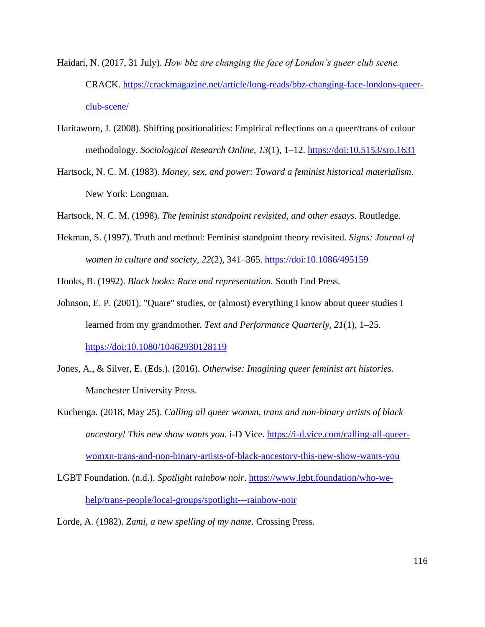- Haidari, N. (2017, 31 July). *How bbz are changing the face of London's queer club scene.* CRACK. [https://crackmagazine.net/article/long-reads/bbz-changing-face-londons-queer](https://crackmagazine.net/article/long-reads/bbz-changing-face-londons-queer-club-scene/)[club-scene/](https://crackmagazine.net/article/long-reads/bbz-changing-face-londons-queer-club-scene/)
- Haritaworn, J. (2008). Shifting positionalities: Empirical reflections on a queer/trans of colour methodology. *Sociological Research Online, 13*(1), 1–12.<https://doi:10.5153/sro.1631>
- Hartsock, N. C. M. (1983). *Money, sex, and power: Toward a feminist historical materialism*. New York: Longman.
- Hartsock, N. C. M. (1998). *The feminist standpoint revisited, and other essays.* Routledge.
- Hekman, S. (1997). Truth and method: Feminist standpoint theory revisited. *Signs: Journal of women in culture and society, 22*(2), 341–365. <https://doi:10.1086/495159>

Hooks, B. (1992). *Black looks: Race and representation.* South End Press.

- Johnson, E. P. (2001). "Quare" studies, or (almost) everything I know about queer studies I learned from my grandmother. *Text and Performance Quarterly*, *21*(1), 1–25. <https://doi:10.1080/10462930128119>
- Jones, A., & Silver, E. (Eds.). (2016). *Otherwise: Imagining queer feminist art histories.*  Manchester University Press.
- Kuchenga. (2018, May 25). *Calling all queer womxn, trans and non-binary artists of black ancestory! This new show wants you.* i-D Vice. [https://i-d.vice.com/calling-all-queer](https://i-d.vice.com/calling-all-queer-womxn-trans-and-non-binary-artists-of-black-ancestory-this-new-show-wants-you)[womxn-trans-and-non-binary-artists-of-black-ancestory-this-new-show-wants-you](https://i-d.vice.com/calling-all-queer-womxn-trans-and-non-binary-artists-of-black-ancestory-this-new-show-wants-you)
- LGBT Foundation. (n.d.). *Spotlight rainbow noir*. [https://www.lgbt.foundation/who-we](https://www.lgbt.foundation/who-we-help/trans-people/local-groups/spotlight---rainbow-noir)[help/trans-people/local-groups/spotlight---rainbow-noir](https://www.lgbt.foundation/who-we-help/trans-people/local-groups/spotlight---rainbow-noir)
- Lorde, A. (1982). *Zami, a new spelling of my name*. Crossing Press.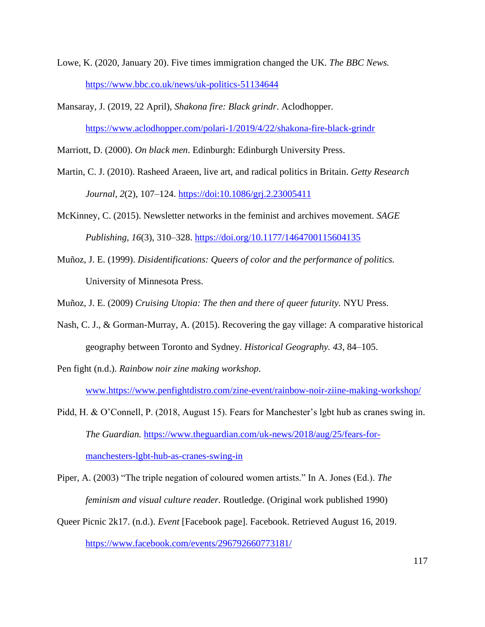- Lowe, K. (2020, January 20). Five times immigration changed the UK. *The BBC News.* <https://www.bbc.co.uk/news/uk-politics-51134644>
- Mansaray, J. (2019, 22 April), *Shakona fire: Black grindr*. Aclodhopper. <https://www.aclodhopper.com/polari-1/2019/4/22/shakona-fire-black-grindr>

Marriott, D. (2000). *On black men*. Edinburgh: Edinburgh University Press.

- Martin, C. J. (2010). Rasheed Araeen, live art, and radical politics in Britain. *Getty Research Journal*, *2*(2), 107–124.<https://doi:10.1086/grj.2.23005411>
- McKinney, C. (2015). Newsletter networks in the feminist and archives movement. *SAGE Publishing, 16*(3), 310–328.<https://doi.org/10.1177/1464700115604135>
- Muñoz, J. E. (1999). *Disidentifications: Queers of color and the performance of politics.*  University of Minnesota Press.

Muñoz, J. E. (2009) *Cruising Utopia: The then and there of queer futurity.* NYU Press.

- Nash, C. J., & Gorman-Murray, A. (2015). Recovering the gay village: A comparative historical geography between Toronto and Sydney. *Historical Geography. 43*, 84–105.
- Pen fight (n.d.). *Rainbow noir zine making workshop.*

[www.https://www.penfightdistro.com/zine-event/rainbow-noir-ziine-making-workshop/](http://www.https/www.penfightdistro.com/zine-event/rainbow-noir-ziine-making-workshop/)

Pidd, H. & O'Connell, P. (2018, August 15). Fears for Manchester's lgbt hub as cranes swing in. *The Guardian.* [https://www.theguardian.com/uk-news/2018/aug/25/fears-for](https://www.theguardian.com/uk-news/2018/aug/25/fears-for-manchesters-lgbt-hub-as-cranes-swing-in)[manchesters-lgbt-hub-as-cranes-swing-in](https://www.theguardian.com/uk-news/2018/aug/25/fears-for-manchesters-lgbt-hub-as-cranes-swing-in)

Piper, A. (2003) "The triple negation of coloured women artists." In A. Jones (Ed.). *The feminism and visual culture reader.* Routledge. (Original work published 1990)

Queer Picnic 2k17. (n.d.). *Event* [Facebook page]. Facebook. Retrieved August 16, 2019. <https://www.facebook.com/events/296792660773181/>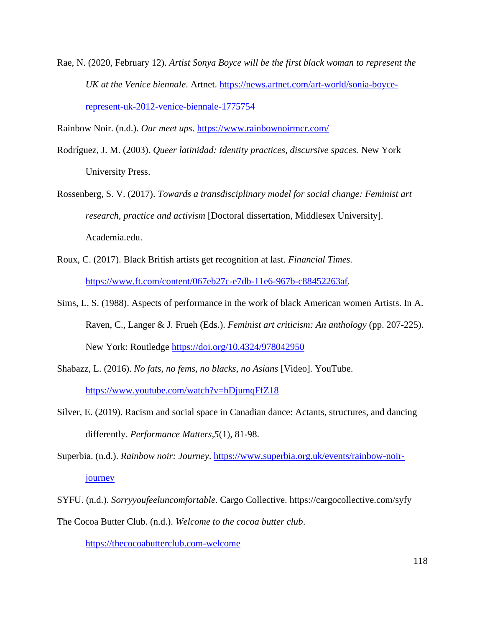Rae, N. (2020, February 12). *Artist Sonya Boyce will be the first black woman to represent the UK at the Venice biennale*. Artnet. [https://news.artnet.com/art-world/sonia-boyce](https://news.artnet.com/art-world/sonia-boyce-represent-uk-2012-venice-biennale-1775754)[represent-uk-2012-venice-biennale-1775754](https://news.artnet.com/art-world/sonia-boyce-represent-uk-2012-venice-biennale-1775754)

Rainbow Noir. (n.d.). *Our meet ups*.<https://www.rainbownoirmcr.com/>

- Rodríguez, J. M. (2003). *Queer latinidad: Identity practices, discursive spaces.* New York University Press.
- Rossenberg, S. V. (2017). *Towards a transdisciplinary model for social change: Feminist art research, practice and activism* [Doctoral dissertation, Middlesex University]. Academia.edu.
- Roux, C. (2017). Black British artists get recognition at last. *Financial Times.*  <https://www.ft.com/content/067eb27c-e7db-11e6-967b-c88452263af>*.*
- Sims, L. S. (1988). Aspects of performance in the work of black American women Artists. In A. Raven, C., Langer & J. Frueh (Eds.). *Feminist art criticism: An anthology* (pp. 207-225). New York: Routledge <https://doi.org/10.4324/978042950>
- Shabazz, L. (2016). *No fats, no fems, no blacks, no Asians* [Video]. YouTube. <https://www.youtube.com/watch?v=hDjumqFfZ18>
- Silver, E. (2019). Racism and social space in Canadian dance: Actants, structures, and dancing differently. *Performance Matters,5*(1), 81-98.
- Superbia. (n.d.). *Rainbow noir: Journey*. [https://www.superbia.org.uk/events/rainbow-noir](https://www.superbia.org.uk/events/rainbow-noir-journey)[journey](https://www.superbia.org.uk/events/rainbow-noir-journey)
- SYFU. (n.d.). *Sorryyoufeeluncomfortable*. Cargo Collective. https://cargocollective.com/syfy The Cocoa Butter Club. (n.d.). *Welcome to the cocoa butter club*.

[https://thecocoabutterclub.com-welcome](https://thecocoabutterclub.com-welcome/)